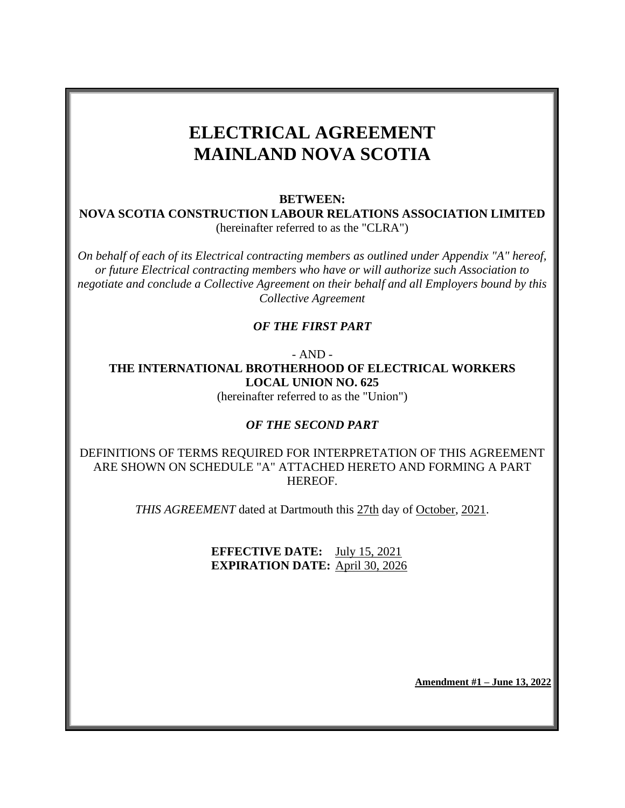# **ELECTRICAL AGREEMENT MAINLAND NOVA SCOTIA**

#### **BETWEEN:**

**NOVA SCOTIA CONSTRUCTION LABOUR RELATIONS ASSOCIATION LIMITED** (hereinafter referred to as the "CLRA")

*On behalf of each of its Electrical contracting members as outlined under Appendix "A" hereof, or future Electrical contracting members who have or will authorize such Association to negotiate and conclude a Collective Agreement on their behalf and all Employers bound by this Collective Agreement*

### *OF THE FIRST PART*

- AND -

**THE INTERNATIONAL BROTHERHOOD OF ELECTRICAL WORKERS LOCAL UNION NO. 625**

(hereinafter referred to as the "Union")

*OF THE SECOND PART*

DEFINITIONS OF TERMS REQUIRED FOR INTERPRETATION OF THIS AGREEMENT ARE SHOWN ON SCHEDULE "A" ATTACHED HERETO AND FORMING A PART HEREOF.

*THIS AGREEMENT* dated at Dartmouth this 27th day of October, 2021.

**EFFECTIVE DATE:** July 15, 2021 **EXPIRATION DATE:** April 30, 2026

**Amendment #1 – June 13, 2022**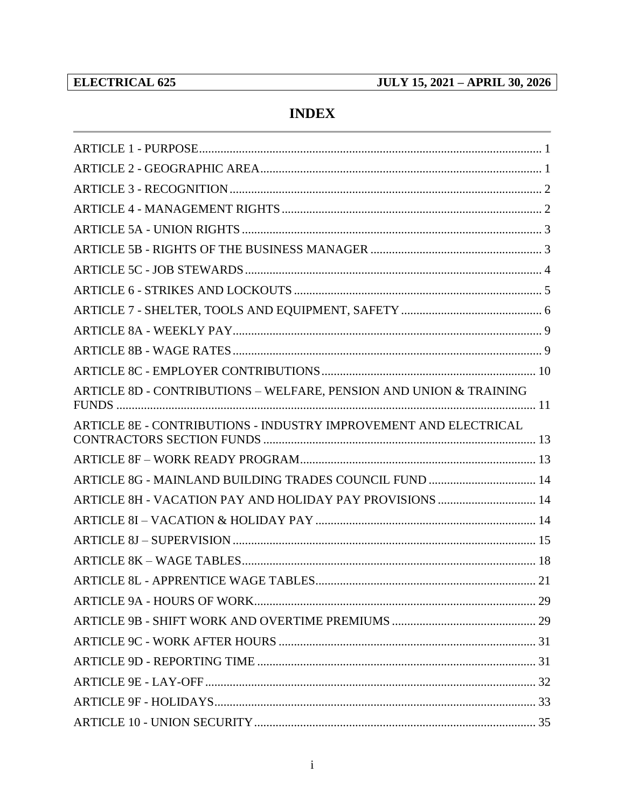# **INDEX**

| ARTICLE 8D - CONTRIBUTIONS - WELFARE, PENSION AND UNION & TRAINING |  |
|--------------------------------------------------------------------|--|
| ARTICLE 8E - CONTRIBUTIONS - INDUSTRY IMPROVEMENT AND ELECTRICAL   |  |
|                                                                    |  |
| ARTICLE 8G - MAINLAND BUILDING TRADES COUNCIL FUND  14             |  |
| ARTICLE 8H - VACATION PAY AND HOLIDAY PAY PROVISIONS  14           |  |
|                                                                    |  |
|                                                                    |  |
|                                                                    |  |
|                                                                    |  |
|                                                                    |  |
|                                                                    |  |
|                                                                    |  |
|                                                                    |  |
|                                                                    |  |
|                                                                    |  |
|                                                                    |  |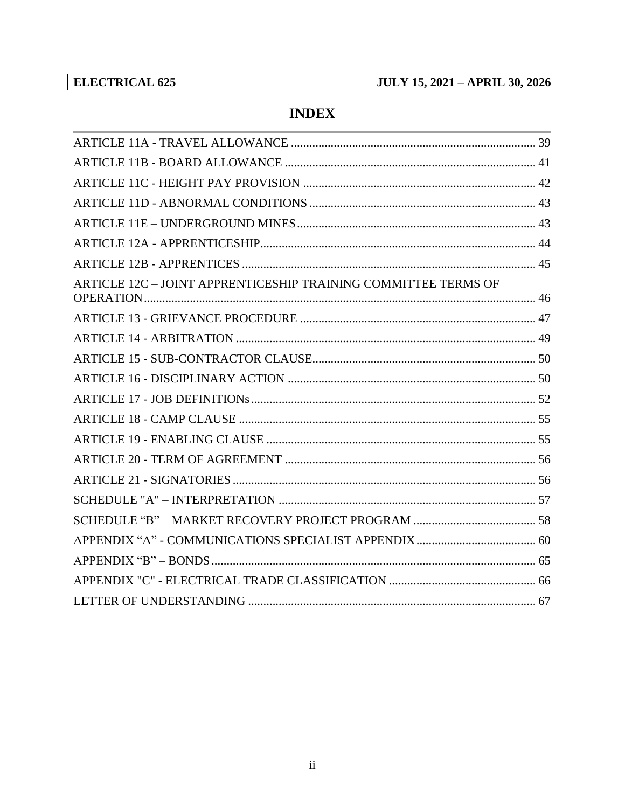# **INDEX**

| ARTICLE 12C - JOINT APPRENTICESHIP TRAINING COMMITTEE TERMS OF |  |
|----------------------------------------------------------------|--|
|                                                                |  |
|                                                                |  |
|                                                                |  |
|                                                                |  |
|                                                                |  |
|                                                                |  |
|                                                                |  |
|                                                                |  |
|                                                                |  |
|                                                                |  |
|                                                                |  |
|                                                                |  |
|                                                                |  |
|                                                                |  |
|                                                                |  |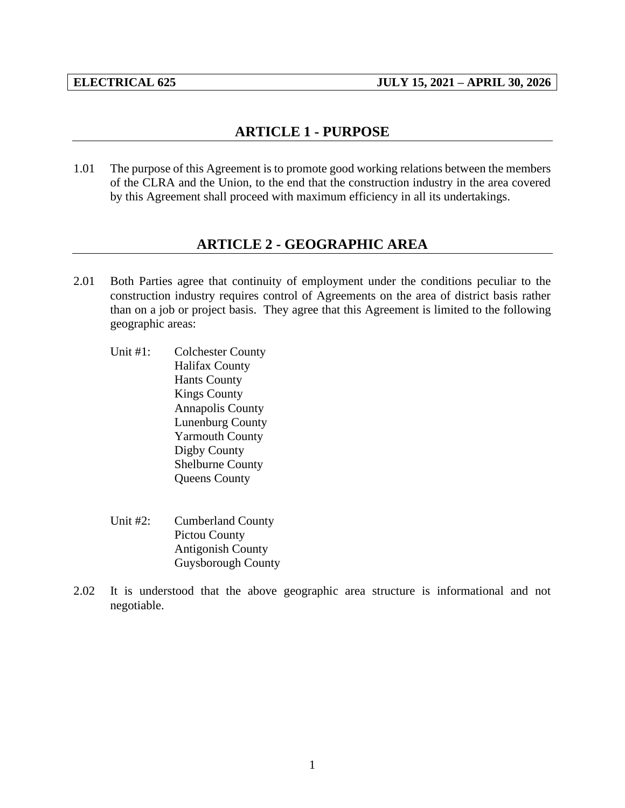# **ARTICLE 1 - PURPOSE**

<span id="page-3-1"></span><span id="page-3-0"></span>1.01 The purpose of this Agreement is to promote good working relations between the members of the CLRA and the Union, to the end that the construction industry in the area covered by this Agreement shall proceed with maximum efficiency in all its undertakings.

# **ARTICLE 2 - GEOGRAPHIC AREA**

- 2.01 Both Parties agree that continuity of employment under the conditions peculiar to the construction industry requires control of Agreements on the area of district basis rather than on a job or project basis. They agree that this Agreement is limited to the following geographic areas:
	- Unit #1: Colchester County Halifax County Hants County Kings County Annapolis County Lunenburg County Yarmouth County Digby County Shelburne County Queens County
	- Unit #2: Cumberland County Pictou County Antigonish County Guysborough County
- 2.02 It is understood that the above geographic area structure is informational and not negotiable.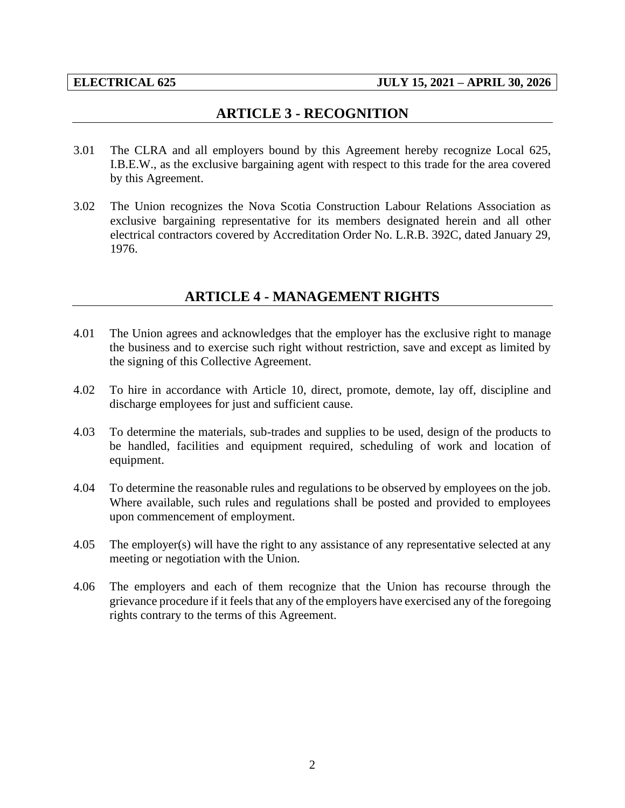# **ARTICLE 3 - RECOGNITION**

- <span id="page-4-0"></span>3.01 The CLRA and all employers bound by this Agreement hereby recognize Local 625, I.B.E.W., as the exclusive bargaining agent with respect to this trade for the area covered by this Agreement.
- 3.02 The Union recognizes the Nova Scotia Construction Labour Relations Association as exclusive bargaining representative for its members designated herein and all other electrical contractors covered by Accreditation Order No. L.R.B. 392C, dated January 29, 1976.

# **ARTICLE 4 - MANAGEMENT RIGHTS**

- <span id="page-4-1"></span>4.01 The Union agrees and acknowledges that the employer has the exclusive right to manage the business and to exercise such right without restriction, save and except as limited by the signing of this Collective Agreement.
- 4.02 To hire in accordance with Article 10, direct, promote, demote, lay off, discipline and discharge employees for just and sufficient cause.
- 4.03 To determine the materials, sub-trades and supplies to be used, design of the products to be handled, facilities and equipment required, scheduling of work and location of equipment.
- 4.04 To determine the reasonable rules and regulations to be observed by employees on the job. Where available, such rules and regulations shall be posted and provided to employees upon commencement of employment.
- 4.05 The employer(s) will have the right to any assistance of any representative selected at any meeting or negotiation with the Union.
- 4.06 The employers and each of them recognize that the Union has recourse through the grievance procedure if it feels that any of the employers have exercised any of the foregoing rights contrary to the terms of this Agreement.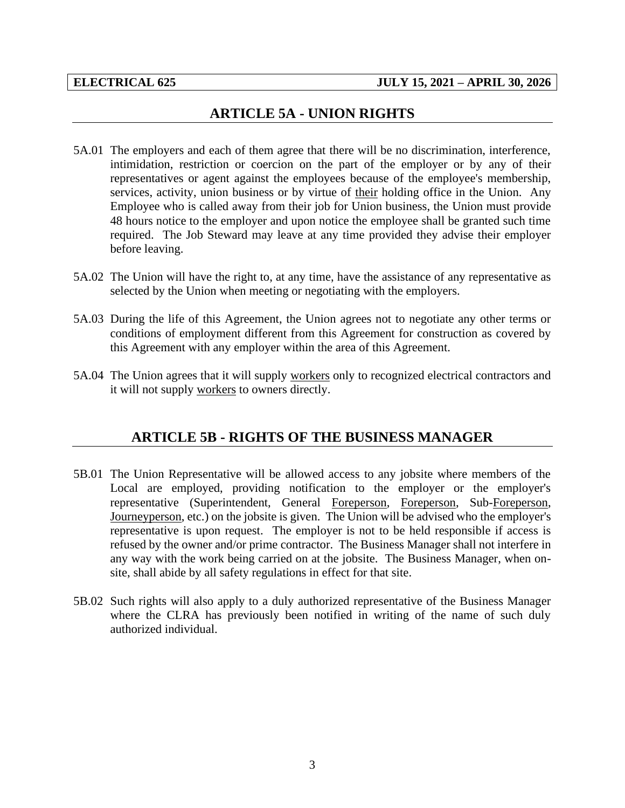# **ARTICLE 5A - UNION RIGHTS**

- <span id="page-5-0"></span>5A.01 The employers and each of them agree that there will be no discrimination, interference, intimidation, restriction or coercion on the part of the employer or by any of their representatives or agent against the employees because of the employee's membership, services, activity, union business or by virtue of their holding office in the Union. Any Employee who is called away from their job for Union business, the Union must provide 48 hours notice to the employer and upon notice the employee shall be granted such time required. The Job Steward may leave at any time provided they advise their employer before leaving.
- 5A.02 The Union will have the right to, at any time, have the assistance of any representative as selected by the Union when meeting or negotiating with the employers.
- 5A.03 During the life of this Agreement, the Union agrees not to negotiate any other terms or conditions of employment different from this Agreement for construction as covered by this Agreement with any employer within the area of this Agreement.
- <span id="page-5-1"></span>5A.04 The Union agrees that it will supply workers only to recognized electrical contractors and it will not supply workers to owners directly.

# **ARTICLE 5B - RIGHTS OF THE BUSINESS MANAGER**

- 5B.01 The Union Representative will be allowed access to any jobsite where members of the Local are employed, providing notification to the employer or the employer's representative (Superintendent, General Foreperson, Foreperson, Sub-Foreperson, Journeyperson, etc.) on the jobsite is given. The Union will be advised who the employer's representative is upon request. The employer is not to be held responsible if access is refused by the owner and/or prime contractor. The Business Manager shall not interfere in any way with the work being carried on at the jobsite. The Business Manager, when onsite, shall abide by all safety regulations in effect for that site.
- 5B.02 Such rights will also apply to a duly authorized representative of the Business Manager where the CLRA has previously been notified in writing of the name of such duly authorized individual.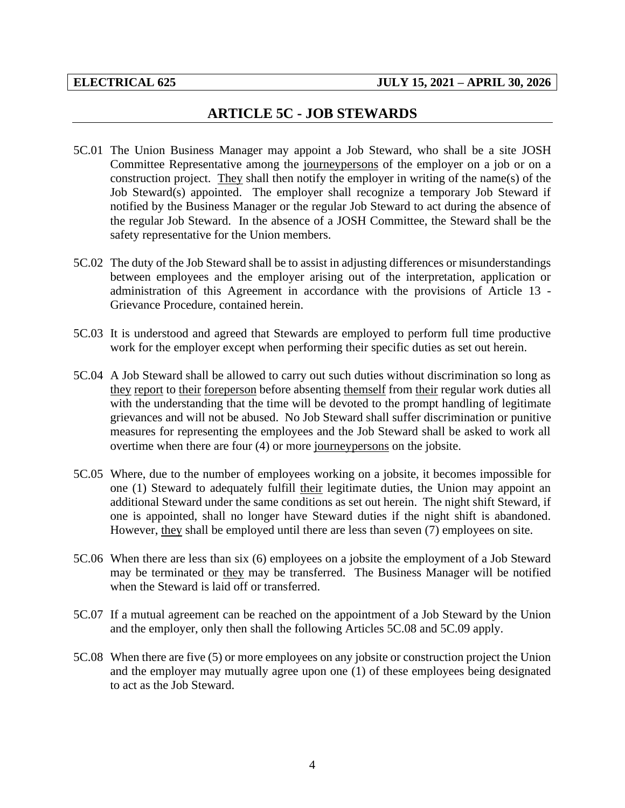## **ARTICLE 5C - JOB STEWARDS**

- <span id="page-6-0"></span>5C.01 The Union Business Manager may appoint a Job Steward, who shall be a site JOSH Committee Representative among the journeypersons of the employer on a job or on a construction project. They shall then notify the employer in writing of the name(s) of the Job Steward(s) appointed. The employer shall recognize a temporary Job Steward if notified by the Business Manager or the regular Job Steward to act during the absence of the regular Job Steward. In the absence of a JOSH Committee, the Steward shall be the safety representative for the Union members.
- 5C.02 The duty of the Job Steward shall be to assist in adjusting differences or misunderstandings between employees and the employer arising out of the interpretation, application or administration of this Agreement in accordance with the provisions of Article 13 - Grievance Procedure, contained herein.
- 5C.03 It is understood and agreed that Stewards are employed to perform full time productive work for the employer except when performing their specific duties as set out herein.
- 5C.04 A Job Steward shall be allowed to carry out such duties without discrimination so long as they report to their foreperson before absenting themself from their regular work duties all with the understanding that the time will be devoted to the prompt handling of legitimate grievances and will not be abused. No Job Steward shall suffer discrimination or punitive measures for representing the employees and the Job Steward shall be asked to work all overtime when there are four (4) or more journeypersons on the jobsite.
- 5C.05 Where, due to the number of employees working on a jobsite, it becomes impossible for one (1) Steward to adequately fulfill their legitimate duties, the Union may appoint an additional Steward under the same conditions as set out herein. The night shift Steward, if one is appointed, shall no longer have Steward duties if the night shift is abandoned. However, they shall be employed until there are less than seven (7) employees on site.
- 5C.06 When there are less than six (6) employees on a jobsite the employment of a Job Steward may be terminated or they may be transferred. The Business Manager will be notified when the Steward is laid off or transferred.
- 5C.07 If a mutual agreement can be reached on the appointment of a Job Steward by the Union and the employer, only then shall the following Articles 5C.08 and 5C.09 apply.
- 5C.08 When there are five (5) or more employees on any jobsite or construction project the Union and the employer may mutually agree upon one (1) of these employees being designated to act as the Job Steward.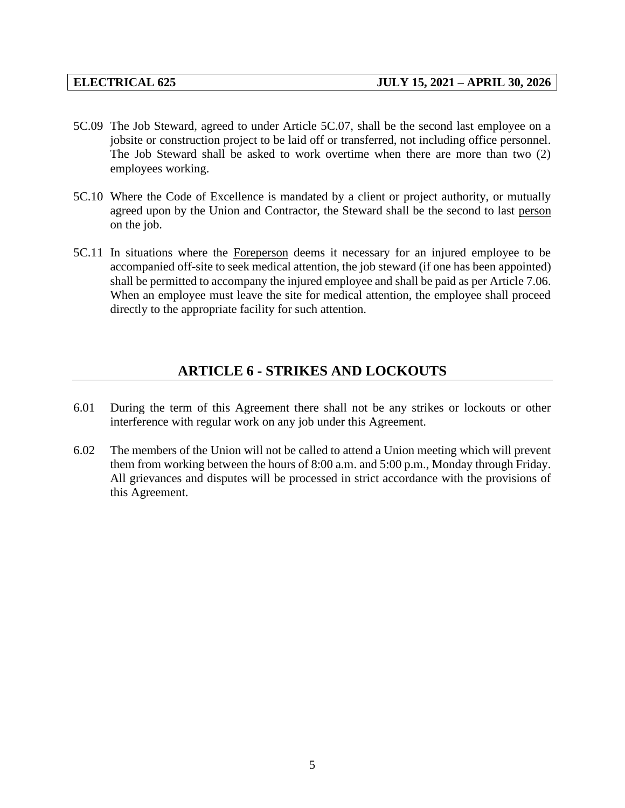- 5C.09 The Job Steward, agreed to under Article 5C.07, shall be the second last employee on a jobsite or construction project to be laid off or transferred, not including office personnel. The Job Steward shall be asked to work overtime when there are more than two (2) employees working.
- 5C.10 Where the Code of Excellence is mandated by a client or project authority, or mutually agreed upon by the Union and Contractor, the Steward shall be the second to last person on the job.
- 5C.11 In situations where the Foreperson deems it necessary for an injured employee to be accompanied off-site to seek medical attention, the job steward (if one has been appointed) shall be permitted to accompany the injured employee and shall be paid as per Article 7.06. When an employee must leave the site for medical attention, the employee shall proceed directly to the appropriate facility for such attention.

# **ARTICLE 6 - STRIKES AND LOCKOUTS**

- <span id="page-7-0"></span>6.01 During the term of this Agreement there shall not be any strikes or lockouts or other interference with regular work on any job under this Agreement.
- 6.02 The members of the Union will not be called to attend a Union meeting which will prevent them from working between the hours of 8:00 a.m. and 5:00 p.m., Monday through Friday. All grievances and disputes will be processed in strict accordance with the provisions of this Agreement.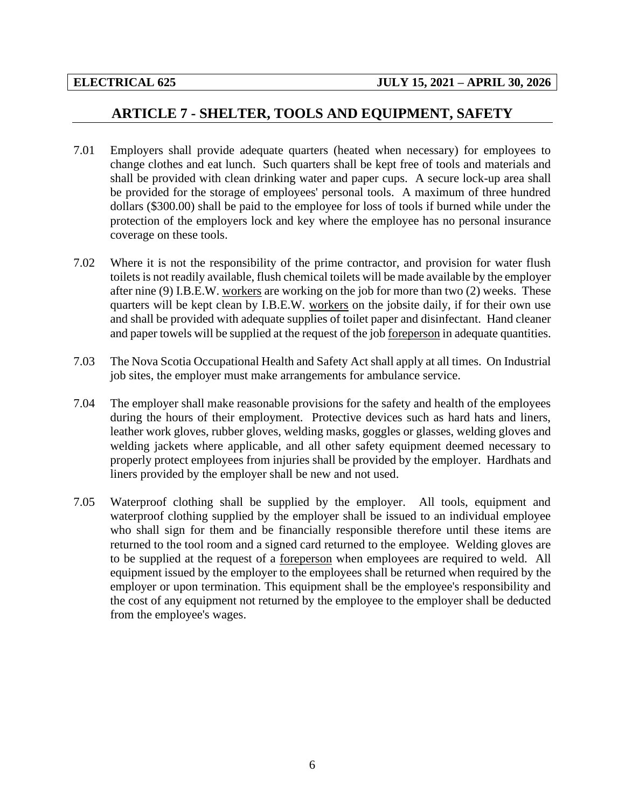## <span id="page-8-0"></span>**ARTICLE 7 - SHELTER, TOOLS AND EQUIPMENT, SAFETY**

- 7.01 Employers shall provide adequate quarters (heated when necessary) for employees to change clothes and eat lunch. Such quarters shall be kept free of tools and materials and shall be provided with clean drinking water and paper cups. A secure lock-up area shall be provided for the storage of employees' personal tools. A maximum of three hundred dollars (\$300.00) shall be paid to the employee for loss of tools if burned while under the protection of the employers lock and key where the employee has no personal insurance coverage on these tools.
- 7.02 Where it is not the responsibility of the prime contractor, and provision for water flush toilets is not readily available, flush chemical toilets will be made available by the employer after nine (9) I.B.E.W. workers are working on the job for more than two (2) weeks. These quarters will be kept clean by I.B.E.W. workers on the jobsite daily, if for their own use and shall be provided with adequate supplies of toilet paper and disinfectant. Hand cleaner and paper towels will be supplied at the request of the job foreperson in adequate quantities.
- 7.03 The Nova Scotia Occupational Health and Safety Act shall apply at all times. On Industrial job sites, the employer must make arrangements for ambulance service.
- 7.04 The employer shall make reasonable provisions for the safety and health of the employees during the hours of their employment. Protective devices such as hard hats and liners, leather work gloves, rubber gloves, welding masks, goggles or glasses, welding gloves and welding jackets where applicable, and all other safety equipment deemed necessary to properly protect employees from injuries shall be provided by the employer. Hardhats and liners provided by the employer shall be new and not used.
- 7.05 Waterproof clothing shall be supplied by the employer. All tools, equipment and waterproof clothing supplied by the employer shall be issued to an individual employee who shall sign for them and be financially responsible therefore until these items are returned to the tool room and a signed card returned to the employee. Welding gloves are to be supplied at the request of a foreperson when employees are required to weld. All equipment issued by the employer to the employees shall be returned when required by the employer or upon termination. This equipment shall be the employee's responsibility and the cost of any equipment not returned by the employee to the employer shall be deducted from the employee's wages.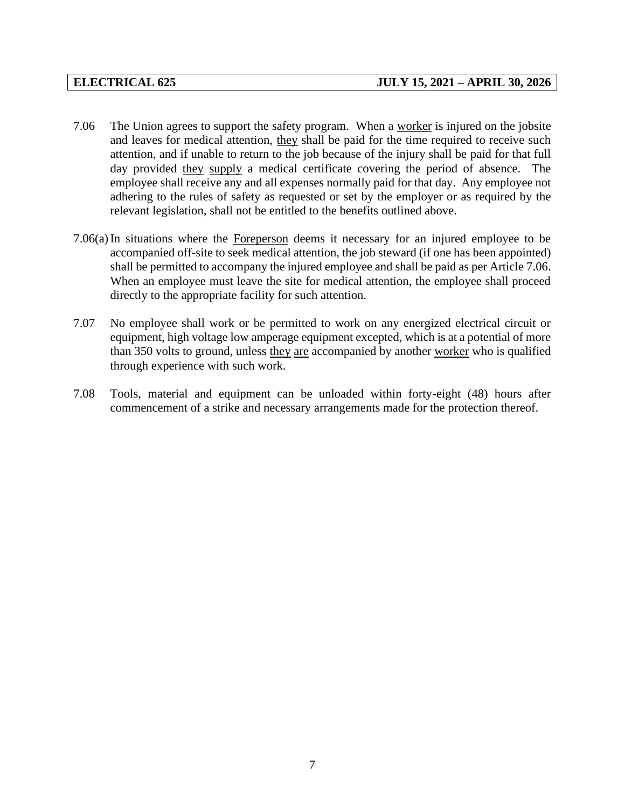- 7.06 The Union agrees to support the safety program. When a worker is injured on the jobsite and leaves for medical attention, they shall be paid for the time required to receive such attention, and if unable to return to the job because of the injury shall be paid for that full day provided they supply a medical certificate covering the period of absence. The employee shall receive any and all expenses normally paid for that day. Any employee not adhering to the rules of safety as requested or set by the employer or as required by the relevant legislation, shall not be entitled to the benefits outlined above.
- 7.06(a)In situations where the Foreperson deems it necessary for an injured employee to be accompanied off-site to seek medical attention, the job steward (if one has been appointed) shall be permitted to accompany the injured employee and shall be paid as per Article 7.06. When an employee must leave the site for medical attention, the employee shall proceed directly to the appropriate facility for such attention.
- 7.07 No employee shall work or be permitted to work on any energized electrical circuit or equipment, high voltage low amperage equipment excepted, which is at a potential of more than 350 volts to ground, unless they are accompanied by another worker who is qualified through experience with such work.
- 7.08 Tools, material and equipment can be unloaded within forty-eight (48) hours after commencement of a strike and necessary arrangements made for the protection thereof.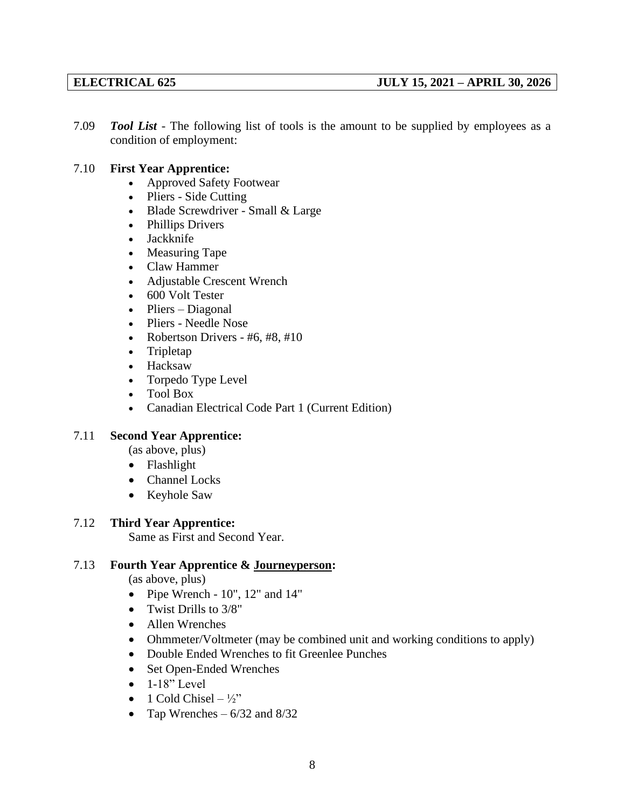7.09 *Tool List* - The following list of tools is the amount to be supplied by employees as a condition of employment:

## 7.10 **First Year Apprentice:**

- Approved Safety Footwear
- Pliers Side Cutting
- Blade Screwdriver Small & Large
- Phillips Drivers
- Jackknife
- Measuring Tape
- Claw Hammer
- Adjustable Crescent Wrench
- 600 Volt Tester
- Pliers Diagonal
- Pliers Needle Nose
- Robertson Drivers #6, #8, #10
- Tripletap
- Hacksaw
- Torpedo Type Level
- Tool Box
- Canadian Electrical Code Part 1 (Current Edition)

## 7.11 **Second Year Apprentice:**

- (as above, plus)
- Flashlight
- Channel Locks
- Keyhole Saw

### 7.12 **Third Year Apprentice:**

Same as First and Second Year.

### 7.13 **Fourth Year Apprentice & Journeyperson:**

(as above, plus)

- Pipe Wrench 10", 12" and 14"
- Twist Drills to 3/8"
- Allen Wrenches
- Ohmmeter/Voltmeter (may be combined unit and working conditions to apply)
- Double Ended Wrenches to fit Greenlee Punches
- Set Open-Ended Wrenches
- $\bullet$  1-18" Level
- 1 Cold Chisel  $\frac{1}{2}$ "
- Tap Wrenches  $-6/32$  and  $8/32$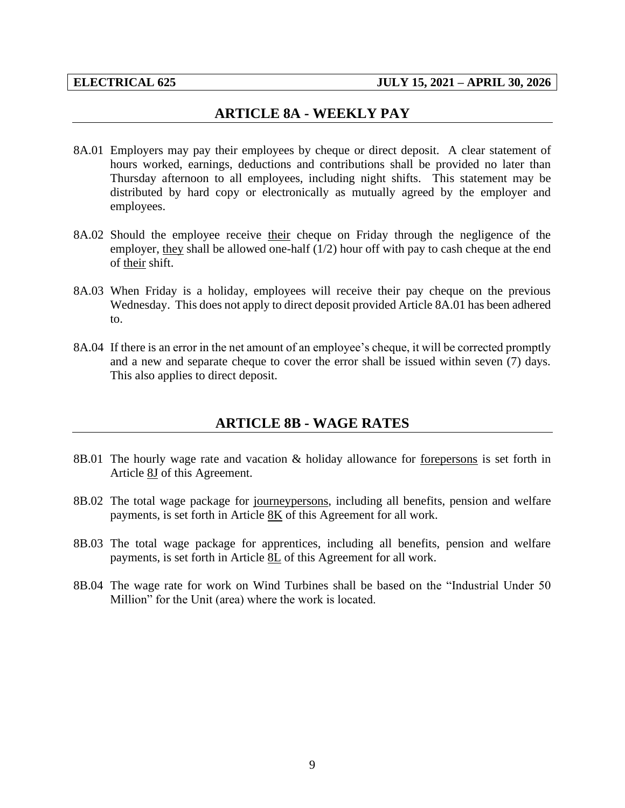## **ARTICLE 8A - WEEKLY PAY**

- <span id="page-11-0"></span>8A.01 Employers may pay their employees by cheque or direct deposit. A clear statement of hours worked, earnings, deductions and contributions shall be provided no later than Thursday afternoon to all employees, including night shifts. This statement may be distributed by hard copy or electronically as mutually agreed by the employer and employees.
- 8A.02 Should the employee receive their cheque on Friday through the negligence of the employer, they shall be allowed one-half (1/2) hour off with pay to cash cheque at the end of their shift.
- 8A.03 When Friday is a holiday, employees will receive their pay cheque on the previous Wednesday. This does not apply to direct deposit provided Article 8A.01 has been adhered to.
- <span id="page-11-1"></span>8A.04 If there is an error in the net amount of an employee's cheque, it will be corrected promptly and a new and separate cheque to cover the error shall be issued within seven (7) days. This also applies to direct deposit.

## **ARTICLE 8B - WAGE RATES**

- 8B.01 The hourly wage rate and vacation & holiday allowance for forepersons is set forth in Article 8J of this Agreement.
- 8B.02 The total wage package for journeypersons, including all benefits, pension and welfare payments, is set forth in Article 8K of this Agreement for all work.
- 8B.03 The total wage package for apprentices, including all benefits, pension and welfare payments, is set forth in Article 8L of this Agreement for all work.
- 8B.04 The wage rate for work on Wind Turbines shall be based on the "Industrial Under 50 Million" for the Unit (area) where the work is located.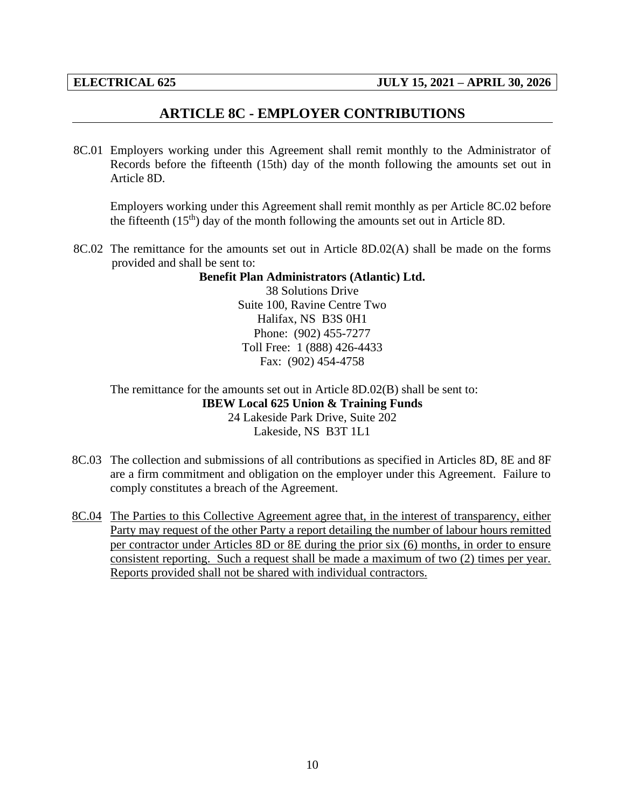## **ARTICLE 8C - EMPLOYER CONTRIBUTIONS**

<span id="page-12-0"></span>8C.01 Employers working under this Agreement shall remit monthly to the Administrator of Records before the fifteenth (15th) day of the month following the amounts set out in Article 8D.

Employers working under this Agreement shall remit monthly as per Article 8C.02 before the fifteenth  $(15<sup>th</sup>)$  day of the month following the amounts set out in Article 8D.

8C.02 The remittance for the amounts set out in Article 8D.02(A) shall be made on the forms provided and shall be sent to:

### **Benefit Plan Administrators (Atlantic) Ltd.**

38 Solutions Drive Suite 100, Ravine Centre Two Halifax, NS B3S 0H1 Phone: (902) 455-7277 Toll Free: 1 (888) 426-4433 Fax: (902) 454-4758

The remittance for the amounts set out in Article 8D.02(B) shall be sent to: **IBEW Local 625 Union & Training Funds** 24 Lakeside Park Drive, Suite 202 Lakeside, NS B3T 1L1

- 8C.03 The collection and submissions of all contributions as specified in Articles 8D, 8E and 8F are a firm commitment and obligation on the employer under this Agreement. Failure to comply constitutes a breach of the Agreement.
- 8C.04 The Parties to this Collective Agreement agree that, in the interest of transparency, either Party may request of the other Party a report detailing the number of labour hours remitted per contractor under Articles 8D or 8E during the prior six (6) months, in order to ensure consistent reporting. Such a request shall be made a maximum of two (2) times per year. Reports provided shall not be shared with individual contractors.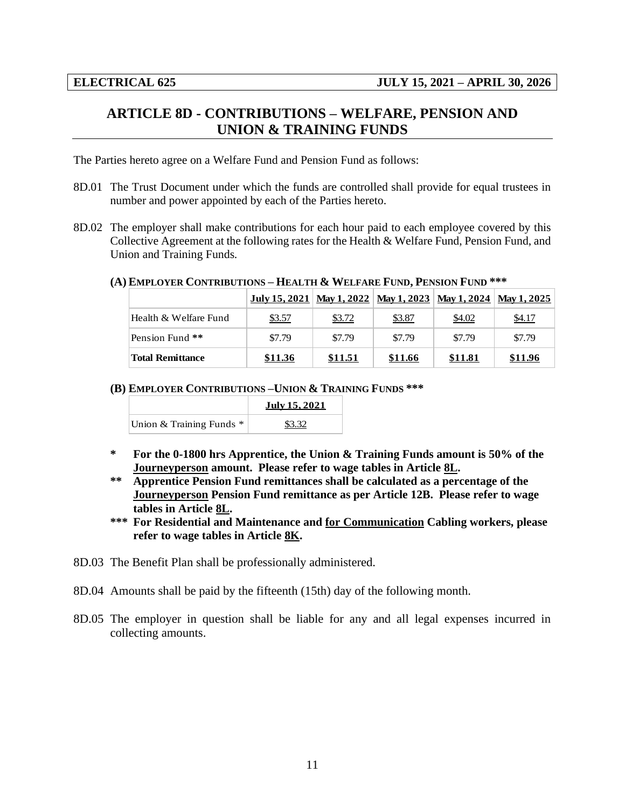# <span id="page-13-0"></span>**ARTICLE 8D - CONTRIBUTIONS – WELFARE, PENSION AND UNION & TRAINING FUNDS**

The Parties hereto agree on a Welfare Fund and Pension Fund as follows:

- 8D.01 The Trust Document under which the funds are controlled shall provide for equal trustees in number and power appointed by each of the Parties hereto.
- 8D.02 The employer shall make contributions for each hour paid to each employee covered by this Collective Agreement at the following rates for the Health & Welfare Fund, Pension Fund, and Union and Training Funds.

#### **(A) EMPLOYER CONTRIBUTIONS – HEALTH & WELFARE FUND, PENSION FUND \*\*\***

|                            | <u>July 15, 2021</u> May 1, 2022 May 1, 2023 May 1, 2024 May 1, 2025 |         |         |         |         |
|----------------------------|----------------------------------------------------------------------|---------|---------|---------|---------|
| Health & Welfare Fund      | \$3.57                                                               | \$3.72  | \$3.87  | \$4.02  | \$4.17  |
| Pension Fund <sup>**</sup> | \$7.79                                                               | \$7.79  | \$7.79  | \$7.79  | \$7.79  |
| <b>Total Remittance</b>    | \$11.36                                                              | \$11.51 | \$11.66 | \$11.81 | \$11.96 |

#### **(B) EMPLOYER CONTRIBUTIONS –UNION & TRAINING FUNDS \*\*\***

|                          | July 15, 2021 |
|--------------------------|---------------|
| Union & Training Funds * |               |

- **\* For the 0-1800 hrs Apprentice, the Union & Training Funds amount is 50% of the Journeyperson amount. Please refer to wage tables in Article 8L.**
- **\*\* Apprentice Pension Fund remittances shall be calculated as a percentage of the Journeyperson Pension Fund remittance as per Article 12B. Please refer to wage tables in Article 8L.**
- **\*\*\* For Residential and Maintenance and for Communication Cabling workers, please refer to wage tables in Article 8K.**
- 8D.03 The Benefit Plan shall be professionally administered.
- 8D.04 Amounts shall be paid by the fifteenth (15th) day of the following month.
- 8D.05 The employer in question shall be liable for any and all legal expenses incurred in collecting amounts.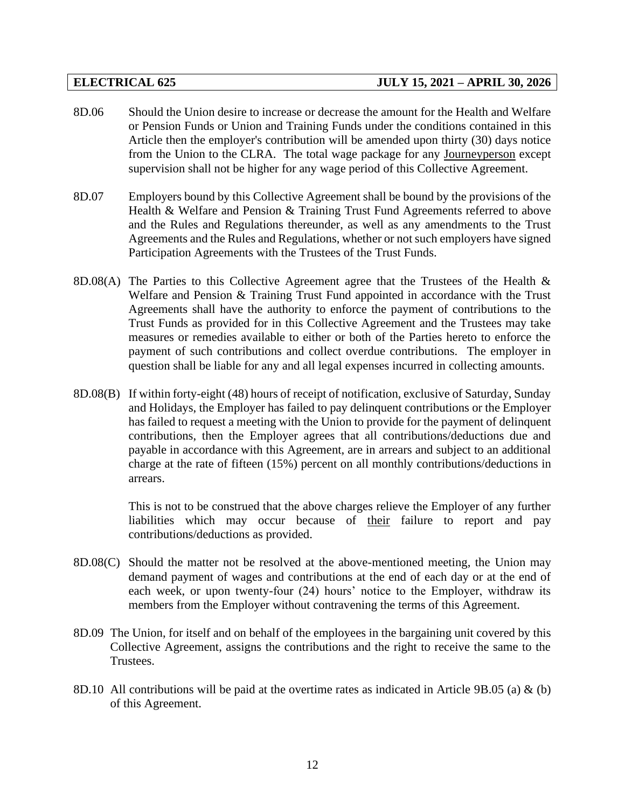- 8D.06 Should the Union desire to increase or decrease the amount for the Health and Welfare or Pension Funds or Union and Training Funds under the conditions contained in this Article then the employer's contribution will be amended upon thirty (30) days notice from the Union to the CLRA. The total wage package for any Journeyperson except supervision shall not be higher for any wage period of this Collective Agreement.
- 8D.07 Employers bound by this Collective Agreement shall be bound by the provisions of the Health & Welfare and Pension & Training Trust Fund Agreements referred to above and the Rules and Regulations thereunder, as well as any amendments to the Trust Agreements and the Rules and Regulations, whether or not such employers have signed Participation Agreements with the Trustees of the Trust Funds.
- 8D.08(A) The Parties to this Collective Agreement agree that the Trustees of the Health  $\&$ Welfare and Pension & Training Trust Fund appointed in accordance with the Trust Agreements shall have the authority to enforce the payment of contributions to the Trust Funds as provided for in this Collective Agreement and the Trustees may take measures or remedies available to either or both of the Parties hereto to enforce the payment of such contributions and collect overdue contributions. The employer in question shall be liable for any and all legal expenses incurred in collecting amounts.
- 8D.08(B) If within forty-eight (48) hours of receipt of notification, exclusive of Saturday, Sunday and Holidays, the Employer has failed to pay delinquent contributions or the Employer has failed to request a meeting with the Union to provide for the payment of delinquent contributions, then the Employer agrees that all contributions/deductions due and payable in accordance with this Agreement, are in arrears and subject to an additional charge at the rate of fifteen (15%) percent on all monthly contributions/deductions in arrears.

This is not to be construed that the above charges relieve the Employer of any further liabilities which may occur because of their failure to report and pay contributions/deductions as provided.

- 8D.08(C) Should the matter not be resolved at the above-mentioned meeting, the Union may demand payment of wages and contributions at the end of each day or at the end of each week, or upon twenty-four (24) hours' notice to the Employer, withdraw its members from the Employer without contravening the terms of this Agreement.
- 8D.09 The Union, for itself and on behalf of the employees in the bargaining unit covered by this Collective Agreement, assigns the contributions and the right to receive the same to the Trustees.
- 8D.10 All contributions will be paid at the overtime rates as indicated in Article 9B.05 (a) & (b) of this Agreement.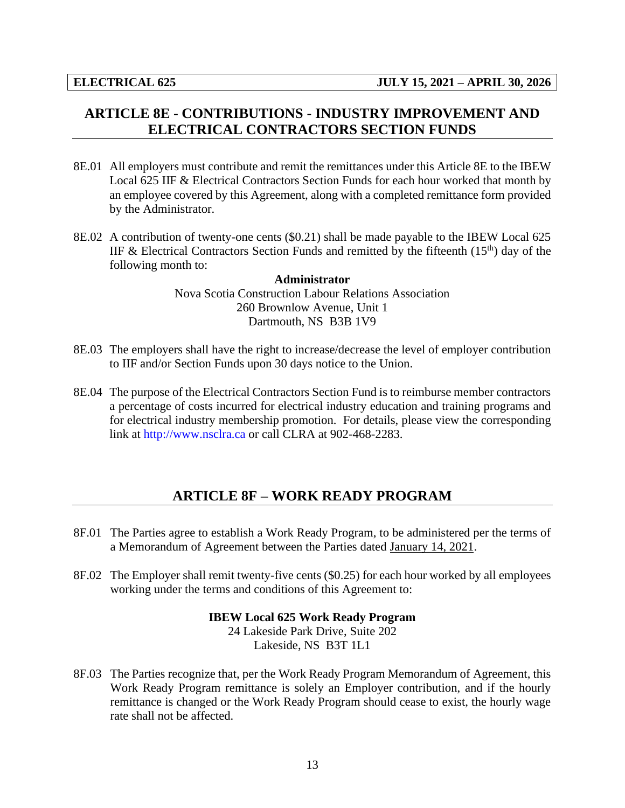# <span id="page-15-0"></span>**ARTICLE 8E - CONTRIBUTIONS - INDUSTRY IMPROVEMENT AND ELECTRICAL CONTRACTORS SECTION FUNDS**

- 8E.01 All employers must contribute and remit the remittances under this Article 8E to the IBEW Local 625 IIF & Electrical Contractors Section Funds for each hour worked that month by an employee covered by this Agreement, along with a completed remittance form provided by the Administrator.
- 8E.02 A contribution of twenty-one cents (\$0.21) shall be made payable to the IBEW Local 625 IIF & Electrical Contractors Section Funds and remitted by the fifteenth  $(15<sup>th</sup>)$  day of the following month to:

#### **Administrator**

Nova Scotia Construction Labour Relations Association 260 Brownlow Avenue, Unit 1 Dartmouth, NS B3B 1V9

- 8E.03 The employers shall have the right to increase/decrease the level of employer contribution to IIF and/or Section Funds upon 30 days notice to the Union.
- 8E.04 The purpose of the Electrical Contractors Section Fund is to reimburse member contractors a percentage of costs incurred for electrical industry education and training programs and for electrical industry membership promotion. For details, please view the corresponding link at [http://www.nsclra.ca](http://www.nsclra.ca/) or call CLRA at 902-468-2283.

# **ARTICLE 8F – WORK READY PROGRAM**

- <span id="page-15-1"></span>8F.01 The Parties agree to establish a Work Ready Program, to be administered per the terms of a Memorandum of Agreement between the Parties dated January 14, 2021.
- 8F.02 The Employer shall remit twenty-five cents (\$0.25) for each hour worked by all employees working under the terms and conditions of this Agreement to:

### **IBEW Local 625 Work Ready Program**

24 Lakeside Park Drive, Suite 202 Lakeside, NS B3T 1L1

8F.03 The Parties recognize that, per the Work Ready Program Memorandum of Agreement, this Work Ready Program remittance is solely an Employer contribution, and if the hourly remittance is changed or the Work Ready Program should cease to exist, the hourly wage rate shall not be affected.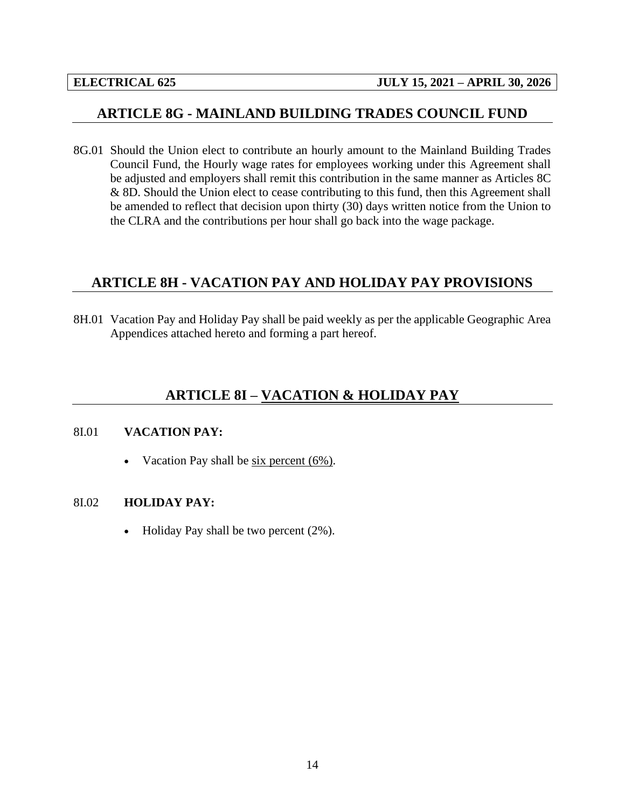## <span id="page-16-0"></span>**ARTICLE 8G - MAINLAND BUILDING TRADES COUNCIL FUND**

8G.01 Should the Union elect to contribute an hourly amount to the Mainland Building Trades Council Fund, the Hourly wage rates for employees working under this Agreement shall be adjusted and employers shall remit this contribution in the same manner as Articles 8C & 8D. Should the Union elect to cease contributing to this fund, then this Agreement shall be amended to reflect that decision upon thirty (30) days written notice from the Union to the CLRA and the contributions per hour shall go back into the wage package.

# <span id="page-16-1"></span>**ARTICLE 8H - VACATION PAY AND HOLIDAY PAY PROVISIONS**

<span id="page-16-2"></span>8H.01 Vacation Pay and Holiday Pay shall be paid weekly as per the applicable Geographic Area Appendices attached hereto and forming a part hereof.

# **ARTICLE 8I – VACATION & HOLIDAY PAY**

### 8I.01 **VACATION PAY:**

• Vacation Pay shall be six percent  $(6\%)$ .

#### 8I.02 **HOLIDAY PAY:**

• Holiday Pay shall be two percent (2%).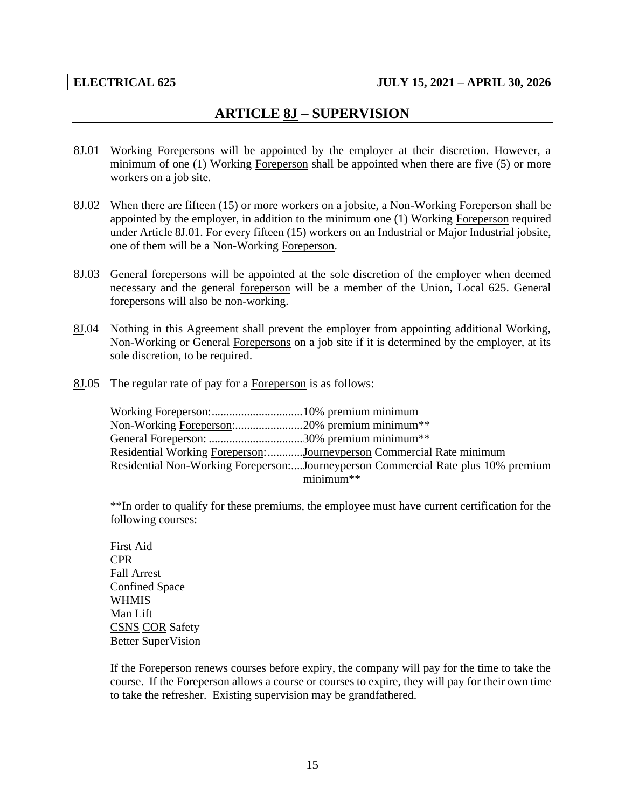# **ARTICLE 8J – SUPERVISION**

- <span id="page-17-0"></span>8J.01 Working Forepersons will be appointed by the employer at their discretion. However, a minimum of one (1) Working Foreperson shall be appointed when there are five (5) or more workers on a job site.
- 8J.02 When there are fifteen (15) or more workers on a jobsite, a Non-Working Foreperson shall be appointed by the employer, in addition to the minimum one (1) Working Foreperson required under Article 81.01. For every fifteen (15) workers on an Industrial or Major Industrial jobsite, one of them will be a Non-Working Foreperson.
- 8J.03 General forepersons will be appointed at the sole discretion of the employer when deemed necessary and the general foreperson will be a member of the Union, Local 625. General forepersons will also be non-working.
- 8J.04 Nothing in this Agreement shall prevent the employer from appointing additional Working, Non-Working or General Forepersons on a job site if it is determined by the employer, at its sole discretion, to be required.
- 8J.05 The regular rate of pay for a Foreperson is as follows:

| General Foreperson: 30% premium minimum** |                                                                                   |
|-------------------------------------------|-----------------------------------------------------------------------------------|
|                                           | Residential Working Foreperson:Journeyperson Commercial Rate minimum              |
|                                           | Residential Non-Working Foreperson:Journeyperson Commercial Rate plus 10% premium |
|                                           | $minimum$ **                                                                      |

\*\*In order to qualify for these premiums, the employee must have current certification for the following courses:

First Aid CPR Fall Arrest Confined Space WHMIS Man Lift CSNS COR Safety Better SuperVision

If the Foreperson renews courses before expiry, the company will pay for the time to take the course. If the Foreperson allows a course or courses to expire, they will pay for their own time to take the refresher. Existing supervision may be grandfathered.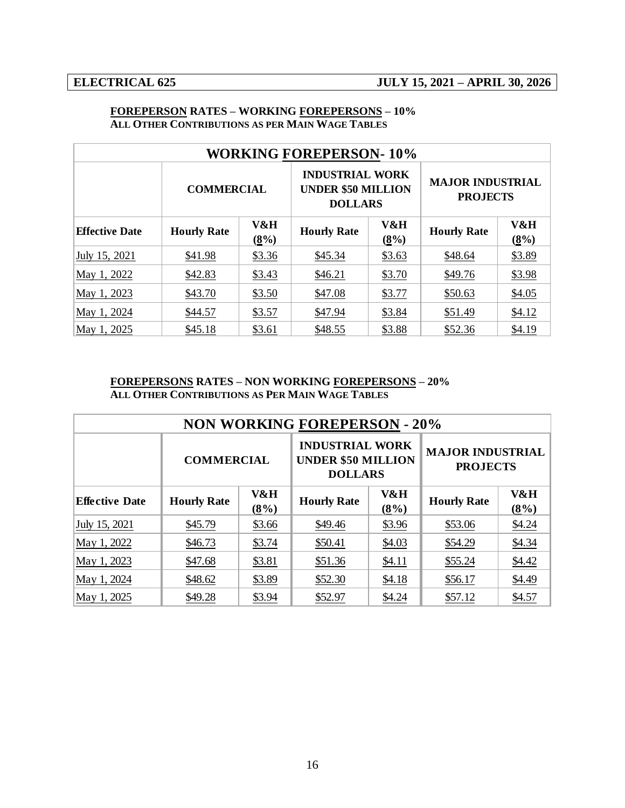#### **Effective Date Hourly Rate V&H (8%) (8%) Hourly Rate**  $\begin{array}{|c|c|} \hline \textbf{V&H} & \textbf{V&H} \ \hline \textbf{(8\%)} & \textbf{0} & \textbf{0} \ \hline \end{array}$ **(8%) Hourly Rate V&H (8%)**  $July 15, 2021$   $$41.98$   $$3.36$   $$45.34$   $$3.63$   $$48.64$   $$3.89$ May 1, 2022 \$42.83 \$3.43 \$46.21 \$3.70 \$49.76 \$3.98 May 1, 2023 | \$43.70 | \$3.50 | \$47.08 | \$3.77 | \$50.63 | \$4.05 May 1, 2024 \$44.57 \$3.57 \$47.94 \$3.84 \$51.49 \$4.12 May 1, 2025 | \$45.18 | \$3.61 | \$48.55 | \$3.88 | \$52.36 | \$4.19 **COMMERCIAL INDUSTRIAL WORK UNDER \$50 MILLION DOLLARS MAJOR INDUSTRIAL PROJECTS WORKING FOREPERSON- 10%**

#### **FOREPERSON RATES – WORKING FOREPERSONS – 10% ALL OTHER CONTRIBUTIONS AS PER MAIN WAGE TABLES**

### **FOREPERSONS RATES – NON WORKING FOREPERSONS – 20% ALL OTHER CONTRIBUTIONS AS PER MAIN WAGE TABLES**

|                       | <b>NON WORKING FOREPERSON - 20%</b> |                |                                                                       |                |                                            |             |  |  |  |  |  |  |
|-----------------------|-------------------------------------|----------------|-----------------------------------------------------------------------|----------------|--------------------------------------------|-------------|--|--|--|--|--|--|
|                       | <b>COMMERCIAL</b>                   |                | <b>INDUSTRIAL WORK</b><br><b>UNDER \$50 MILLION</b><br><b>DOLLARS</b> |                | <b>MAJOR INDUSTRIAL</b><br><b>PROJECTS</b> |             |  |  |  |  |  |  |
| <b>Effective Date</b> | <b>Hourly Rate</b>                  | V&H<br>$(8\%)$ | <b>Hourly Rate</b>                                                    | V&H<br>$(8\%)$ |                                            | V&H<br>(8%) |  |  |  |  |  |  |
| July 15, 2021         | \$45.79                             | \$3.66         | \$49.46                                                               | \$3.96         | \$53.06                                    | \$4.24      |  |  |  |  |  |  |
| May 1, 2022           | \$46.73                             | \$3.74         | \$50.41                                                               | \$4.03         | \$54.29                                    | \$4.34      |  |  |  |  |  |  |
| May 1, 2023           | \$47.68                             | \$3.81         | \$51.36                                                               | \$4.11         | \$55.24                                    | \$4.42      |  |  |  |  |  |  |
| May 1, 2024           | \$48.62<br>\$3.89                   |                | \$52.30                                                               | \$4.18         | \$56.17                                    | \$4.49      |  |  |  |  |  |  |
| May 1, 2025           | \$49.28                             | \$3.94         | \$52.97                                                               | \$4.24         | \$57.12                                    | \$4.57      |  |  |  |  |  |  |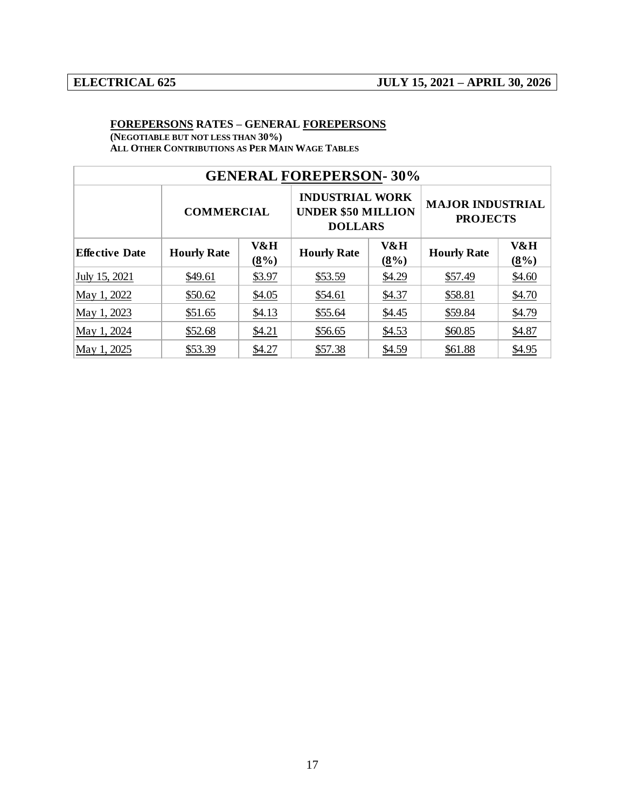## **FOREPERSONS RATES – GENERAL FOREPERSONS**

**(NEGOTIABLE BUT NOT LESS THAN 30%)**

**ALL OTHER CONTRIBUTIONS AS PER MAIN WAGE TABLES**

|                       | <b>GENERAL FOREPERSON-30%</b> |                |                                                                       |                |                                            |             |  |  |  |  |  |  |
|-----------------------|-------------------------------|----------------|-----------------------------------------------------------------------|----------------|--------------------------------------------|-------------|--|--|--|--|--|--|
|                       | <b>COMMERCIAL</b>             |                | <b>INDUSTRIAL WORK</b><br><b>UNDER \$50 MILLION</b><br><b>DOLLARS</b> |                | <b>MAJOR INDUSTRIAL</b><br><b>PROJECTS</b> |             |  |  |  |  |  |  |
| <b>Effective Date</b> | <b>Hourly Rate</b>            | V&H<br>$(8\%)$ | <b>Hourly Rate</b>                                                    | V&H<br>$(8\%)$ | <b>Hourly Rate</b>                         | V&H<br>(8%) |  |  |  |  |  |  |
| July 15, 2021         | \$49.61                       | \$3.97         | \$53.59                                                               | \$4.29         | \$57.49                                    | \$4.60      |  |  |  |  |  |  |
| May 1, 2022           | \$50.62                       | \$4.05         | \$54.61                                                               | \$4.37         | \$58.81                                    | \$4.70      |  |  |  |  |  |  |
| May 1, 2023           | \$51.65                       | \$4.13         | \$55.64                                                               | \$4.45         | \$59.84                                    | \$4.79      |  |  |  |  |  |  |
| May 1, 2024           | \$52.68                       | \$4.21         | \$56.65                                                               | \$4.53         | \$60.85                                    | \$4.87      |  |  |  |  |  |  |
| May 1, 2025           | \$53.39                       | \$4.27         | \$57.38                                                               | \$4.59         | \$61.88                                    | \$4.95      |  |  |  |  |  |  |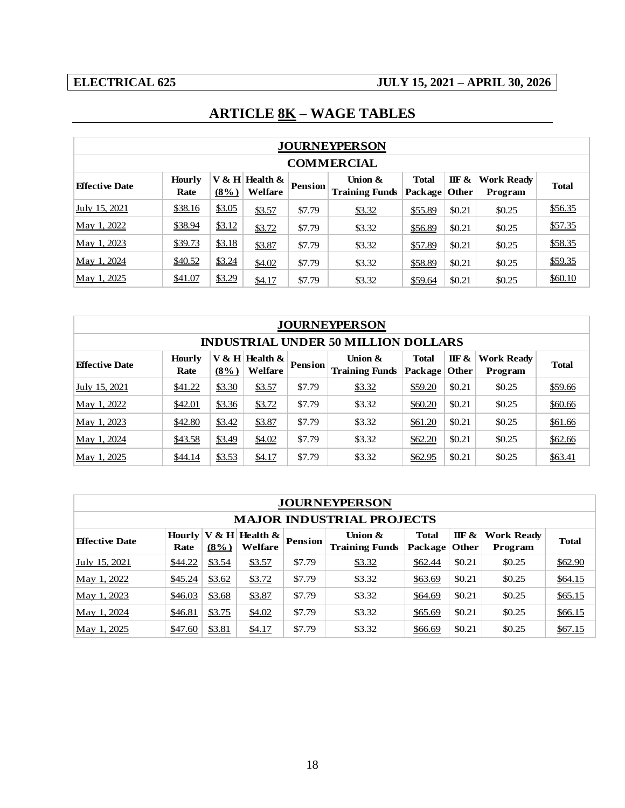# **ARTICLE 8K – WAGE TABLES**

<span id="page-20-0"></span>

|                                                                                                                                                                                                                                                                                      | <b>JOURNEYPERSON</b> |        |        |        |        |         |        |        |         |  |  |  |
|--------------------------------------------------------------------------------------------------------------------------------------------------------------------------------------------------------------------------------------------------------------------------------------|----------------------|--------|--------|--------|--------|---------|--------|--------|---------|--|--|--|
| <b>COMMERCIAL</b>                                                                                                                                                                                                                                                                    |                      |        |        |        |        |         |        |        |         |  |  |  |
| $\mathbf{I} \mathbf{F} \mathbf{\&}$<br><b>Work Ready</b><br>V & H<br>Health &<br><b>Total</b><br>Union $\&$<br><b>Hourly</b><br><b>Total</b><br><b>Effective Date</b><br><b>Pension</b><br>Welfare<br><b>Training Funds</b><br>$(8\%)$<br>Package<br>Rate<br><b>Other</b><br>Program |                      |        |        |        |        |         |        |        |         |  |  |  |
| July 15, 2021                                                                                                                                                                                                                                                                        | \$38.16              | \$3.05 | \$3.57 | \$7.79 | \$3.32 | \$55.89 | \$0.21 | \$0.25 | \$56.35 |  |  |  |
| May 1, 2022                                                                                                                                                                                                                                                                          | \$38.94              | \$3.12 | \$3.72 | \$7.79 | \$3.32 | \$56.89 | \$0.21 | \$0.25 | \$57.35 |  |  |  |
| May 1, 2023                                                                                                                                                                                                                                                                          | \$39.73              | \$3.18 | \$3.87 | \$7.79 | \$3.32 | \$57.89 | \$0.21 | \$0.25 | \$58.35 |  |  |  |
| May 1, 2024                                                                                                                                                                                                                                                                          | \$40.52              | \$3.24 | \$4.02 | \$7.79 | \$3.32 | \$58.89 | \$0.21 | \$0.25 | \$59.35 |  |  |  |
| May 1, 2025                                                                                                                                                                                                                                                                          | \$41.07              | \$3.29 | \$4.17 | \$7.79 | \$3.32 | \$59.64 | \$0.21 | \$0.25 | \$60.10 |  |  |  |

|                                            | <b>JOURNEYPERSON</b>                                                                                                                                                                                                     |        |        |        |        |         |        |        |         |  |  |  |
|--------------------------------------------|--------------------------------------------------------------------------------------------------------------------------------------------------------------------------------------------------------------------------|--------|--------|--------|--------|---------|--------|--------|---------|--|--|--|
| <b>INDUSTRIAL UNDER 50 MILLION DOLLARS</b> |                                                                                                                                                                                                                          |        |        |        |        |         |        |        |         |  |  |  |
| <b>Effective Date</b>                      | Health $\&$<br><b>Work Ready</b><br>Union &<br><b>Total</b><br>IIF &<br>V & H<br><b>Hourly</b><br><b>Total</b><br><b>Pension</b><br><b>Training Funds</b><br>Welfare<br>Package<br>Rate<br>$(8\%)$<br>  Other<br>Program |        |        |        |        |         |        |        |         |  |  |  |
| July 15, 2021                              | \$41.22                                                                                                                                                                                                                  | \$3.30 | \$3.57 | \$7.79 | \$3.32 | \$59.20 | \$0.21 | \$0.25 | \$59.66 |  |  |  |
| May 1, 2022                                | \$42.01                                                                                                                                                                                                                  | \$3.36 | \$3.72 | \$7.79 | \$3.32 | \$60.20 | \$0.21 | \$0.25 | \$60.66 |  |  |  |
| May 1, 2023                                | \$42.80                                                                                                                                                                                                                  | \$3.42 | \$3.87 | \$7.79 | \$3.32 | \$61.20 | \$0.21 | \$0.25 | \$61.66 |  |  |  |
| May 1, 2024                                | \$43.58                                                                                                                                                                                                                  | \$3.49 | \$4.02 | \$7.79 | \$3.32 | \$62.20 | \$0.21 | \$0.25 | \$62.66 |  |  |  |
| May 1, 2025                                | \$44.14                                                                                                                                                                                                                  | \$3.53 | \$4.17 | \$7.79 | \$3.32 | \$62.95 | \$0.21 | \$0.25 | \$63.41 |  |  |  |

|                                                                                                                                                                                                                                                                            | <b>JOURNEYPERSON</b> |        |        |        |        |         |        |        |         |  |  |  |
|----------------------------------------------------------------------------------------------------------------------------------------------------------------------------------------------------------------------------------------------------------------------------|----------------------|--------|--------|--------|--------|---------|--------|--------|---------|--|--|--|
| <b>MAJOR INDUSTRIAL PROJECTS</b>                                                                                                                                                                                                                                           |                      |        |        |        |        |         |        |        |         |  |  |  |
| V & H Health $\&$<br>Union $\&$<br>$\mathbf{H} \mathbf{F}$ &<br><b>Work Ready</b><br><b>Total</b><br><b>Hourly</b><br><b>Effective Date</b><br><b>Pension</b><br><b>Total</b><br>$(8\%)$<br>Welfare<br><b>Training Funds</b><br>Rate<br>Package<br><b>Other</b><br>Program |                      |        |        |        |        |         |        |        |         |  |  |  |
| July 15, 2021                                                                                                                                                                                                                                                              | \$44.22              | \$3.54 | \$3.57 | \$7.79 | \$3.32 | \$62.44 | \$0.21 | \$0.25 | \$62.90 |  |  |  |
| May 1, 2022                                                                                                                                                                                                                                                                | \$45.24              | \$3.62 | \$3.72 | \$7.79 | \$3.32 | \$63.69 | \$0.21 | \$0.25 | \$64.15 |  |  |  |
| May 1, 2023                                                                                                                                                                                                                                                                | \$46.03              | \$3.68 | \$3.87 | \$7.79 | \$3.32 | \$64.69 | \$0.21 | \$0.25 | \$65.15 |  |  |  |
| May 1, 2024                                                                                                                                                                                                                                                                | \$46.81              | \$3.75 | \$4.02 | \$7.79 | \$3.32 | \$65.69 | \$0.21 | \$0.25 | \$66.15 |  |  |  |
| May 1, 2025                                                                                                                                                                                                                                                                | \$47.60              | \$3.81 | \$4.17 | \$7.79 | \$3.32 | \$66.69 | \$0.21 | \$0.25 | \$67.15 |  |  |  |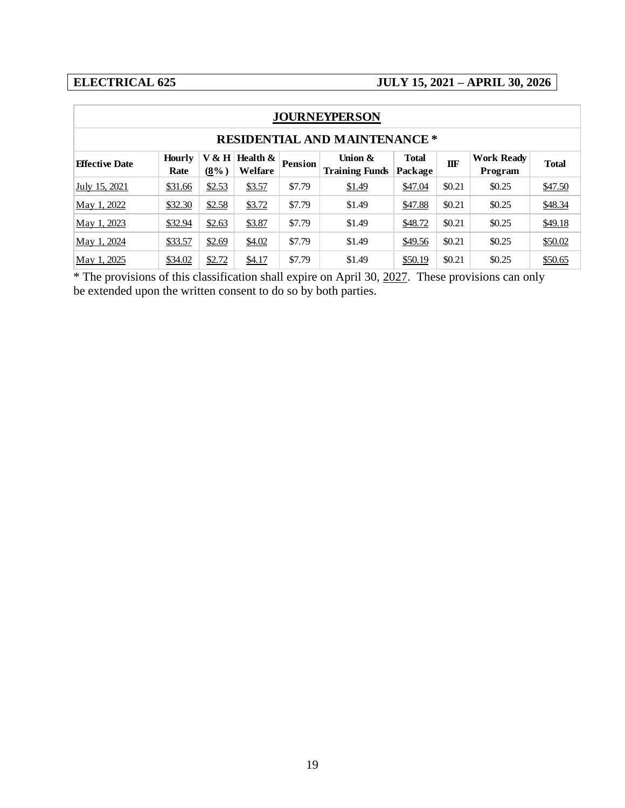| <b>JOURNEYPERSON</b>  |                |         |                              |         |                                      |                         |                                               |                              |              |  |
|-----------------------|----------------|---------|------------------------------|---------|--------------------------------------|-------------------------|-----------------------------------------------|------------------------------|--------------|--|
|                       |                |         |                              |         | <b>RESIDENTIAL AND MAINTENANCE *</b> |                         |                                               |                              |              |  |
| <b>Effective Date</b> | Hourly<br>Rate | $(8\%)$ | V & H Health $\&$<br>Welfare | Pension | Union $\&$<br><b>Training Funds</b>  | <b>Total</b><br>Package | $\ensuremath{\mathop{\mathrm{IIF}}\nolimits}$ | <b>Work Ready</b><br>Program | <b>Total</b> |  |
| July 15, 2021         | \$31.66        | \$2.53  | \$3.57                       | \$7.79  | \$1.49                               | \$47.04                 | \$0.21                                        | \$0.25                       | \$47.50      |  |
| May 1, 2022           | \$32.30        | \$2.58  | \$3.72                       | \$7.79  | \$1.49                               | \$47.88                 | \$0.21                                        | \$0.25                       | \$48.34      |  |
| May 1, 2023           | \$32.94        | \$2.63  | \$3.87                       | \$7.79  | \$1.49                               | \$48.72                 | \$0.21                                        | \$0.25                       | \$49.18      |  |
| May 1, 2024           | \$33.57        | \$2.69  | \$4.02                       | \$7.79  | \$1.49                               | \$49.56                 | \$0.21                                        | \$0.25                       | \$50.02      |  |
| May 1, 2025           | \$34.02        | \$2.72  | \$4.17                       | \$7.79  | \$1.49                               | \$50.19                 | \$0.21                                        | \$0.25                       | \$50.65      |  |
|                       |                |         |                              |         |                                      |                         |                                               |                              |              |  |
|                       |                |         |                              | 19      |                                      |                         |                                               |                              |              |  |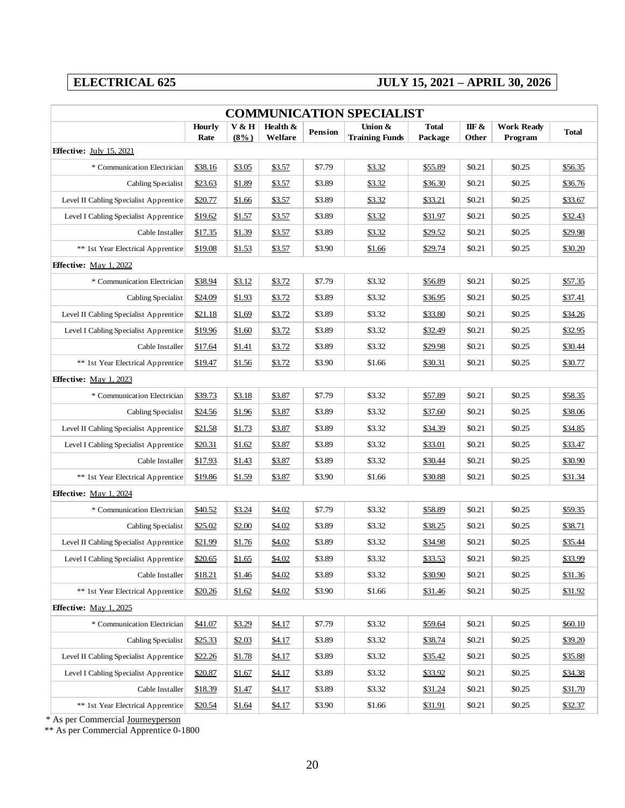|                                        |                       |                  |                        |         | <b>COMMUNICATION SPECIALIST</b>     |                         |                |                              |              |
|----------------------------------------|-----------------------|------------------|------------------------|---------|-------------------------------------|-------------------------|----------------|------------------------------|--------------|
|                                        | <b>Hourly</b><br>Rate | V & H<br>$(8\%)$ | Health $\&$<br>Welfare | Pension | Union $\&$<br><b>Training Funds</b> | <b>Total</b><br>Package | IIF &<br>Other | <b>Work Ready</b><br>Program | <b>Total</b> |
| <b>Effective:</b> July 15, 2021        |                       |                  |                        |         |                                     |                         |                |                              |              |
| * Communication Electrician            | \$38.16               | \$3.05           | \$3.57                 | \$7.79  | \$3.32                              | \$55.89                 | \$0.21         | \$0.25                       | \$56.35      |
| Cabling Specialist                     | \$23.63               | \$1.89           | \$3.57                 | \$3.89  | \$3.32                              | \$36.30                 | \$0.21         | \$0.25                       | \$36.76      |
| Level II Cabling Specialist Apprentice | \$20.77               | \$1.66           | \$3.57                 | \$3.89  | \$3.32                              | \$33.21                 | \$0.21         | \$0.25                       | \$33.67      |
| Level I Cabling Specialist Apprentice  | \$19.62               | \$1.57           | \$3.57                 | \$3.89  | \$3.32                              | \$31.97                 | \$0.21         | \$0.25                       | \$32.43      |
| Cable Installer                        | \$17.35               | \$1.39           | \$3.57                 | \$3.89  | \$3.32                              | \$29.52                 | \$0.21         | \$0.25                       | \$29.98      |
| ** 1st Year Electrical Apprentice      | \$19.08               | \$1.53           | \$3.57                 | \$3.90  | \$1.66                              | \$29.74                 | \$0.21         | \$0.25                       | \$30.20      |
| <b>Effective:</b> May 1, 2022          |                       |                  |                        |         |                                     |                         |                |                              |              |
| * Communication Electrician            | \$38.94               | \$3.12           | \$3.72                 | \$7.79  | \$3.32                              | \$56.89                 | \$0.21         | \$0.25                       | \$57.35      |
| Cabling Specialist                     | \$24.09               | \$1.93           | \$3.72                 | \$3.89  | \$3.32                              | \$36.95                 | \$0.21         | \$0.25                       | \$37.41      |
| Level II Cabling Specialist Apprentice | \$21.18               | \$1.69           | \$3.72                 | \$3.89  | \$3.32                              | \$33.80                 | \$0.21         | \$0.25                       | \$34.26      |
| Level I Cabling Specialist Apprentice  | \$19.96               | \$1.60           | \$3.72                 | \$3.89  | \$3.32                              | \$32.49                 | \$0.21         | \$0.25                       | \$32.95      |
| Cable Installer                        | \$17.64               | \$1.41           | \$3.72                 | \$3.89  | \$3.32                              | \$29.98                 | \$0.21         | \$0.25                       | \$30.44      |
| ** 1st Year Electrical Apprentice      | \$19.47               | \$1.56           | \$3.72                 | \$3.90  | \$1.66                              | \$30.31                 | \$0.21         | \$0.25                       | \$30.77      |
| <b>Effective:</b> May 1, 2023          |                       |                  |                        |         |                                     |                         |                |                              |              |
| * Communication Electrician            | \$39.73               | \$3.18           | \$3.87                 | \$7.79  | \$3.32                              | \$57.89                 | \$0.21         | \$0.25                       | \$58.35      |
| Cabling Specialist                     | \$24.56               | \$1.96           | \$3.87                 | \$3.89  | \$3.32                              | \$37.60                 | \$0.21         | \$0.25                       | \$38.06      |
| Level II Cabling Specialist Apprentice | \$21.58               | \$1.73           | \$3.87                 | \$3.89  | \$3.32                              | \$34.39                 | \$0.21         | \$0.25                       | \$34.85      |
| Level I Cabling Specialist Apprentice  | \$20.31               | \$1.62           | \$3.87                 | \$3.89  | \$3.32                              | \$33.01                 | \$0.21         | \$0.25                       | \$33.47      |
| Cable Installer                        | \$17.93               | \$1.43           | \$3.87                 | \$3.89  | \$3.32                              | \$30.44                 | \$0.21         | \$0.25                       | \$30.90      |
| ** 1st Year Electrical Apprentice      | \$19.86               | \$1.59           | \$3.87                 | \$3.90  | \$1.66                              | \$30.88                 | \$0.21         | \$0.25                       | \$31.34      |
| <b>Effective:</b> May 1, 2024          |                       |                  |                        |         |                                     |                         |                |                              |              |
| * Communication Electrician            | \$40.52               | \$3.24           | \$4.02                 | \$7.79  | \$3.32                              | \$58.89                 | \$0.21         | \$0.25                       | \$59.35      |
| Cabling Specialist                     | \$25.02               | \$2.00           | \$4.02                 | \$3.89  | \$3.32                              | \$38.25                 | \$0.21         | \$0.25                       | \$38.71      |
| Level II Cabling Specialist Apprentice | \$21.99               | \$1.76           | \$4.02                 | \$3.89  | \$3.32                              | \$34.98                 | \$0.21         | \$0.25                       | \$35.44      |
| Level I Cabling Specialist Apprentice  | \$20.65               | \$1.65           | \$4.02                 | \$3.89  | \$3.32                              | \$33.53                 | \$0.21         | \$0.25                       | \$33.99      |
| Cable Installer                        | \$18.21               | \$1.46           | \$4.02                 | \$3.89  | \$3.32                              | \$30.90                 | \$0.21         | \$0.25                       | \$31.36      |
| ** 1st Year Electrical Apprentice      | \$20.26               | \$1.62           | \$4.02                 | \$3.90  | \$1.66                              | \$31.46                 | \$0.21         | \$0.25                       | \$31.92      |
| <b>Effective:</b> May 1, 2025          |                       |                  |                        |         |                                     |                         |                |                              |              |
| * Communication Electrician            | \$41.07               | \$3.29           | \$4.17                 | \$7.79  | \$3.32                              | \$59.64                 | \$0.21         | \$0.25                       | \$60.10      |
| Cabling Specialist                     | \$25.33               | \$2.03           | \$4.17                 | \$3.89  | \$3.32                              | \$38.74                 | \$0.21         | \$0.25                       | \$39.20      |
| Level II Cabling Specialist Apprentice | \$22.26               | \$1.78           | \$4.17                 | \$3.89  | \$3.32                              | \$35.42                 | \$0.21         | \$0.25                       | \$35.88      |
| Level I Cabling Specialist Apprentice  | \$20.87               | \$1.67           | \$4.17                 | \$3.89  | \$3.32                              | \$33.92                 | \$0.21         | \$0.25                       | \$34.38      |
| Cable Installer                        | \$18.39               | \$1.47           | \$4.17                 | \$3.89  | \$3.32                              | \$31.24                 | \$0.21         | \$0.25                       | \$31.70      |
| ** 1st Year Electrical Apprentice      | \$20.54               | \$1.64           | \$4.17                 | \$3.90  | \$1.66                              | \$31.91                 | \$0.21         | \$0.25                       | \$32.37      |

\* As per Commercial Journeyperson

\*\* As per Commercial Apprentice 0-1800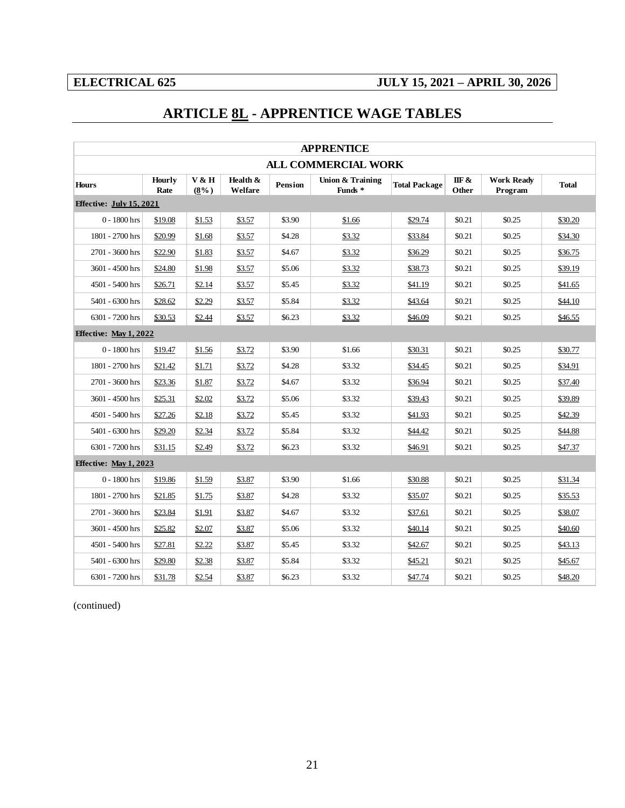# **ARTICLE 8L - APPRENTICE WAGE TABLES**

<span id="page-23-0"></span>

|                          | <b>APPRENTICE</b> |                  |                     |                |                             |                      |                |                              |              |  |  |
|--------------------------|-------------------|------------------|---------------------|----------------|-----------------------------|----------------------|----------------|------------------------------|--------------|--|--|
|                          |                   |                  |                     |                | <b>ALL COMMERCIAL WORK</b>  |                      |                |                              |              |  |  |
| <b>Hours</b>             | Hourly<br>Rate    | V & H<br>$(8\%)$ | Health &<br>Welfare | <b>Pension</b> | Union & Training<br>Funds * | <b>Total Package</b> | IIF &<br>Other | <b>Work Ready</b><br>Program | <b>Total</b> |  |  |
| Effective: July 15, 2021 |                   |                  |                     |                |                             |                      |                |                              |              |  |  |
| $0 - 1800$ hrs           | \$19.08           | \$1.53           | \$3.57              | \$3.90         | \$1.66                      | \$29.74              | \$0.21         | \$0.25                       | \$30.20      |  |  |
| 1801 - 2700 hrs          | \$20.99           | \$1.68           | \$3.57              | \$4.28         | \$3.32                      | \$33.84              | \$0.21         | \$0.25                       | \$34.30      |  |  |
| 2701 - 3600 hrs          | \$22.90           | \$1.83           | \$3.57              | \$4.67         | \$3.32                      | \$36.29              | \$0.21         | \$0.25                       | \$36.75      |  |  |
| 3601 - 4500 hrs          | \$24.80           | \$1.98           | \$3.57              | \$5.06         | \$3.32                      | \$38.73              | \$0.21         | \$0.25                       | \$39.19      |  |  |
| 4501 - 5400 hrs          | \$26.71           | \$2.14           | \$3.57              | \$5.45         | \$3.32                      | \$41.19              | \$0.21         | \$0.25                       | \$41.65      |  |  |
| 5401 - 6300 hrs          | \$28.62           | \$2.29           | \$3.57              | \$5.84         | \$3.32                      | \$43.64              | \$0.21         | \$0.25                       | \$44.10      |  |  |
| 6301 - 7200 hrs          | \$30.53           | \$2.44           | \$3.57              | \$6.23         | \$3.32                      | \$46.09              | \$0.21         | \$0.25                       | \$46.55      |  |  |
| Effective: May 1, 2022   |                   |                  |                     |                |                             |                      |                |                              |              |  |  |
| $0 - 1800$ hrs           | \$19.47           | \$1.56           | \$3.72              | \$3.90         | \$1.66                      | \$30.31              | \$0.21         | \$0.25                       | \$30.77      |  |  |
| 1801 - 2700 hrs          | \$21.42           | \$1.71           | \$3.72              | \$4.28         | \$3.32                      | \$34.45              | \$0.21         | \$0.25                       | \$34.91      |  |  |
| 2701 - 3600 hrs          | \$23.36           | \$1.87           | \$3.72              | \$4.67         | \$3.32                      | \$36.94              | \$0.21         | \$0.25                       | \$37.40      |  |  |
| 3601 - 4500 hrs          | \$25.31           | \$2.02           | \$3.72              | \$5.06         | \$3.32                      | \$39.43              | \$0.21         | \$0.25                       | \$39.89      |  |  |
| 4501 - 5400 hrs          | \$27.26           | \$2.18           | \$3.72              | \$5.45         | \$3.32                      | \$41.93              | \$0.21         | \$0.25                       | \$42.39      |  |  |
| 5401 - 6300 hrs          | \$29.20           | \$2.34           | \$3.72              | \$5.84         | \$3.32                      | \$44.42              | \$0.21         | \$0.25                       | \$44.88      |  |  |
| 6301 - 7200 hrs          | \$31.15           | \$2.49           | \$3.72              | \$6.23         | \$3.32                      | \$46.91              | \$0.21         | \$0.25                       | \$47.37      |  |  |
| Effective: May 1, 2023   |                   |                  |                     |                |                             |                      |                |                              |              |  |  |
| 0 - 1800 hrs             | \$19.86           | \$1.59           | \$3.87              | \$3.90         | \$1.66                      | \$30.88              | \$0.21         | \$0.25                       | \$31.34      |  |  |
| 1801 - 2700 hrs          | \$21.85           | \$1.75           | \$3.87              | \$4.28         | \$3.32                      | \$35.07              | \$0.21         | \$0.25                       | \$35.53      |  |  |
| 2701 - 3600 hrs          | \$23.84           | \$1.91           | \$3.87              | \$4.67         | \$3.32                      | \$37.61              | \$0.21         | \$0.25                       | \$38.07      |  |  |
| 3601 - 4500 hrs          | \$25.82           | \$2.07           | \$3.87              | \$5.06         | \$3.32                      | \$40.14              | \$0.21         | \$0.25                       | \$40.60      |  |  |
| 4501 - 5400 hrs          | \$27.81           | \$2.22           | \$3.87              | \$5.45         | \$3.32                      | \$42.67              | \$0.21         | \$0.25                       | \$43.13      |  |  |
| 5401 - 6300 hrs          | \$29.80           | \$2.38           | \$3.87              | \$5.84         | \$3.32                      | \$45.21              | \$0.21         | \$0.25                       | \$45.67      |  |  |
| 6301 - 7200 hrs          | \$31.78           | \$2.54           | \$3.87              | \$6.23         | \$3.32                      | \$47.74              | \$0.21         | \$0.25                       | \$48.20      |  |  |

(continued)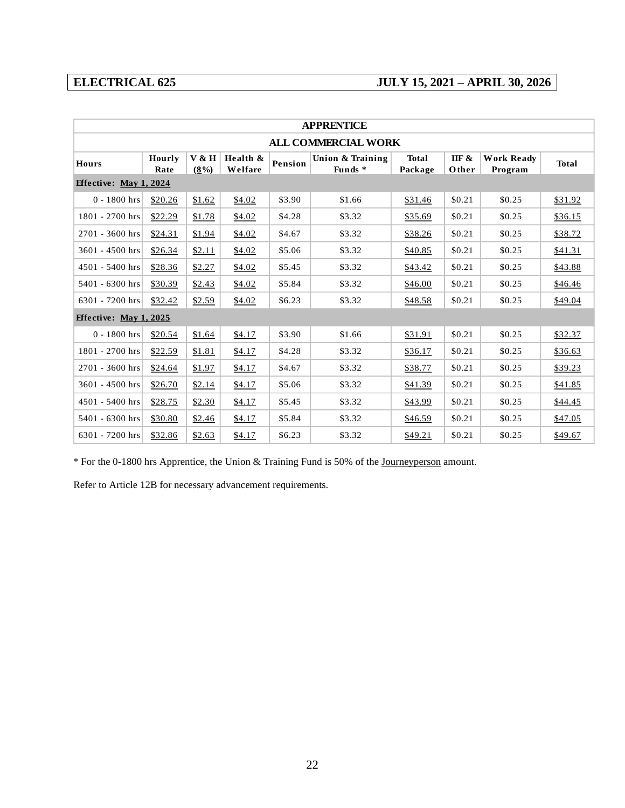|                            | <b>APPRENTICE</b> |               |                     |         |                             |                         |                           |                              |              |  |  |  |
|----------------------------|-------------------|---------------|---------------------|---------|-----------------------------|-------------------------|---------------------------|------------------------------|--------------|--|--|--|
| <b>ALL COMMERCIAL WORK</b> |                   |               |                     |         |                             |                         |                           |                              |              |  |  |  |
| <b>Hours</b>               | Hourly<br>Rate    | V & H<br>(8%) | Health &<br>Welfare | Pension | Union & Training<br>Funds * | <b>Total</b><br>Package | $\Pi$ <b>F</b> &<br>Other | <b>Work Ready</b><br>Program | <b>Total</b> |  |  |  |
| Effective: May 1, 2024     |                   |               |                     |         |                             |                         |                           |                              |              |  |  |  |
| $0 - 1800$ hrs             | \$20.26           | \$1.62        | \$4.02              | \$3.90  | \$1.66                      | \$31.46                 | \$0.21                    | \$0.25                       | \$31.92      |  |  |  |
| 1801 - 2700 hrs            | \$22.29           | \$1.78        | \$4.02              | \$4.28  | \$3.32                      | \$35.69                 | \$0.21                    | \$0.25                       | \$36.15      |  |  |  |
| 2701 - 3600 hrs            | \$24.31           | \$1.94        | \$4.02              | \$4.67  | \$3.32                      | \$38.26                 | \$0.21                    | \$0.25                       | \$38.72      |  |  |  |
| 3601 - 4500 hrs            | \$26.34           | \$2.11        | \$4.02              | \$5.06  | \$3.32                      | \$40.85                 | \$0.21                    | \$0.25                       | \$41.31      |  |  |  |
| 4501 - 5400 hrs            | \$28.36           | \$2.27        | \$4.02              | \$5.45  | \$3.32                      | \$43.42                 | \$0.21                    | \$0.25                       | \$43.88      |  |  |  |
| 5401 - 6300 hrs            | \$30.39           | \$2.43        | \$4.02              | \$5.84  | \$3.32                      | \$46.00                 | \$0.21                    | \$0.25                       | \$46.46      |  |  |  |
| 6301 - 7200 hrs            | \$32.42           | \$2.59        | \$4.02              | \$6.23  | \$3.32                      | \$48.58                 | \$0.21                    | \$0.25                       | \$49.04      |  |  |  |
| Effective: May $1, 2025$   |                   |               |                     |         |                             |                         |                           |                              |              |  |  |  |
| $0 - 1800$ hrs             | \$20.54           | \$1.64        | \$4.17              | \$3.90  | \$1.66                      | \$31.91                 | \$0.21                    | \$0.25                       | \$32.37      |  |  |  |
| 1801 - 2700 hrs            | \$22.59           | \$1.81        | \$4.17              | \$4.28  | \$3.32                      | \$36.17                 | \$0.21                    | \$0.25                       | \$36.63      |  |  |  |
| 2701 - 3600 hrs            | \$24.64           | \$1.97        | \$4.17              | \$4.67  | \$3.32                      | \$38.77                 | \$0.21                    | \$0.25                       | \$39.23      |  |  |  |
| 3601 - 4500 hrs            | \$26.70           | \$2.14        | \$4.17              | \$5.06  | \$3.32                      | \$41.39                 | \$0.21                    | \$0.25                       | \$41.85      |  |  |  |
| 4501 - 5400 hrs            | \$28.75           | \$2.30        | \$4.17              | \$5.45  | \$3.32                      | \$43.99                 | \$0.21                    | \$0.25                       | \$44.45      |  |  |  |
| 5401 - 6300 hrs            | \$30.80           | \$2.46        | \$4.17              | \$5.84  | \$3.32                      | \$46.59                 | \$0.21                    | \$0.25                       | \$47.05      |  |  |  |
| 6301 - 7200 hrs            | \$32.86           | \$2.63        | \$4.17              | \$6.23  | \$3.32                      | \$49.21                 | \$0.21                    | \$0.25                       | \$49.67      |  |  |  |

\* For the 0-1800 hrs Apprentice, the Union & Training Fund is 50% of the Journeyperson amount.

Refer to Article 12B for necessary advancement requirements.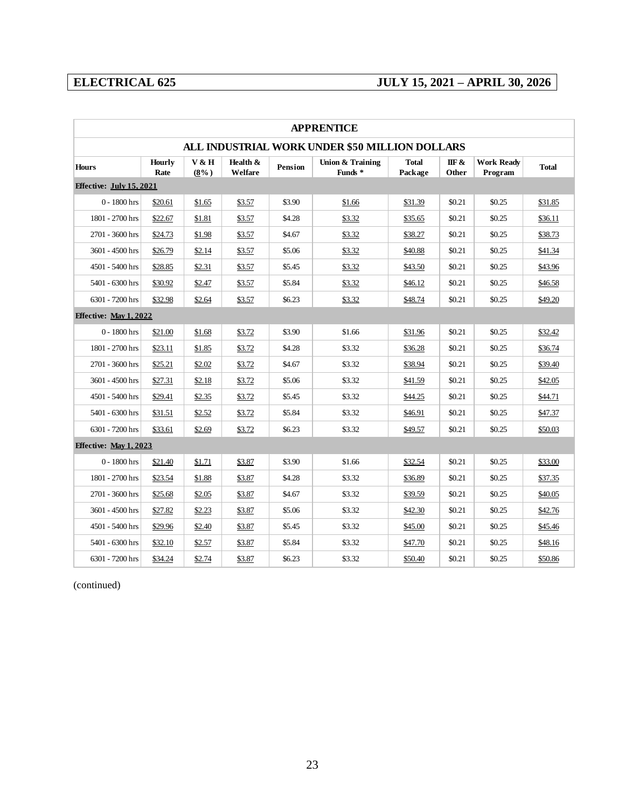| <b>APPRENTICE</b>        |                |                  |                     |         |                                                |                         |                |                              |              |  |  |
|--------------------------|----------------|------------------|---------------------|---------|------------------------------------------------|-------------------------|----------------|------------------------------|--------------|--|--|
|                          |                |                  |                     |         | ALL INDUSTRIAL WORK UNDER \$50 MILLION DOLLARS |                         |                |                              |              |  |  |
| <b>Hours</b>             | Hourly<br>Rate | V & H<br>$(8\%)$ | Health &<br>Welfare | Pension | Union & Training<br>Funds <sup>*</sup>         | <b>Total</b><br>Package | IIF &<br>Other | <b>Work Ready</b><br>Program | <b>Total</b> |  |  |
| Effective: July 15, 2021 |                |                  |                     |         |                                                |                         |                |                              |              |  |  |
| 0 - 1800 hrs             | \$20.61        | \$1.65           | \$3.57              | \$3.90  | \$1.66                                         | \$31.39                 | \$0.21         | \$0.25                       | \$31.85      |  |  |
| 1801 - 2700 hrs          | \$22.67        | \$1.81           | \$3.57              | \$4.28  | \$3.32                                         | \$35.65                 | \$0.21         | \$0.25                       | \$36.11      |  |  |
| 2701 - 3600 hrs          | \$24.73        | \$1.98           | \$3.57              | \$4.67  | \$3.32                                         | \$38.27                 | \$0.21         | \$0.25                       | \$38.73      |  |  |
| 3601 - 4500 hrs          | \$26.79        | \$2.14           | \$3.57              | \$5.06  | \$3.32                                         | \$40.88                 | \$0.21         | \$0.25                       | \$41.34      |  |  |
| 4501 - 5400 hrs          | \$28.85        | \$2.31           | \$3.57              | \$5.45  | \$3.32                                         | \$43.50                 | \$0.21         | \$0.25                       | \$43.96      |  |  |
| 5401 - 6300 hrs          | \$30.92        | \$2.47           | \$3.57              | \$5.84  | \$3.32                                         | \$46.12                 | \$0.21         | \$0.25                       | \$46.58      |  |  |
| 6301 - 7200 hrs          | \$32.98        | \$2.64           | \$3.57              | \$6.23  | \$3.32                                         | \$48.74                 | \$0.21         | \$0.25                       | \$49.20      |  |  |
| Effective: May 1, 2022   |                |                  |                     |         |                                                |                         |                |                              |              |  |  |
| $0 - 1800$ hrs           | \$21.00        | \$1.68           | \$3.72              | \$3.90  | \$1.66                                         | \$31.96                 | \$0.21         | \$0.25                       | \$32.42      |  |  |
| 1801 - 2700 hrs          | \$23.11        | \$1.85           | \$3.72              | \$4.28  | \$3.32                                         | \$36.28                 | \$0.21         | \$0.25                       | \$36.74      |  |  |
| 2701 - 3600 hrs          | \$25.21        | \$2.02           | \$3.72              | \$4.67  | \$3.32                                         | \$38.94                 | \$0.21         | \$0.25                       | \$39.40      |  |  |
| 3601 - 4500 hrs          | \$27.31        | \$2.18           | \$3.72              | \$5.06  | \$3.32                                         | \$41.59                 | \$0.21         | \$0.25                       | \$42.05      |  |  |
| 4501 - 5400 hrs          | \$29.41        | \$2.35           | \$3.72              | \$5.45  | \$3.32                                         | \$44.25                 | \$0.21         | \$0.25                       | \$44.71      |  |  |
| 5401 - 6300 hrs          | \$31.51        | \$2.52           | \$3.72              | \$5.84  | \$3.32                                         | \$46.91                 | \$0.21         | \$0.25                       | \$47.37      |  |  |
| 6301 - 7200 hrs          | \$33.61        | \$2.69           | \$3.72              | \$6.23  | \$3.32                                         | \$49.57                 | \$0.21         | \$0.25                       | \$50.03      |  |  |
| Effective: May 1, 2023   |                |                  |                     |         |                                                |                         |                |                              |              |  |  |
| $0 - 1800$ hrs           | \$21.40        | \$1.71           | \$3.87              | \$3.90  | \$1.66                                         | \$32.54                 | \$0.21         | \$0.25                       | \$33.00      |  |  |
| 1801 - 2700 hrs          | \$23.54        | \$1.88           | \$3.87              | \$4.28  | \$3.32                                         | \$36.89                 | \$0.21         | \$0.25                       | \$37.35      |  |  |
| 2701 - 3600 hrs          | \$25.68        | \$2.05           | \$3.87              | \$4.67  | \$3.32                                         | \$39.59                 | \$0.21         | \$0.25                       | \$40.05      |  |  |
| 3601 - 4500 hrs          | \$27.82        | \$2.23           | \$3.87              | \$5.06  | \$3.32                                         | \$42.30                 | \$0.21         | \$0.25                       | \$42.76      |  |  |
| 4501 - 5400 hrs          | \$29.96        | \$2.40           | \$3.87              | \$5.45  | \$3.32                                         | \$45.00                 | \$0.21         | \$0.25                       | \$45.46      |  |  |
| 5401 - 6300 hrs          | \$32.10        | \$2.57           | \$3.87              | \$5.84  | \$3.32                                         | \$47.70                 | \$0.21         | \$0.25                       | \$48.16      |  |  |
| 6301 - 7200 hrs          | \$34.24        | \$2.74           | \$3.87              | \$6.23  | \$3.32                                         | \$50.40                 | \$0.21         | \$0.25                       | \$50.86      |  |  |

(continued)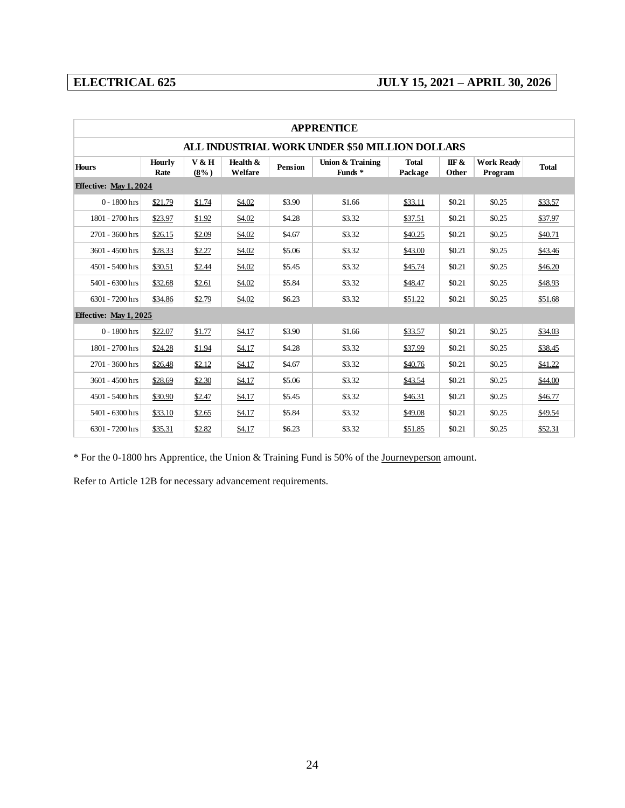|                                                | <b>APPRENTICE</b>     |                  |                     |                |                                        |                         |                |                              |              |  |
|------------------------------------------------|-----------------------|------------------|---------------------|----------------|----------------------------------------|-------------------------|----------------|------------------------------|--------------|--|
| ALL INDUSTRIAL WORK UNDER \$50 MILLION DOLLARS |                       |                  |                     |                |                                        |                         |                |                              |              |  |
| <b>Hours</b>                                   | <b>Hourly</b><br>Rate | V & H<br>$(8\%)$ | Health &<br>Welfare | <b>Pension</b> | Union & Training<br>Funds <sup>*</sup> | <b>Total</b><br>Package | IIF &<br>Other | <b>Work Ready</b><br>Program | <b>Total</b> |  |
| Effective: May 1, 2024                         |                       |                  |                     |                |                                        |                         |                |                              |              |  |
| $0 - 1800$ hrs                                 | \$21.79               | \$1.74           | \$4.02              | \$3.90         | \$1.66                                 | \$33.11                 | \$0.21         | \$0.25                       | \$33.57      |  |
| 1801 - 2700 hrs                                | \$23.97               | \$1.92           | \$4.02              | \$4.28         | \$3.32                                 | \$37.51                 | \$0.21         | \$0.25                       | \$37.97      |  |
| 2701 - 3600 hrs                                | \$26.15               | \$2.09           | \$4.02              | \$4.67         | \$3.32                                 | \$40.25                 | \$0.21         | \$0.25                       | \$40.71      |  |
| 3601 - 4500 hrs                                | \$28.33               | \$2.27           | \$4.02              | \$5.06         | \$3.32                                 | \$43.00                 | \$0.21         | \$0.25                       | \$43.46      |  |
| 4501 - 5400 hrs                                | \$30.51               | \$2.44           | \$4.02              | \$5.45         | \$3.32                                 | \$45.74                 | \$0.21         | \$0.25                       | \$46.20      |  |
| 5401 - 6300 hrs                                | \$32.68               | \$2.61           | \$4.02              | \$5.84         | \$3.32                                 | \$48.47                 | \$0.21         | \$0.25                       | \$48.93      |  |
| 6301 - 7200 hrs                                | \$34.86               | \$2.79           | \$4.02              | \$6.23         | \$3.32                                 | \$51.22                 | \$0.21         | \$0.25                       | \$51.68      |  |
| Effective: May 1, 2025                         |                       |                  |                     |                |                                        |                         |                |                              |              |  |
| $0 - 1800$ hrs                                 | \$22.07               | \$1.77           | \$4.17              | \$3.90         | \$1.66                                 | \$33.57                 | \$0.21         | \$0.25                       | \$34.03      |  |
| 1801 - 2700 hrs                                | \$24.28               | \$1.94           | \$4.17              | \$4.28         | \$3.32                                 | \$37.99                 | \$0.21         | \$0.25                       | \$38.45      |  |
| 2701 - 3600 hrs                                | \$26.48               | \$2.12           | \$4.17              | \$4.67         | \$3.32                                 | \$40.76                 | \$0.21         | \$0.25                       | \$41.22      |  |
| 3601 - 4500 hrs                                | \$28.69               | \$2.30           | \$4.17              | \$5.06         | \$3.32                                 | \$43.54                 | \$0.21         | \$0.25                       | \$44.00      |  |
| 4501 - 5400 hrs                                | \$30.90               | \$2.47           | \$4.17              | \$5.45         | \$3.32                                 | \$46.31                 | \$0.21         | \$0.25                       | \$46.77      |  |
| 5401 - 6300 hrs                                | \$33.10               | \$2.65           | \$4.17              | \$5.84         | \$3.32                                 | \$49.08                 | \$0.21         | \$0.25                       | \$49.54      |  |
| 6301 - 7200 hrs                                | \$35.31               | \$2.82           | \$4.17              | \$6.23         | \$3.32                                 | \$51.85                 | \$0.21         | \$0.25                       | \$52.31      |  |

\* For the 0-1800 hrs Apprentice, the Union & Training Fund is 50% of the Journeyperson amount.

Refer to Article 12B for necessary advancement requirements.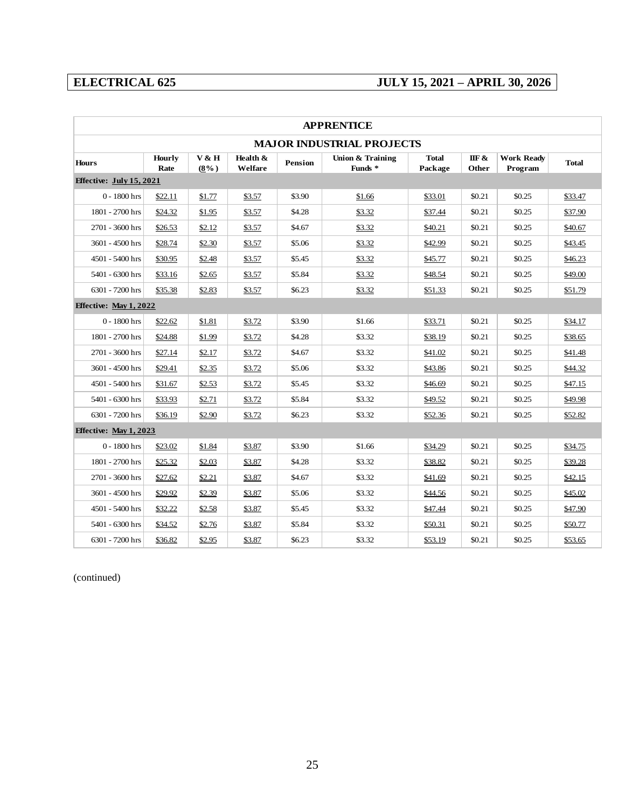|                               | <b>APPRENTICE</b> |                  |                     |                |                                  |                         |                |                              |         |  |  |  |
|-------------------------------|-------------------|------------------|---------------------|----------------|----------------------------------|-------------------------|----------------|------------------------------|---------|--|--|--|
|                               |                   |                  |                     |                | <b>MAJOR INDUSTRIAL PROJECTS</b> |                         |                |                              |         |  |  |  |
| <b>Hours</b>                  | Hourly<br>Rate    | V & H<br>$(8\%)$ | Health &<br>Welfare | <b>Pension</b> | Union & Training<br>Funds *      | <b>Total</b><br>Package | IIF &<br>Other | <b>Work Ready</b><br>Program | Total   |  |  |  |
| Effective: July 15, 2021      |                   |                  |                     |                |                                  |                         |                |                              |         |  |  |  |
| $0 - 1800$ hrs                | \$22.11           | \$1.77           | \$3.57              | \$3.90         | \$1.66                           | \$33.01                 | \$0.21         | \$0.25                       | \$33.47 |  |  |  |
| 1801 - 2700 hrs               | \$24.32           | \$1.95           | \$3.57              | \$4.28         | \$3.32                           | \$37.44                 | \$0.21         | \$0.25                       | \$37.90 |  |  |  |
| 2701 - 3600 hrs               | \$26.53           | \$2.12           | \$3.57              | \$4.67         | \$3.32                           | \$40.21                 | \$0.21         | \$0.25                       | \$40.67 |  |  |  |
| 3601 - 4500 hrs               | \$28.74           | \$2.30           | \$3.57              | \$5.06         | \$3.32                           | \$42.99                 | \$0.21         | \$0.25                       | \$43.45 |  |  |  |
| 4501 - 5400 hrs               | \$30.95           | \$2.48           | \$3.57              | \$5.45         | \$3.32                           | \$45.77                 | \$0.21         | \$0.25                       | \$46.23 |  |  |  |
| 5401 - 6300 hrs               | \$33.16           | \$2.65           | \$3.57              | \$5.84         | \$3.32                           | \$48.54                 | \$0.21         | \$0.25                       | \$49.00 |  |  |  |
| 6301 - 7200 hrs               | \$35.38           | \$2.83           | \$3.57              | \$6.23         | \$3.32                           | \$51.33                 | \$0.21         | \$0.25                       | \$51.79 |  |  |  |
| <b>Effective:</b> May 1, 2022 |                   |                  |                     |                |                                  |                         |                |                              |         |  |  |  |
| $0 - 1800$ hrs                | \$22.62           | \$1.81           | \$3.72              | \$3.90         | \$1.66                           | \$33.71                 | \$0.21         | \$0.25                       | \$34.17 |  |  |  |
| 1801 - 2700 hrs               | \$24.88           | \$1.99           | \$3.72              | \$4.28         | \$3.32                           | \$38.19                 | \$0.21         | \$0.25                       | \$38.65 |  |  |  |
| 2701 - 3600 hrs               | \$27.14           | \$2.17           | \$3.72              | \$4.67         | \$3.32                           | \$41.02                 | \$0.21         | \$0.25                       | \$41.48 |  |  |  |
| 3601 - 4500 hrs               | \$29.41           | \$2.35           | \$3.72              | \$5.06         | \$3.32                           | \$43.86                 | \$0.21         | \$0.25                       | \$44.32 |  |  |  |
| 4501 - 5400 hrs               | \$31.67           | \$2.53           | \$3.72              | \$5.45         | \$3.32                           | \$46.69                 | \$0.21         | \$0.25                       | \$47.15 |  |  |  |
| 5401 - 6300 hrs               | \$33.93           | \$2.71           | \$3.72              | \$5.84         | \$3.32                           | \$49.52                 | \$0.21         | \$0.25                       | \$49.98 |  |  |  |
| 6301 - 7200 hrs               | \$36.19           | \$2.90           | \$3.72              | \$6.23         | \$3.32                           | \$52.36                 | \$0.21         | \$0.25                       | \$52.82 |  |  |  |
| Effective: May 1, 2023        |                   |                  |                     |                |                                  |                         |                |                              |         |  |  |  |
| $0 - 1800$ hrs                | \$23.02           | \$1.84           | \$3.87              | \$3.90         | \$1.66                           | \$34.29                 | \$0.21         | \$0.25                       | \$34.75 |  |  |  |
| 1801 - 2700 hrs               | \$25.32           | \$2.03           | \$3.87              | \$4.28         | \$3.32                           | \$38.82                 | \$0.21         | \$0.25                       | \$39.28 |  |  |  |
| 2701 - 3600 hrs               | \$27.62           | \$2.21           | \$3.87              | \$4.67         | \$3.32                           | \$41.69                 | \$0.21         | \$0.25                       | \$42.15 |  |  |  |
| 3601 - 4500 hrs               | \$29.92           | \$2.39           | \$3.87              | \$5.06         | \$3.32                           | \$44.56                 | \$0.21         | \$0.25                       | \$45.02 |  |  |  |
| 4501 - 5400 hrs               | \$32.22           | \$2.58           | \$3.87              | \$5.45         | \$3.32                           | \$47.44                 | \$0.21         | \$0.25                       | \$47.90 |  |  |  |
| 5401 - 6300 hrs               | \$34.52           | \$2.76           | \$3.87              | \$5.84         | \$3.32                           | \$50.31                 | \$0.21         | \$0.25                       | \$50.77 |  |  |  |
| 6301 - 7200 hrs               | \$36.82           | \$2.95           | \$3.87              | \$6.23         | \$3.32                           | \$53.19                 | \$0.21         | \$0.25                       | \$53.65 |  |  |  |

#### (continued)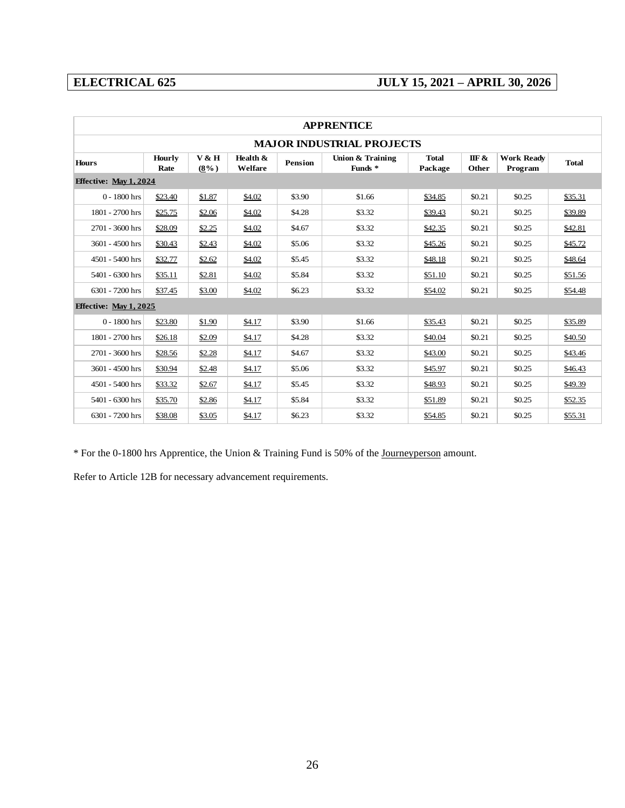| <b>APPRENTICE</b>                |                       |                  |                     |         |                                        |                         |                                    |                              |              |  |  |
|----------------------------------|-----------------------|------------------|---------------------|---------|----------------------------------------|-------------------------|------------------------------------|------------------------------|--------------|--|--|
| <b>MAJOR INDUSTRIAL PROJECTS</b> |                       |                  |                     |         |                                        |                         |                                    |                              |              |  |  |
| <b>Hours</b>                     | <b>Hourly</b><br>Rate | V & H<br>$(8\%)$ | Health &<br>Welfare | Pension | Union & Training<br>Funds <sup>*</sup> | <b>Total</b><br>Package | $\mathbf{H} \mathbf{F}$ &<br>Other | <b>Work Ready</b><br>Program | <b>Total</b> |  |  |
| Effective: May 1, 2024           |                       |                  |                     |         |                                        |                         |                                    |                              |              |  |  |
| $0 - 1800$ hrs                   | \$23.40               | \$1.87           | \$4.02              | \$3.90  | \$1.66                                 | \$34.85                 | \$0.21                             | \$0.25                       | \$35.31      |  |  |
| 1801 - 2700 hrs                  | \$25.75               | \$2.06           | \$4.02              | \$4.28  | \$3.32                                 | \$39.43                 | \$0.21                             | \$0.25                       | \$39.89      |  |  |
| 2701 - 3600 hrs                  | \$28.09               | \$2.25           | \$4.02              | \$4.67  | \$3.32                                 | \$42.35                 | \$0.21                             | \$0.25                       | \$42.81      |  |  |
| 3601 - 4500 hrs                  | \$30.43               | \$2.43           | \$4.02              | \$5.06  | \$3.32                                 | \$45.26                 | \$0.21                             | \$0.25                       | \$45.72      |  |  |
| 4501 - 5400 hrs                  | \$32.77               | \$2.62           | \$4.02              | \$5.45  | \$3.32                                 | \$48.18                 | \$0.21                             | \$0.25                       | \$48.64      |  |  |
| 5401 - 6300 hrs                  | \$35.11               | \$2.81           | \$4.02              | \$5.84  | \$3.32                                 | \$51.10                 | \$0.21                             | \$0.25                       | \$51.56      |  |  |
| 6301 - 7200 hrs                  | \$37.45               | \$3.00           | \$4.02              | \$6.23  | \$3.32                                 | \$54.02                 | \$0.21                             | \$0.25                       | \$54.48      |  |  |
| Effective: May 1, 2025           |                       |                  |                     |         |                                        |                         |                                    |                              |              |  |  |
| $0 - 1800$ hrs                   | \$23.80               | \$1.90           | \$4.17              | \$3.90  | \$1.66                                 | \$35.43                 | \$0.21                             | \$0.25                       | \$35.89      |  |  |
| 1801 - 2700 hrs                  | \$26.18               | \$2.09           | \$4.17              | \$4.28  | \$3.32                                 | \$40.04                 | \$0.21                             | \$0.25                       | \$40.50      |  |  |
| 2701 - 3600 hrs                  | \$28.56               | \$2.28           | \$4.17              | \$4.67  | \$3.32                                 | \$43.00                 | \$0.21                             | \$0.25                       | \$43.46      |  |  |
| 3601 - 4500 hrs                  | \$30.94               | \$2.48           | \$4.17              | \$5.06  | \$3.32                                 | \$45.97                 | \$0.21                             | \$0.25                       | \$46.43      |  |  |
| 4501 - 5400 hrs                  | \$33.32               | \$2.67           | \$4.17              | \$5.45  | \$3.32                                 | \$48.93                 | \$0.21                             | \$0.25                       | \$49.39      |  |  |
| 5401 - 6300 hrs                  | \$35.70               | \$2.86           | \$4.17              | \$5.84  | \$3.32                                 | \$51.89                 | \$0.21                             | \$0.25                       | \$52.35      |  |  |
| 6301 - 7200 hrs                  | \$38.08               | \$3.05           | \$4.17              | \$6.23  | \$3.32                                 | \$54.85                 | \$0.21                             | \$0.25                       | \$55.31      |  |  |

\* For the 0-1800 hrs Apprentice, the Union & Training Fund is 50% of the Journeyperson amount.

Refer to Article 12B for necessary advancement requirements.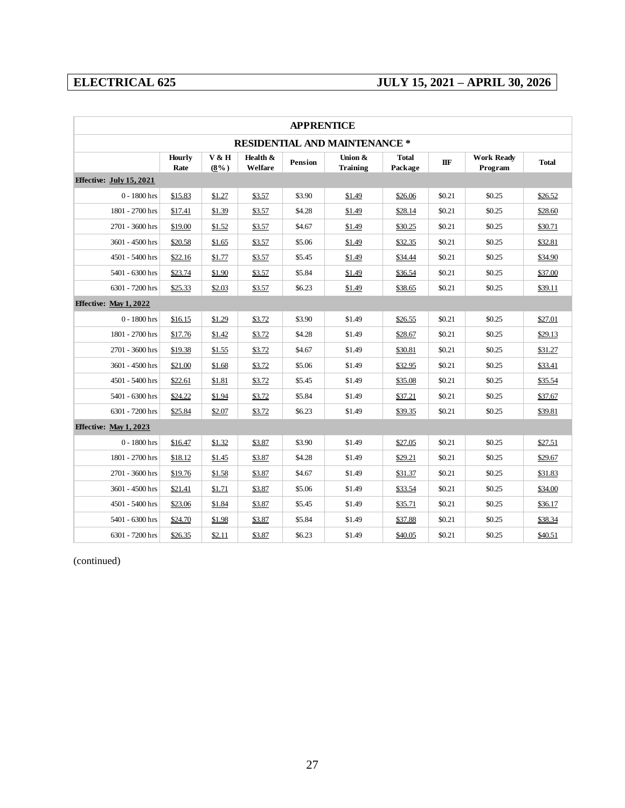|                                      | <b>APPRENTICE</b> |                  |                     |                |                            |                         |        |                              |              |  |  |
|--------------------------------------|-------------------|------------------|---------------------|----------------|----------------------------|-------------------------|--------|------------------------------|--------------|--|--|
| <b>RESIDENTIAL AND MAINTENANCE *</b> |                   |                  |                     |                |                            |                         |        |                              |              |  |  |
|                                      | Hourly<br>Rate    | V & H<br>$(8\%)$ | Health &<br>Welfare | <b>Pension</b> | Union &<br><b>Training</b> | <b>Total</b><br>Package | IIF    | <b>Work Ready</b><br>Program | <b>Total</b> |  |  |
| Effective: July 15, 2021             |                   |                  |                     |                |                            |                         |        |                              |              |  |  |
| $0 - 1800$ hrs                       | \$15.83           | \$1.27           | \$3.57              | \$3.90         | \$1.49                     | \$26.06                 | \$0.21 | \$0.25                       | \$26.52      |  |  |
| 1801 - 2700 hrs                      | \$17.41           | \$1.39           | \$3.57              | \$4.28         | \$1.49                     | \$28.14                 | \$0.21 | \$0.25                       | \$28.60      |  |  |
| 2701 - 3600 hrs                      | \$19.00           | \$1.52           | \$3.57              | \$4.67         | \$1.49                     | \$30.25                 | \$0.21 | \$0.25                       | \$30.71      |  |  |
| 3601 - 4500 hrs                      | \$20.58           | \$1.65           | \$3.57              | \$5.06         | \$1.49                     | \$32.35                 | \$0.21 | \$0.25                       | \$32.81      |  |  |
| 4501 - 5400 hrs                      | \$22.16           | \$1.77           | \$3.57              | \$5.45         | \$1.49                     | \$34.44                 | \$0.21 | \$0.25                       | \$34.90      |  |  |
| 5401 - 6300 hrs                      | \$23.74           | \$1.90           | \$3.57              | \$5.84         | \$1.49                     | \$36.54                 | \$0.21 | \$0.25                       | \$37.00      |  |  |
| 6301 - 7200 hrs                      | \$25.33           | \$2.03           | \$3.57              | \$6.23         | \$1.49                     | \$38.65                 | \$0.21 | \$0.25                       | \$39.11      |  |  |
| Effective: May 1, 2022               |                   |                  |                     |                |                            |                         |        |                              |              |  |  |
| $0 - 1800$ hrs                       | \$16.15           | \$1.29           | \$3.72              | \$3.90         | \$1.49                     | \$26.55                 | \$0.21 | \$0.25                       | \$27.01      |  |  |
| 1801 - 2700 hrs                      | \$17.76           | \$1.42           | \$3.72              | \$4.28         | \$1.49                     | \$28.67                 | \$0.21 | \$0.25                       | \$29.13      |  |  |
| 2701 - 3600 hrs                      | \$19.38           | \$1.55           | \$3.72              | \$4.67         | \$1.49                     | \$30.81                 | \$0.21 | \$0.25                       | \$31.27      |  |  |
| 3601 - 4500 hrs                      | \$21.00           | \$1.68           | \$3.72              | \$5.06         | \$1.49                     | \$32.95                 | \$0.21 | \$0.25                       | \$33.41      |  |  |
| 4501 - 5400 hrs                      | \$22.61           | \$1.81           | \$3.72              | \$5.45         | \$1.49                     | \$35.08                 | \$0.21 | \$0.25                       | \$35.54      |  |  |
| 5401 - 6300 hrs                      | \$24.22           | \$1.94           | \$3.72              | \$5.84         | \$1.49                     | \$37.21                 | \$0.21 | \$0.25                       | \$37.67      |  |  |
| 6301 - 7200 hrs                      | \$25.84           | \$2.07           | \$3.72              | \$6.23         | \$1.49                     | \$39.35                 | \$0.21 | \$0.25                       | \$39.81      |  |  |
| Effective: May 1, 2023               |                   |                  |                     |                |                            |                         |        |                              |              |  |  |
| $0 - 1800$ hrs                       | \$16.47           | \$1.32           | \$3.87              | \$3.90         | \$1.49                     | \$27.05                 | \$0.21 | \$0.25                       | \$27.51      |  |  |
| 1801 - 2700 hrs                      | \$18.12           | \$1.45           | \$3.87              | \$4.28         | \$1.49                     | \$29.21                 | \$0.21 | \$0.25                       | \$29.67      |  |  |
| 2701 - 3600 hrs                      | \$19.76           | \$1.58           | \$3.87              | \$4.67         | \$1.49                     | \$31.37                 | \$0.21 | \$0.25                       | \$31.83      |  |  |
| 3601 - 4500 hrs                      | \$21.41           | \$1.71           | \$3.87              | \$5.06         | \$1.49                     | \$33.54                 | \$0.21 | \$0.25                       | \$34.00      |  |  |
| 4501 - 5400 hrs                      | \$23.06           | \$1.84           | \$3.87              | \$5.45         | \$1.49                     | \$35.71                 | \$0.21 | \$0.25                       | \$36.17      |  |  |
| 5401 - 6300 hrs                      | \$24.70           | \$1.98           | \$3.87              | \$5.84         | \$1.49                     | \$37.88                 | \$0.21 | \$0.25                       | \$38.34      |  |  |
| 6301 - 7200 hrs                      | \$26.35           | \$2.11           | \$3.87              | \$6.23         | \$1.49                     | \$40.05                 | \$0.21 | \$0.25                       | \$40.51      |  |  |

(continued)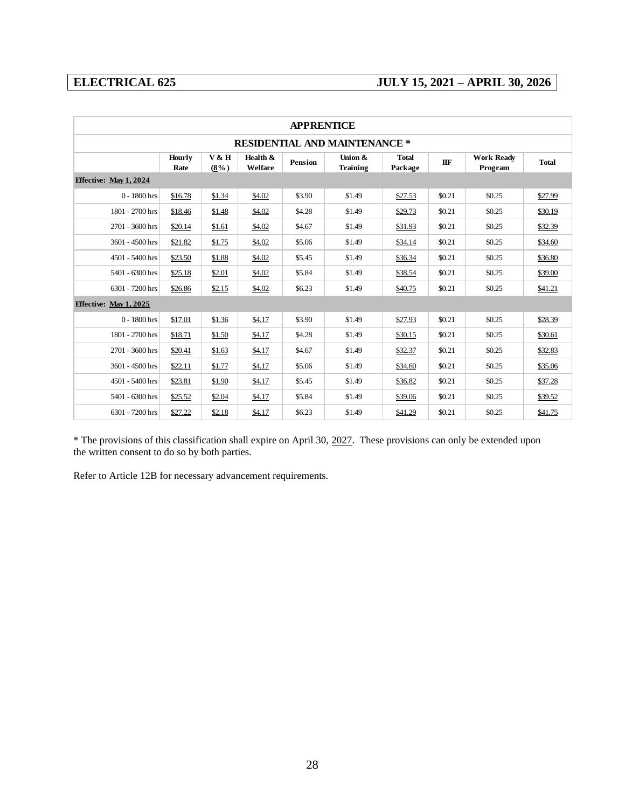| <b>APPRENTICE</b>                    |                |                  |                     |         |                               |                         |        |                              |              |  |
|--------------------------------------|----------------|------------------|---------------------|---------|-------------------------------|-------------------------|--------|------------------------------|--------------|--|
| <b>RESIDENTIAL AND MAINTENANCE *</b> |                |                  |                     |         |                               |                         |        |                              |              |  |
|                                      | Hourly<br>Rate | V & H<br>$(8\%)$ | Health &<br>Welfare | Pension | Union $\&$<br><b>Training</b> | <b>Total</b><br>Package | IIF    | <b>Work Ready</b><br>Program | <b>Total</b> |  |
| Effective: May 1, 2024               |                |                  |                     |         |                               |                         |        |                              |              |  |
| $0 - 1800$ hrs                       | \$16.78        | \$1.34           | \$4.02              | \$3.90  | \$1.49                        | \$27.53                 | \$0.21 | \$0.25                       | \$27.99      |  |
| 1801 - 2700 hrs                      | \$18.46        | \$1.48           | \$4.02              | \$4.28  | \$1.49                        | \$29.73                 | \$0.21 | \$0.25                       | \$30.19      |  |
| 2701 - 3600 hrs                      | \$20.14        | \$1.61           | \$4.02              | \$4.67  | \$1.49                        | \$31.93                 | \$0.21 | \$0.25                       | \$32.39      |  |
| 3601 - 4500 hrs                      | \$21.82        | \$1.75           | \$4.02              | \$5.06  | \$1.49                        | \$34.14                 | \$0.21 | \$0.25                       | \$34.60      |  |
| 4501 - 5400 hrs                      | \$23.50        | \$1.88           | \$4.02              | \$5.45  | \$1.49                        | \$36.34                 | \$0.21 | \$0.25                       | \$36.80      |  |
| 5401 - 6300 hrs                      | \$25.18        | \$2.01           | \$4.02              | \$5.84  | \$1.49                        | \$38.54                 | \$0.21 | \$0.25                       | \$39.00      |  |
| 6301 - 7200 hrs                      | \$26.86        | \$2.15           | \$4.02              | \$6.23  | \$1.49                        | \$40.75                 | \$0.21 | \$0.25                       | \$41.21      |  |
| Effective: May 1, 2025               |                |                  |                     |         |                               |                         |        |                              |              |  |
| $0 - 1800$ hrs                       | \$17.01        | \$1.36           | \$4.17              | \$3.90  | \$1.49                        | \$27.93                 | \$0.21 | \$0.25                       | \$28.39      |  |
| 1801 - 2700 hrs                      | \$18.71        | \$1.50           | \$4.17              | \$4.28  | \$1.49                        | \$30.15                 | \$0.21 | \$0.25                       | \$30.61      |  |
| 2701 - 3600 hrs                      | \$20.41        | \$1.63           | \$4.17              | \$4.67  | \$1.49                        | \$32.37                 | \$0.21 | \$0.25                       | \$32.83      |  |
| 3601 - 4500 hrs                      | \$22.11        | \$1.77           | \$4.17              | \$5.06  | \$1.49                        | \$34.60                 | \$0.21 | \$0.25                       | \$35.06      |  |
| 4501 - 5400 hrs                      | \$23.81        | \$1.90           | \$4.17              | \$5.45  | \$1.49                        | \$36.82                 | \$0.21 | \$0.25                       | \$37.28      |  |
| 5401 - 6300 hrs                      | \$25.52        | \$2.04           | \$4.17              | \$5.84  | \$1.49                        | \$39.06                 | \$0.21 | \$0.25                       | \$39.52      |  |
| 6301 - 7200 hrs                      | \$27.22        | \$2.18           | \$4.17              | \$6.23  | \$1.49                        | \$41.29                 | \$0.21 | \$0.25                       | \$41.75      |  |

\* The provisions of this classification shall expire on April 30, 2027. These provisions can only be extended upon the written consent to do so by both parties.

Refer to Article 12B for necessary advancement requirements.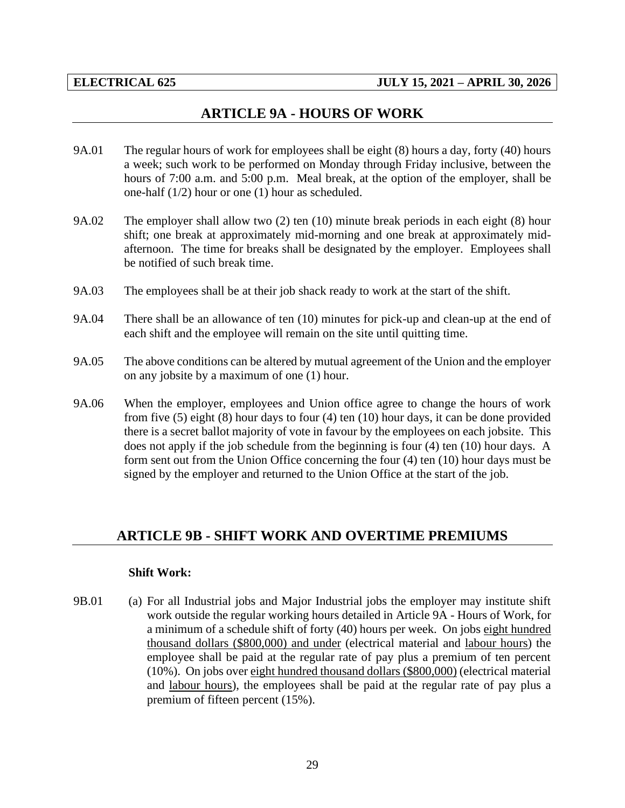# **ARTICLE 9A - HOURS OF WORK**

- <span id="page-31-0"></span>9A.01 The regular hours of work for employees shall be eight (8) hours a day, forty (40) hours a week; such work to be performed on Monday through Friday inclusive, between the hours of 7:00 a.m. and 5:00 p.m. Meal break, at the option of the employer, shall be one-half (1/2) hour or one (1) hour as scheduled.
- 9A.02 The employer shall allow two (2) ten (10) minute break periods in each eight (8) hour shift; one break at approximately mid-morning and one break at approximately midafternoon. The time for breaks shall be designated by the employer. Employees shall be notified of such break time.
- 9A.03 The employees shall be at their job shack ready to work at the start of the shift.
- 9A.04 There shall be an allowance of ten (10) minutes for pick-up and clean-up at the end of each shift and the employee will remain on the site until quitting time.
- 9A.05 The above conditions can be altered by mutual agreement of the Union and the employer on any jobsite by a maximum of one (1) hour.
- 9A.06 When the employer, employees and Union office agree to change the hours of work from five (5) eight (8) hour days to four (4) ten (10) hour days, it can be done provided there is a secret ballot majority of vote in favour by the employees on each jobsite. This does not apply if the job schedule from the beginning is four (4) ten (10) hour days. A form sent out from the Union Office concerning the four (4) ten (10) hour days must be signed by the employer and returned to the Union Office at the start of the job.

# <span id="page-31-1"></span>**ARTICLE 9B - SHIFT WORK AND OVERTIME PREMIUMS**

### **Shift Work:**

9B.01 (a) For all Industrial jobs and Major Industrial jobs the employer may institute shift work outside the regular working hours detailed in Article 9A - Hours of Work, for a minimum of a schedule shift of forty (40) hours per week. On jobs eight hundred thousand dollars (\$800,000) and under (electrical material and labour hours) the employee shall be paid at the regular rate of pay plus a premium of ten percent (10%). On jobs over eight hundred thousand dollars (\$800,000) (electrical material and labour hours), the employees shall be paid at the regular rate of pay plus a premium of fifteen percent (15%).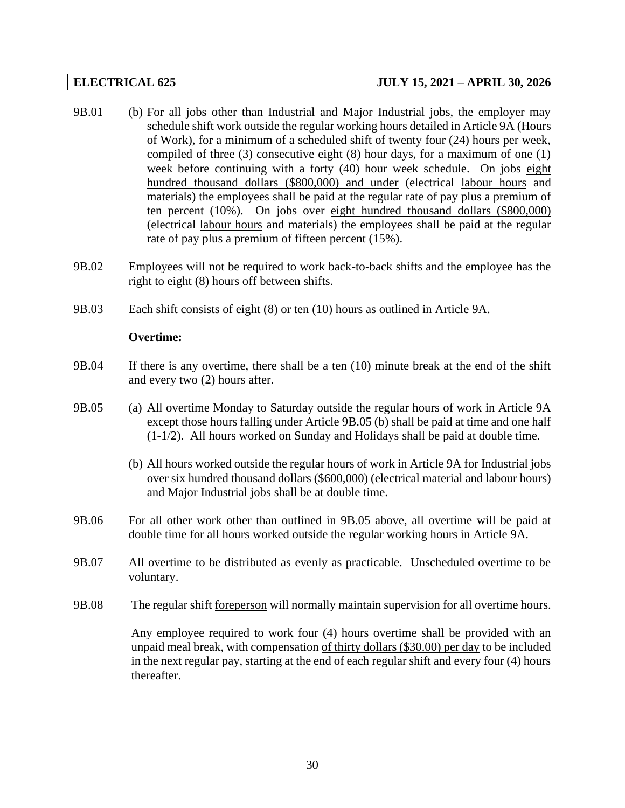- 9B.01 (b) For all jobs other than Industrial and Major Industrial jobs, the employer may schedule shift work outside the regular working hours detailed in Article 9A (Hours of Work), for a minimum of a scheduled shift of twenty four (24) hours per week, compiled of three  $(3)$  consecutive eight  $(8)$  hour days, for a maximum of one  $(1)$ week before continuing with a forty (40) hour week schedule. On jobs eight hundred thousand dollars (\$800,000) and under (electrical labour hours and materials) the employees shall be paid at the regular rate of pay plus a premium of ten percent (10%). On jobs over eight hundred thousand dollars (\$800,000) (electrical labour hours and materials) the employees shall be paid at the regular rate of pay plus a premium of fifteen percent (15%).
- 9B.02 Employees will not be required to work back-to-back shifts and the employee has the right to eight (8) hours off between shifts.
- 9B.03 Each shift consists of eight (8) or ten (10) hours as outlined in Article 9A.

### **Overtime:**

- 9B.04 If there is any overtime, there shall be a ten (10) minute break at the end of the shift and every two (2) hours after.
- 9B.05 (a) All overtime Monday to Saturday outside the regular hours of work in Article 9A except those hours falling under Article 9B.05 (b) shall be paid at time and one half (1-1/2). All hours worked on Sunday and Holidays shall be paid at double time.
	- (b) All hours worked outside the regular hours of work in Article 9A for Industrial jobs over six hundred thousand dollars (\$600,000) (electrical material and labour hours) and Major Industrial jobs shall be at double time.
- 9B.06 For all other work other than outlined in 9B.05 above, all overtime will be paid at double time for all hours worked outside the regular working hours in Article 9A.
- 9B.07 All overtime to be distributed as evenly as practicable. Unscheduled overtime to be voluntary.
- 9B.08 The regular shift foreperson will normally maintain supervision for all overtime hours.

<span id="page-32-0"></span>Any employee required to work four (4) hours overtime shall be provided with an unpaid meal break, with compensation of thirty dollars (\$30.00) per day to be included in the next regular pay, starting at the end of each regular shift and every four (4) hours thereafter.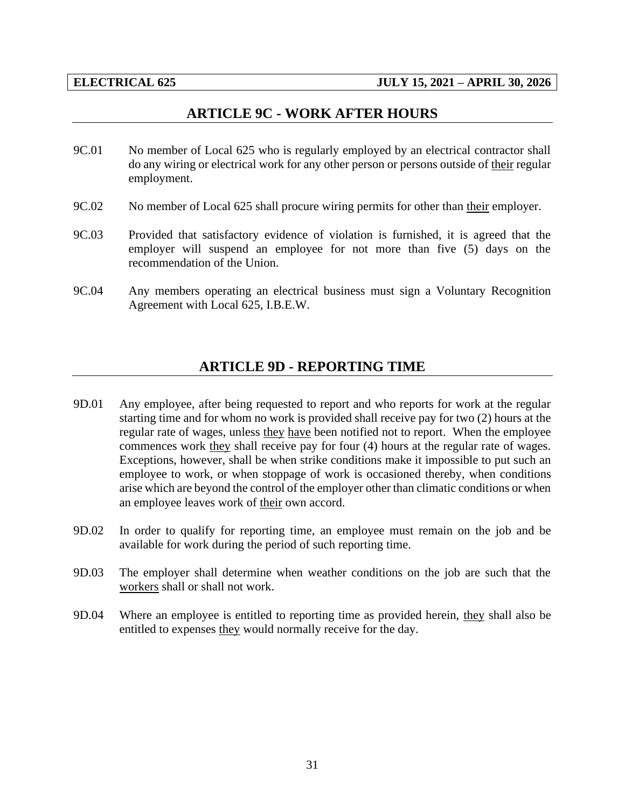## **ARTICLE 9C - WORK AFTER HOURS**

- 9C.01 No member of Local 625 who is regularly employed by an electrical contractor shall do any wiring or electrical work for any other person or persons outside of their regular employment.
- 9C.02 No member of Local 625 shall procure wiring permits for other than their employer.
- 9C.03 Provided that satisfactory evidence of violation is furnished, it is agreed that the employer will suspend an employee for not more than five (5) days on the recommendation of the Union.
- <span id="page-33-0"></span>9C.04 Any members operating an electrical business must sign a Voluntary Recognition Agreement with Local 625, I.B.E.W.

# **ARTICLE 9D - REPORTING TIME**

- 9D.01 Any employee, after being requested to report and who reports for work at the regular starting time and for whom no work is provided shall receive pay for two (2) hours at the regular rate of wages, unless they have been notified not to report. When the employee commences work they shall receive pay for four (4) hours at the regular rate of wages. Exceptions, however, shall be when strike conditions make it impossible to put such an employee to work, or when stoppage of work is occasioned thereby, when conditions arise which are beyond the control of the employer other than climatic conditions or when an employee leaves work of their own accord.
- 9D.02 In order to qualify for reporting time, an employee must remain on the job and be available for work during the period of such reporting time.
- 9D.03 The employer shall determine when weather conditions on the job are such that the workers shall or shall not work.
- 9D.04 Where an employee is entitled to reporting time as provided herein, they shall also be entitled to expenses they would normally receive for the day.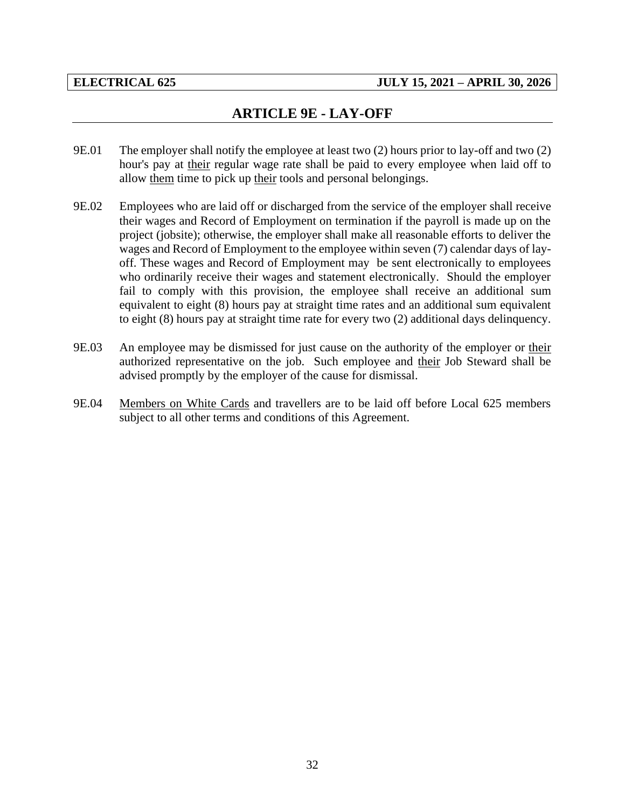# **ARTICLE 9E - LAY-OFF**

- <span id="page-34-0"></span>9E.01 The employer shall notify the employee at least two (2) hours prior to lay-off and two (2) hour's pay at their regular wage rate shall be paid to every employee when laid off to allow them time to pick up their tools and personal belongings.
- 9E.02 Employees who are laid off or discharged from the service of the employer shall receive their wages and Record of Employment on termination if the payroll is made up on the project (jobsite); otherwise, the employer shall make all reasonable efforts to deliver the wages and Record of Employment to the employee within seven (7) calendar days of layoff. These wages and Record of Employment may be sent electronically to employees who ordinarily receive their wages and statement electronically. Should the employer fail to comply with this provision, the employee shall receive an additional sum equivalent to eight (8) hours pay at straight time rates and an additional sum equivalent to eight (8) hours pay at straight time rate for every two (2) additional days delinquency.
- 9E.03 An employee may be dismissed for just cause on the authority of the employer or their authorized representative on the job. Such employee and their Job Steward shall be advised promptly by the employer of the cause for dismissal.
- 9E.04 Members on White Cards and travellers are to be laid off before Local 625 members subject to all other terms and conditions of this Agreement.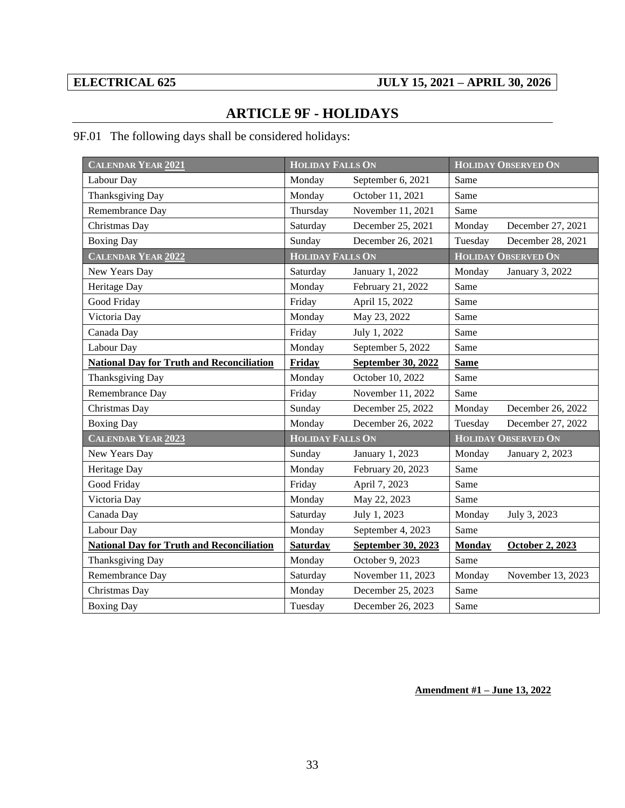# **ARTICLE 9F - HOLIDAYS**

# <span id="page-35-0"></span>9F.01 The following days shall be considered holidays:

| <b>CALENDAR YEAR 2021</b>                        | <b>HOLIDAY FALLS ON</b> |                    |               | <b>HOLIDAY OBSERVED ON</b> |  |  |
|--------------------------------------------------|-------------------------|--------------------|---------------|----------------------------|--|--|
| Labour Day                                       | Monday                  | September 6, 2021  | Same          |                            |  |  |
| Thanksgiving Day                                 | Monday                  | October 11, 2021   | Same          |                            |  |  |
| Remembrance Day                                  | Thursday                | November 11, 2021  | Same          |                            |  |  |
| Christmas Day                                    | Saturday                | December 25, 2021  | Monday        | December 27, 2021          |  |  |
| <b>Boxing Day</b>                                | Sunday                  | December 26, 2021  | Tuesday       | December 28, 2021          |  |  |
| <b>CALENDAR YEAR 2022</b>                        | <b>HOLIDAY FALLS ON</b> |                    |               | <b>HOLIDAY OBSERVED ON</b> |  |  |
| New Years Day                                    | Saturday                | January 1, 2022    | Monday        | January 3, 2022            |  |  |
| Heritage Day                                     | Monday                  | February 21, 2022  | Same          |                            |  |  |
| Good Friday                                      | Friday                  | April 15, 2022     | Same          |                            |  |  |
| Victoria Day                                     | Monday                  | May 23, 2022       | Same          |                            |  |  |
| Canada Day                                       | Friday                  | July 1, 2022       | Same          |                            |  |  |
| Labour Day                                       | Monday                  | September 5, 2022  | Same          |                            |  |  |
| <b>National Day for Truth and Reconciliation</b> | Friday                  | September 30, 2022 | <b>Same</b>   |                            |  |  |
| <b>Thanksgiving Day</b>                          | Monday                  | October 10, 2022   | Same          |                            |  |  |
| Remembrance Day                                  | Friday                  | November 11, 2022  | Same          |                            |  |  |
| Christmas Day                                    | Sunday                  | December 25, 2022  | Monday        | December 26, 2022          |  |  |
| <b>Boxing Day</b>                                | Monday                  | December 26, 2022  | Tuesday       | December 27, 2022          |  |  |
| CALENDAR YEAR 2023                               | <b>HOLIDAY FALLS ON</b> |                    |               | <b>HOLIDAY OBSERVED ON</b> |  |  |
| New Years Day                                    | Sunday                  | January 1, 2023    | Monday        | January 2, 2023            |  |  |
| Heritage Day                                     | Monday                  | February 20, 2023  | Same          |                            |  |  |
| Good Friday                                      | Friday                  | April 7, 2023      | Same          |                            |  |  |
| Victoria Day                                     | Monday                  | May 22, 2023       | Same          |                            |  |  |
| Canada Day                                       | Saturday                | July 1, 2023       | Monday        | July 3, 2023               |  |  |
| Labour Day                                       | Monday                  | September 4, 2023  | Same          |                            |  |  |
| <b>National Day for Truth and Reconciliation</b> | <b>Saturday</b>         | September 30, 2023 | <b>Monday</b> | October 2, 2023            |  |  |
| Thanksgiving Day                                 | Monday                  | October 9, 2023    | Same          |                            |  |  |
| Remembrance Day                                  | Saturday                | November 11, 2023  | Monday        | November 13, 2023          |  |  |
| Christmas Day                                    | Monday                  | December 25, 2023  | Same          |                            |  |  |
| <b>Boxing Day</b>                                | Tuesday                 | December 26, 2023  | Same          |                            |  |  |

**Amendment #1 – June 13, 2022**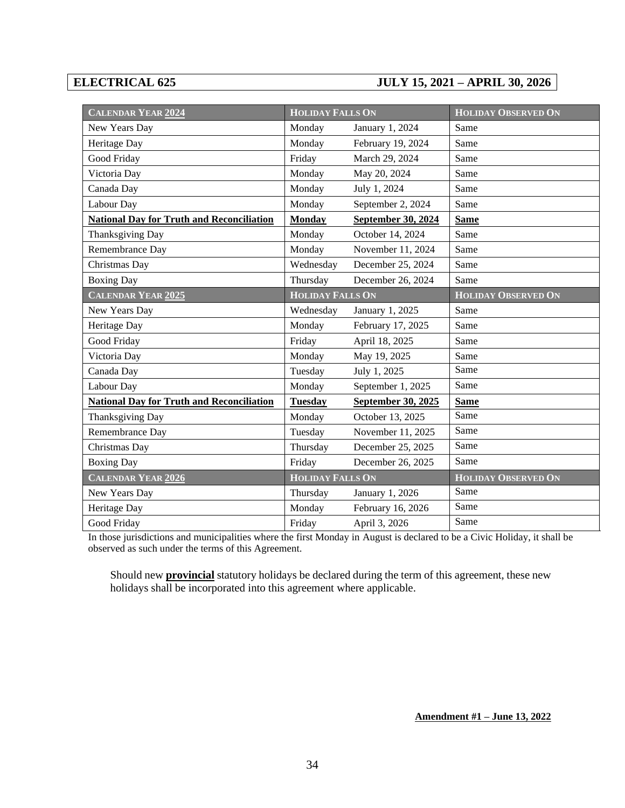| <b>CALENDAR YEAR 2024</b>                        | <b>HOLIDAY FALLS ON</b> |                    | <b>HOLIDAY OBSERVED ON</b> |
|--------------------------------------------------|-------------------------|--------------------|----------------------------|
| New Years Day                                    | Monday                  | January 1, 2024    | Same                       |
| Heritage Day                                     | Monday                  | February 19, 2024  | Same                       |
| Good Friday                                      | Friday                  | March 29, 2024     | Same                       |
| Victoria Day                                     | Monday                  | May 20, 2024       | Same                       |
| Canada Day                                       | Monday                  | July 1, 2024       | Same                       |
| Labour Day                                       | Monday                  | September 2, 2024  | Same                       |
| <b>National Day for Truth and Reconciliation</b> | <b>Monday</b>           | September 30, 2024 | <b>Same</b>                |
| Thanksgiving Day                                 | Monday                  | October 14, 2024   | Same                       |
| Remembrance Day                                  | Monday                  | November 11, 2024  | Same                       |
| Christmas Day                                    | Wednesday               | December 25, 2024  | Same                       |
| <b>Boxing Day</b>                                | Thursday                | December 26, 2024  | Same                       |
| <b>CALENDAR YEAR 2025</b>                        | <b>HOLIDAY FALLS ON</b> |                    | <b>HOLIDAY OBSERVED ON</b> |
| New Years Day                                    | Wednesday               | January 1, 2025    | Same                       |
| Heritage Day                                     | Monday                  | February 17, 2025  | Same                       |
| Good Friday                                      | Friday                  | April 18, 2025     | Same                       |
| Victoria Day                                     | Monday                  | May 19, 2025       | Same                       |
| Canada Day                                       | Tuesday                 | July 1, 2025       | Same                       |
| Labour Day                                       | Monday                  | September 1, 2025  | Same                       |
| <b>National Day for Truth and Reconciliation</b> | <b>Tuesday</b>          | September 30, 2025 | <b>Same</b>                |
| Thanksgiving Day                                 | Monday                  | October 13, 2025   | Same                       |
| Remembrance Day                                  | Tuesday                 | November 11, 2025  | Same                       |
| Christmas Day                                    | Thursday                | December 25, 2025  | Same                       |
| <b>Boxing Day</b>                                | Friday                  | December 26, 2025  | Same                       |
| <b>CALENDAR YEAR 2026</b>                        | <b>HOLIDAY FALLS ON</b> |                    | <b>HOLIDAY OBSERVED ON</b> |
| New Years Day                                    | Thursday                | January 1, 2026    | Same                       |
| Heritage Day                                     | Monday                  | February 16, 2026  | Same                       |
| Good Friday                                      | Friday                  | April 3, 2026      | Same                       |

In those jurisdictions and municipalities where the first Monday in August is declared to be a Civic Holiday, it shall be observed as such under the terms of this Agreement.

Should new **provincial** statutory holidays be declared during the term of this agreement, these new holidays shall be incorporated into this agreement where applicable.

#### **Amendment #1 – June 13, 2022**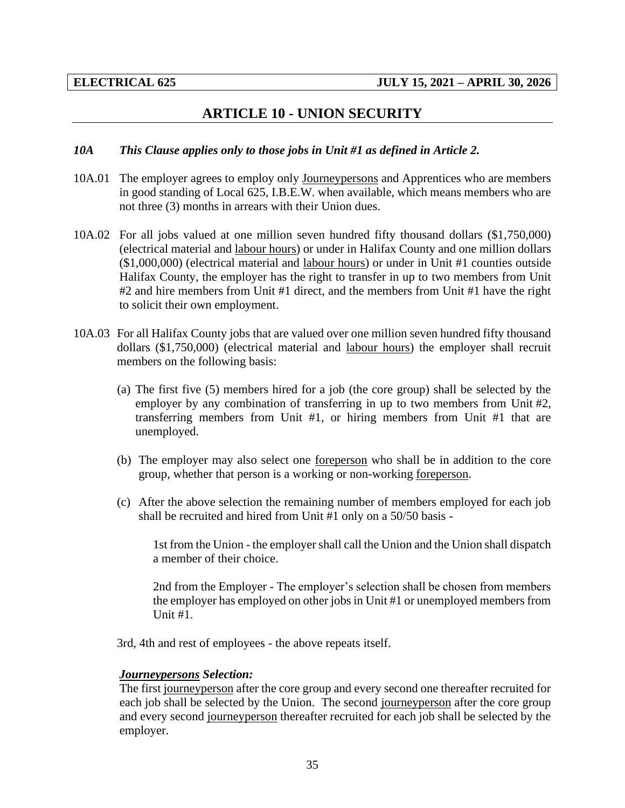# **ARTICLE 10 - UNION SECURITY**

### <span id="page-37-0"></span>*10A This Clause applies only to those jobs in Unit #1 as defined in Article 2.*

- 10A.01 The employer agrees to employ only Journeypersons and Apprentices who are members in good standing of Local 625, I.B.E.W. when available, which means members who are not three (3) months in arrears with their Union dues.
- 10A.02 For all jobs valued at one million seven hundred fifty thousand dollars (\$1,750,000) (electrical material and labour hours) or under in Halifax County and one million dollars (\$1,000,000) (electrical material and labour hours) or under in Unit #1 counties outside Halifax County, the employer has the right to transfer in up to two members from Unit #2 and hire members from Unit #1 direct, and the members from Unit #1 have the right to solicit their own employment.
- 10A.03 For all Halifax County jobs that are valued over one million seven hundred fifty thousand dollars (\$1,750,000) (electrical material and labour hours) the employer shall recruit members on the following basis:
	- (a) The first five (5) members hired for a job (the core group) shall be selected by the employer by any combination of transferring in up to two members from Unit #2, transferring members from Unit #1, or hiring members from Unit #1 that are unemployed.
	- (b) The employer may also select one foreperson who shall be in addition to the core group, whether that person is a working or non-working foreperson.
	- (c) After the above selection the remaining number of members employed for each job shall be recruited and hired from Unit #1 only on a 50/50 basis -

1st from the Union - the employer shall call the Union and the Union shall dispatch a member of their choice.

2nd from the Employer - The employer's selection shall be chosen from members the employer has employed on other jobs in Unit #1 or unemployed members from Unit #1.

3rd, 4th and rest of employees - the above repeats itself.

### *Journeypersons Selection:*

The first journeyperson after the core group and every second one thereafter recruited for each job shall be selected by the Union. The second journeyperson after the core group and every second journeyperson thereafter recruited for each job shall be selected by the employer.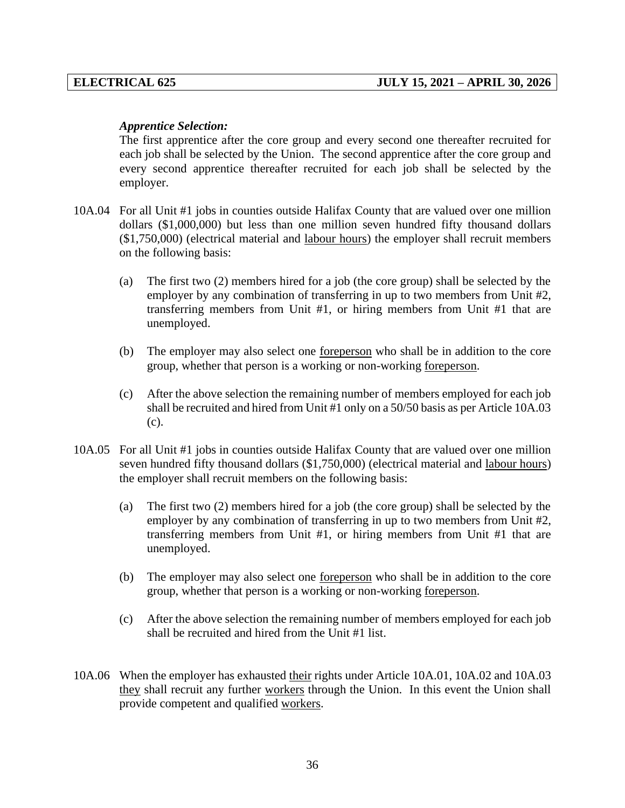### *Apprentice Selection:*

The first apprentice after the core group and every second one thereafter recruited for each job shall be selected by the Union. The second apprentice after the core group and every second apprentice thereafter recruited for each job shall be selected by the employer.

- 10A.04 For all Unit #1 jobs in counties outside Halifax County that are valued over one million dollars (\$1,000,000) but less than one million seven hundred fifty thousand dollars (\$1,750,000) (electrical material and labour hours) the employer shall recruit members on the following basis:
	- (a) The first two (2) members hired for a job (the core group) shall be selected by the employer by any combination of transferring in up to two members from Unit #2, transferring members from Unit #1, or hiring members from Unit #1 that are unemployed.
	- (b) The employer may also select one foreperson who shall be in addition to the core group, whether that person is a working or non-working foreperson.
	- (c) After the above selection the remaining number of members employed for each job shall be recruited and hired from Unit #1 only on a 50/50 basis as per Article 10A.03 (c).
- 10A.05 For all Unit #1 jobs in counties outside Halifax County that are valued over one million seven hundred fifty thousand dollars (\$1,750,000) (electrical material and labour hours) the employer shall recruit members on the following basis:
	- (a) The first two (2) members hired for a job (the core group) shall be selected by the employer by any combination of transferring in up to two members from Unit #2, transferring members from Unit #1, or hiring members from Unit #1 that are unemployed.
	- (b) The employer may also select one foreperson who shall be in addition to the core group, whether that person is a working or non-working foreperson.
	- (c) After the above selection the remaining number of members employed for each job shall be recruited and hired from the Unit #1 list.
- 10A.06 When the employer has exhausted their rights under Article 10A.01, 10A.02 and 10A.03 they shall recruit any further workers through the Union. In this event the Union shall provide competent and qualified workers.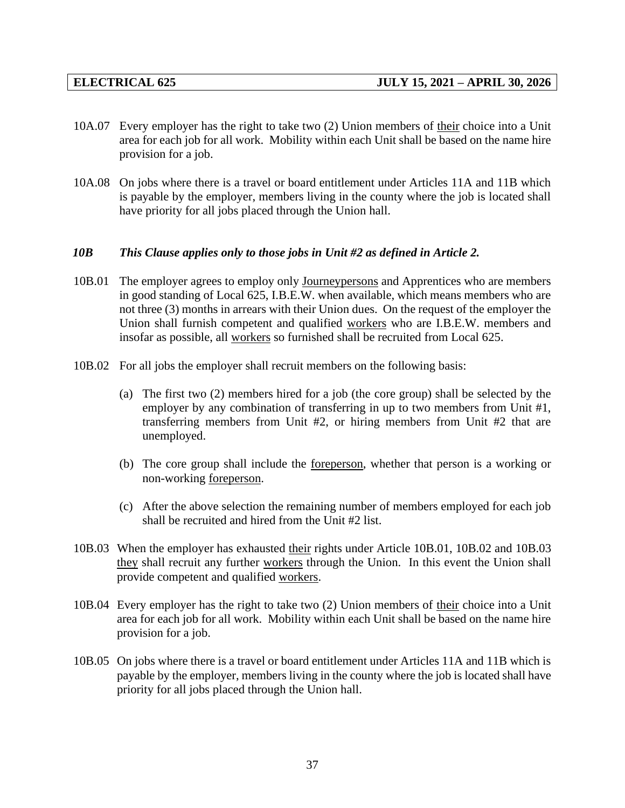- 10A.07 Every employer has the right to take two (2) Union members of their choice into a Unit area for each job for all work. Mobility within each Unit shall be based on the name hire provision for a job.
- 10A.08 On jobs where there is a travel or board entitlement under Articles 11A and 11B which is payable by the employer, members living in the county where the job is located shall have priority for all jobs placed through the Union hall.

### *10B This Clause applies only to those jobs in Unit #2 as defined in Article 2.*

- 10B.01 The employer agrees to employ only Journeypersons and Apprentices who are members in good standing of Local 625, I.B.E.W. when available, which means members who are not three (3) months in arrears with their Union dues. On the request of the employer the Union shall furnish competent and qualified workers who are I.B.E.W. members and insofar as possible, all workers so furnished shall be recruited from Local 625.
- 10B.02 For all jobs the employer shall recruit members on the following basis:
	- (a) The first two (2) members hired for a job (the core group) shall be selected by the employer by any combination of transferring in up to two members from Unit #1, transferring members from Unit #2, or hiring members from Unit #2 that are unemployed.
	- (b) The core group shall include the foreperson, whether that person is a working or non-working foreperson.
	- (c) After the above selection the remaining number of members employed for each job shall be recruited and hired from the Unit #2 list.
- 10B.03 When the employer has exhausted their rights under Article 10B.01, 10B.02 and 10B.03 they shall recruit any further workers through the Union. In this event the Union shall provide competent and qualified workers.
- 10B.04 Every employer has the right to take two (2) Union members of their choice into a Unit area for each job for all work. Mobility within each Unit shall be based on the name hire provision for a job.
- 10B.05 On jobs where there is a travel or board entitlement under Articles 11A and 11B which is payable by the employer, members living in the county where the job is located shall have priority for all jobs placed through the Union hall.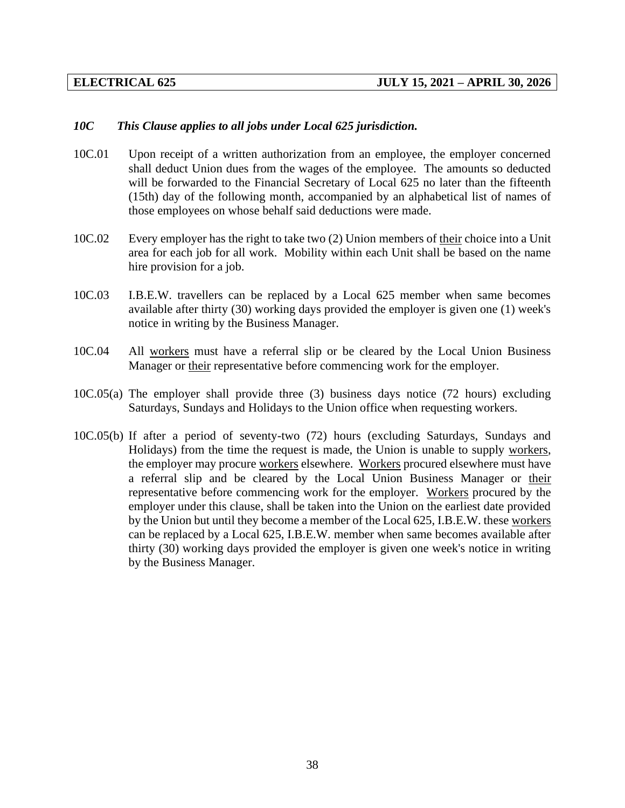### *10C This Clause applies to all jobs under Local 625 jurisdiction.*

- 10C.01 Upon receipt of a written authorization from an employee, the employer concerned shall deduct Union dues from the wages of the employee. The amounts so deducted will be forwarded to the Financial Secretary of Local 625 no later than the fifteenth (15th) day of the following month, accompanied by an alphabetical list of names of those employees on whose behalf said deductions were made.
- 10C.02 Every employer has the right to take two (2) Union members of their choice into a Unit area for each job for all work. Mobility within each Unit shall be based on the name hire provision for a job.
- 10C.03 I.B.E.W. travellers can be replaced by a Local 625 member when same becomes available after thirty (30) working days provided the employer is given one (1) week's notice in writing by the Business Manager.
- 10C.04 All workers must have a referral slip or be cleared by the Local Union Business Manager or their representative before commencing work for the employer.
- 10C.05(a) The employer shall provide three (3) business days notice (72 hours) excluding Saturdays, Sundays and Holidays to the Union office when requesting workers.
- 10C.05(b) If after a period of seventy-two (72) hours (excluding Saturdays, Sundays and Holidays) from the time the request is made, the Union is unable to supply workers, the employer may procure workers elsewhere. Workers procured elsewhere must have a referral slip and be cleared by the Local Union Business Manager or their representative before commencing work for the employer. Workers procured by the employer under this clause, shall be taken into the Union on the earliest date provided by the Union but until they become a member of the Local 625, I.B.E.W. these workers can be replaced by a Local 625, I.B.E.W. member when same becomes available after thirty (30) working days provided the employer is given one week's notice in writing by the Business Manager.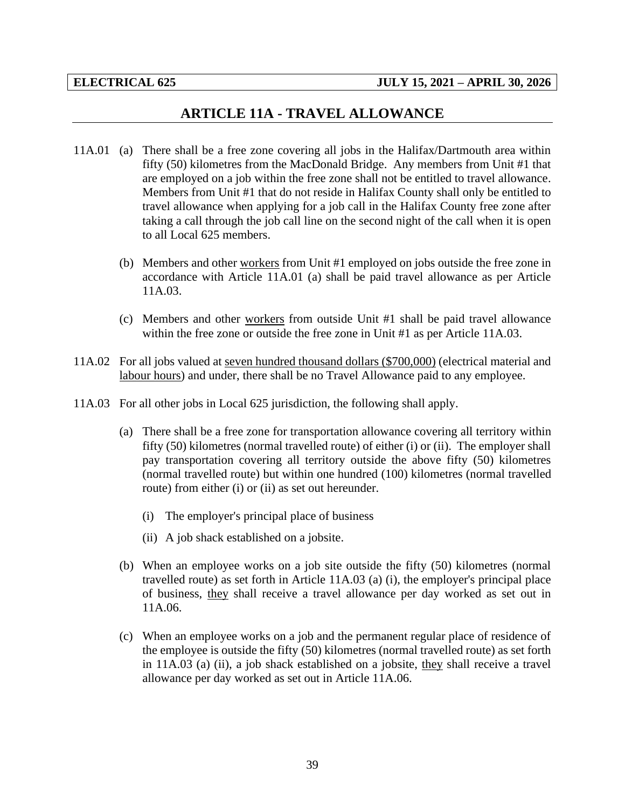## **ARTICLE 11A - TRAVEL ALLOWANCE**

- <span id="page-41-0"></span>11A.01 (a) There shall be a free zone covering all jobs in the Halifax/Dartmouth area within fifty (50) kilometres from the MacDonald Bridge. Any members from Unit #1 that are employed on a job within the free zone shall not be entitled to travel allowance. Members from Unit #1 that do not reside in Halifax County shall only be entitled to travel allowance when applying for a job call in the Halifax County free zone after taking a call through the job call line on the second night of the call when it is open to all Local 625 members.
	- (b) Members and other workers from Unit #1 employed on jobs outside the free zone in accordance with Article 11A.01 (a) shall be paid travel allowance as per Article 11A.03.
	- (c) Members and other workers from outside Unit #1 shall be paid travel allowance within the free zone or outside the free zone in Unit #1 as per Article 11A.03.
- 11A.02 For all jobs valued at seven hundred thousand dollars (\$700,000) (electrical material and labour hours) and under, there shall be no Travel Allowance paid to any employee.
- 11A.03 For all other jobs in Local 625 jurisdiction, the following shall apply.
	- (a) There shall be a free zone for transportation allowance covering all territory within fifty (50) kilometres (normal travelled route) of either (i) or (ii). The employer shall pay transportation covering all territory outside the above fifty (50) kilometres (normal travelled route) but within one hundred (100) kilometres (normal travelled route) from either (i) or (ii) as set out hereunder.
		- (i) The employer's principal place of business
		- (ii) A job shack established on a jobsite.
	- (b) When an employee works on a job site outside the fifty (50) kilometres (normal travelled route) as set forth in Article 11A.03 (a) (i), the employer's principal place of business, they shall receive a travel allowance per day worked as set out in 11A.06.
	- (c) When an employee works on a job and the permanent regular place of residence of the employee is outside the fifty (50) kilometres (normal travelled route) as set forth in 11A.03 (a) (ii), a job shack established on a jobsite, they shall receive a travel allowance per day worked as set out in Article 11A.06.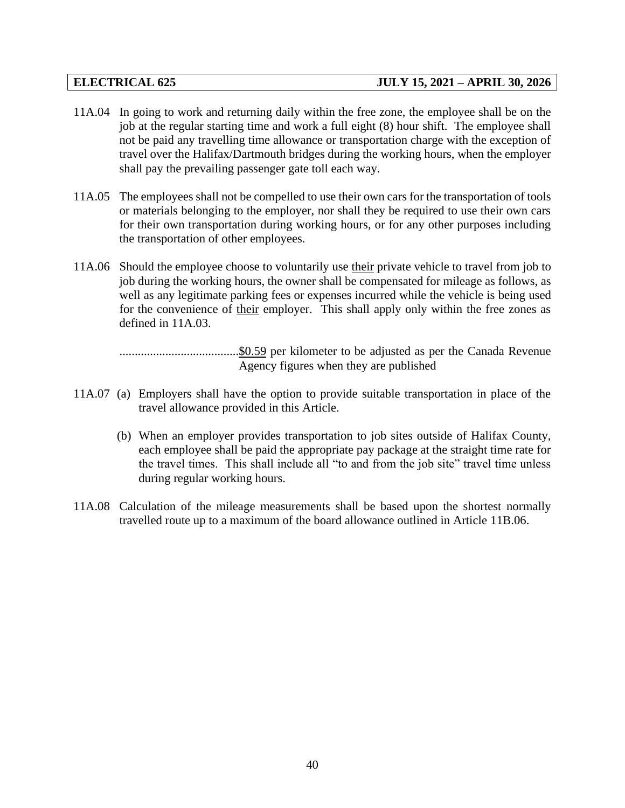- 11A.04 In going to work and returning daily within the free zone, the employee shall be on the job at the regular starting time and work a full eight (8) hour shift. The employee shall not be paid any travelling time allowance or transportation charge with the exception of travel over the Halifax/Dartmouth bridges during the working hours, when the employer shall pay the prevailing passenger gate toll each way.
- 11A.05 The employees shall not be compelled to use their own cars for the transportation of tools or materials belonging to the employer, nor shall they be required to use their own cars for their own transportation during working hours, or for any other purposes including the transportation of other employees.
- 11A.06 Should the employee choose to voluntarily use their private vehicle to travel from job to job during the working hours, the owner shall be compensated for mileage as follows, as well as any legitimate parking fees or expenses incurred while the vehicle is being used for the convenience of their employer. This shall apply only within the free zones as defined in 11A.03.

.......................................\$0.59 per kilometer to be adjusted as per the Canada Revenue Agency figures when they are published

- 11A.07 (a) Employers shall have the option to provide suitable transportation in place of the travel allowance provided in this Article.
	- (b) When an employer provides transportation to job sites outside of Halifax County, each employee shall be paid the appropriate pay package at the straight time rate for the travel times. This shall include all "to and from the job site" travel time unless during regular working hours.
- 11A.08 Calculation of the mileage measurements shall be based upon the shortest normally travelled route up to a maximum of the board allowance outlined in Article 11B.06.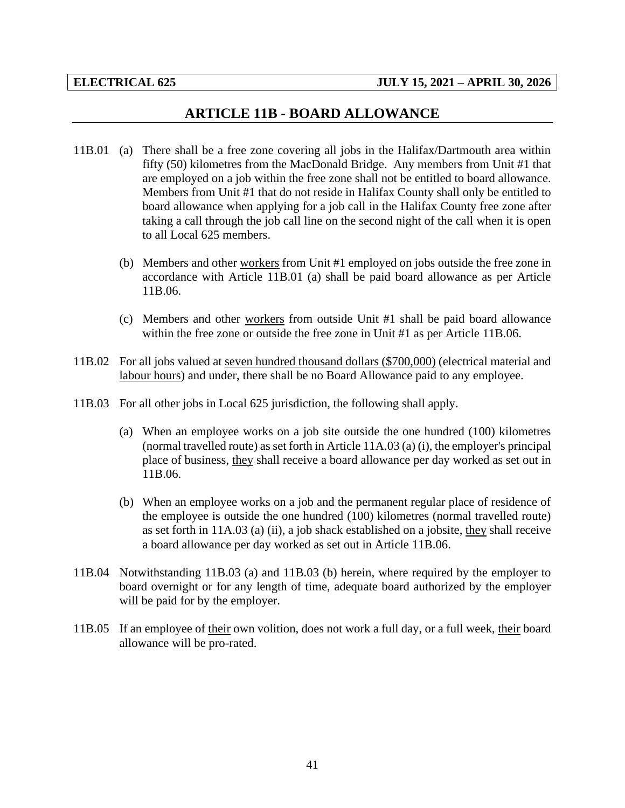## **ARTICLE 11B - BOARD ALLOWANCE**

- <span id="page-43-0"></span>11B.01 (a) There shall be a free zone covering all jobs in the Halifax/Dartmouth area within fifty (50) kilometres from the MacDonald Bridge. Any members from Unit #1 that are employed on a job within the free zone shall not be entitled to board allowance. Members from Unit #1 that do not reside in Halifax County shall only be entitled to board allowance when applying for a job call in the Halifax County free zone after taking a call through the job call line on the second night of the call when it is open to all Local 625 members.
	- (b) Members and other workers from Unit #1 employed on jobs outside the free zone in accordance with Article 11B.01 (a) shall be paid board allowance as per Article 11B.06.
	- (c) Members and other workers from outside Unit #1 shall be paid board allowance within the free zone or outside the free zone in Unit #1 as per Article 11B.06.
- 11B.02 For all jobs valued at seven hundred thousand dollars (\$700,000) (electrical material and labour hours) and under, there shall be no Board Allowance paid to any employee.
- 11B.03 For all other jobs in Local 625 jurisdiction, the following shall apply.
	- (a) When an employee works on a job site outside the one hundred (100) kilometres (normal travelled route) as set forth in Article 11A.03 (a) (i), the employer's principal place of business, they shall receive a board allowance per day worked as set out in 11B.06.
	- (b) When an employee works on a job and the permanent regular place of residence of the employee is outside the one hundred (100) kilometres (normal travelled route) as set forth in 11A.03 (a) (ii), a job shack established on a jobsite, they shall receive a board allowance per day worked as set out in Article 11B.06.
- 11B.04 Notwithstanding 11B.03 (a) and 11B.03 (b) herein, where required by the employer to board overnight or for any length of time, adequate board authorized by the employer will be paid for by the employer.
- 11B.05 If an employee of their own volition, does not work a full day, or a full week, their board allowance will be pro-rated.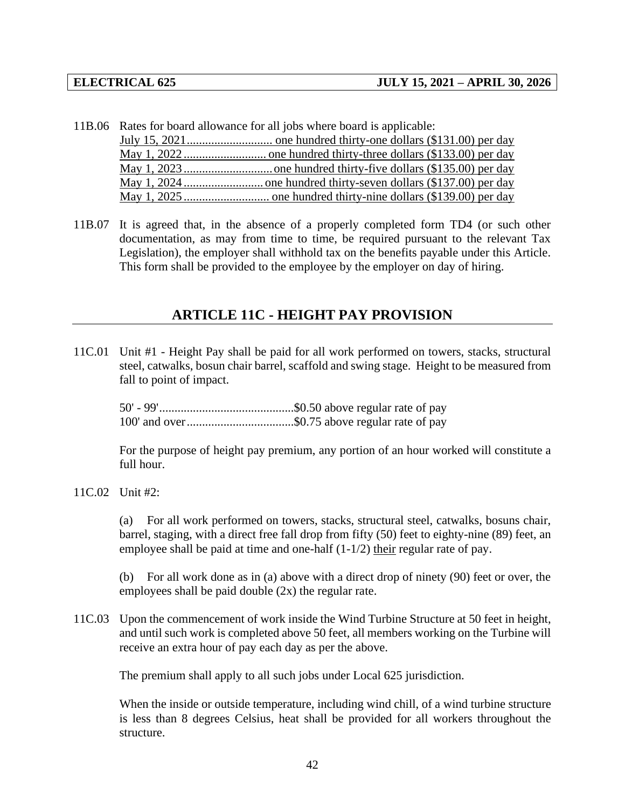11B.06 Rates for board allowance for all jobs where board is applicable:<br> $\frac{1 \text{mV}}{2021}$  one bundred thirty-one dollars (\$) one hundred thirty-one dollars  $(\$131.00)$  per day

11B.07 It is agreed that, in the absence of a properly completed form TD4 (or such other documentation, as may from time to time, be required pursuant to the relevant Tax Legislation), the employer shall withhold tax on the benefits payable under this Article. This form shall be provided to the employee by the employer on day of hiring.

# **ARTICLE 11C - HEIGHT PAY PROVISION**

<span id="page-44-0"></span>11C.01 Unit #1 - Height Pay shall be paid for all work performed on towers, stacks, structural steel, catwalks, bosun chair barrel, scaffold and swing stage. Height to be measured from fall to point of impact.

50' - 99'............................................\$0.50 above regular rate of pay 100' and over..................................\$0.75 above regular rate of pay

For the purpose of height pay premium, any portion of an hour worked will constitute a full hour.

(a) For all work performed on towers, stacks, structural steel, catwalks, bosuns chair, barrel, staging, with a direct free fall drop from fifty (50) feet to eighty-nine (89) feet, an employee shall be paid at time and one-half (1-1/2) their regular rate of pay.

(b) For all work done as in (a) above with a direct drop of ninety (90) feet or over, the employees shall be paid double (2x) the regular rate.

11C.03 Upon the commencement of work inside the Wind Turbine Structure at 50 feet in height, and until such work is completed above 50 feet, all members working on the Turbine will receive an extra hour of pay each day as per the above.

The premium shall apply to all such jobs under Local 625 jurisdiction.

When the inside or outside temperature, including wind chill, of a wind turbine structure is less than 8 degrees Celsius, heat shall be provided for all workers throughout the structure.

<sup>11</sup>C.02 Unit #2: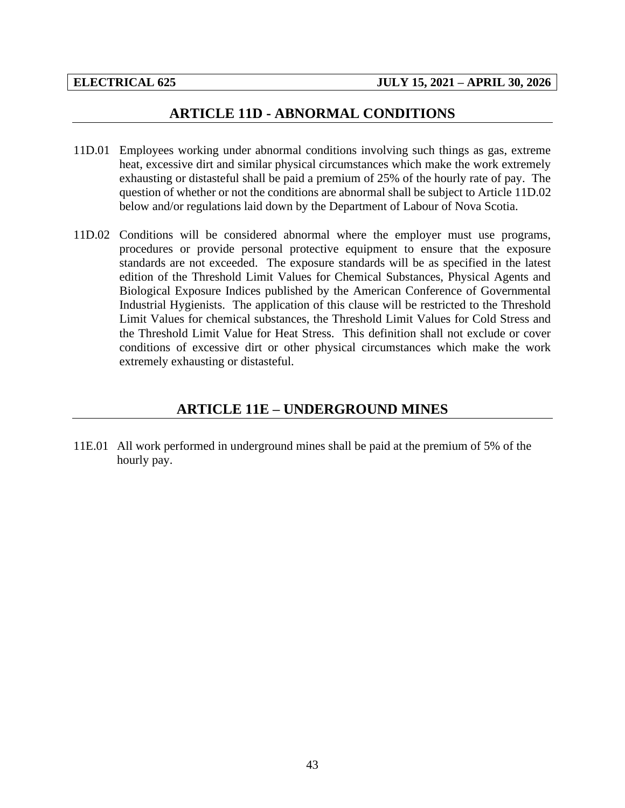## **ARTICLE 11D - ABNORMAL CONDITIONS**

- <span id="page-45-0"></span>11D.01 Employees working under abnormal conditions involving such things as gas, extreme heat, excessive dirt and similar physical circumstances which make the work extremely exhausting or distasteful shall be paid a premium of 25% of the hourly rate of pay. The question of whether or not the conditions are abnormal shall be subject to Article 11D.02 below and/or regulations laid down by the Department of Labour of Nova Scotia.
- 11D.02 Conditions will be considered abnormal where the employer must use programs, procedures or provide personal protective equipment to ensure that the exposure standards are not exceeded. The exposure standards will be as specified in the latest edition of the Threshold Limit Values for Chemical Substances, Physical Agents and Biological Exposure Indices published by the American Conference of Governmental Industrial Hygienists. The application of this clause will be restricted to the Threshold Limit Values for chemical substances, the Threshold Limit Values for Cold Stress and the Threshold Limit Value for Heat Stress. This definition shall not exclude or cover conditions of excessive dirt or other physical circumstances which make the work extremely exhausting or distasteful.

# **ARTICLE 11E – UNDERGROUND MINES**

<span id="page-45-1"></span>11E.01 All work performed in underground mines shall be paid at the premium of 5% of the hourly pay.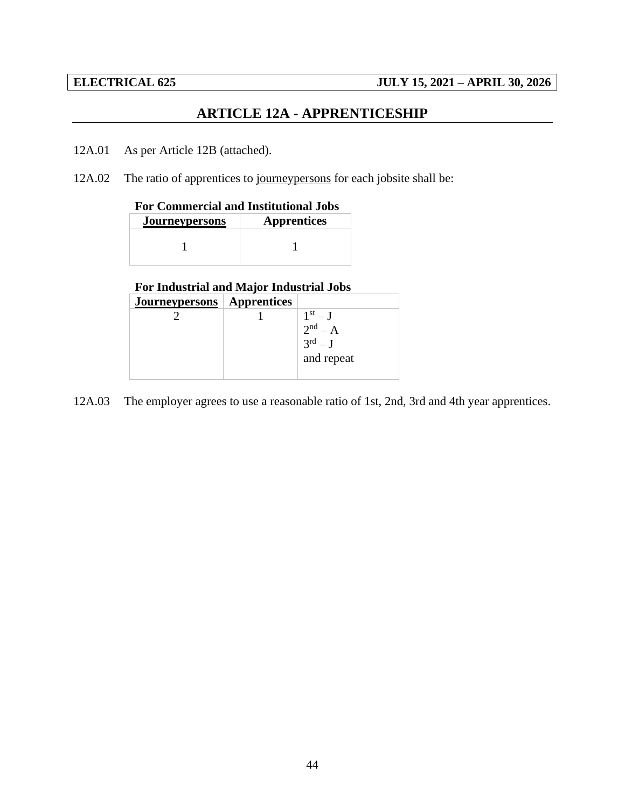# **ARTICLE 12A - APPRENTICESHIP**

- <span id="page-46-0"></span>12A.01 As per Article 12B (attached).
- 12A.02 The ratio of apprentices to journeypersons for each jobsite shall be:

| <b>For Commercial and Institutional Jobs</b> |  |
|----------------------------------------------|--|
|----------------------------------------------|--|

| <b>Journeypersons</b> | <b>Apprentices</b> |
|-----------------------|--------------------|
|                       |                    |

## **For Industrial and Major Industrial Jobs**

| <b>Journeypersons</b> | Apprentices |                     |
|-----------------------|-------------|---------------------|
|                       |             | $1st - J$           |
|                       |             | $2nd - A$           |
|                       |             | $3^{\text{rd}} - J$ |
|                       |             | and repeat          |
|                       |             |                     |

12A.03 The employer agrees to use a reasonable ratio of 1st, 2nd, 3rd and 4th year apprentices.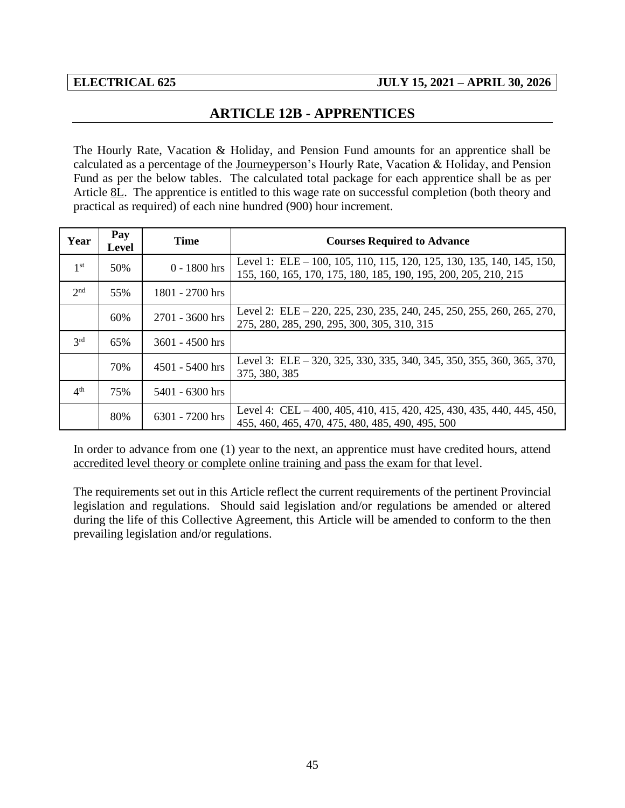# **ARTICLE 12B - APPRENTICES**

<span id="page-47-0"></span>The Hourly Rate, Vacation & Holiday, and Pension Fund amounts for an apprentice shall be calculated as a percentage of the Journeyperson's Hourly Rate, Vacation & Holiday, and Pension Fund as per the below tables. The calculated total package for each apprentice shall be as per Article 8L. The apprentice is entitled to this wage rate on successful completion (both theory and practical as required) of each nine hundred (900) hour increment.

| Year            | Pay<br>Level | <b>Time</b>       | <b>Courses Required to Advance</b>                                                                                                       |
|-----------------|--------------|-------------------|------------------------------------------------------------------------------------------------------------------------------------------|
| 1 <sup>st</sup> | 50%          | $0 - 1800$ hrs    | Level 1: ELE – 100, 105, 110, 115, 120, 125, 130, 135, 140, 145, 150,<br>155, 160, 165, 170, 175, 180, 185, 190, 195, 200, 205, 210, 215 |
| 2 <sup>nd</sup> | 55%          | 1801 - 2700 hrs   |                                                                                                                                          |
|                 | 60%          | 2701 - 3600 hrs   | Level 2: ELE – 220, 225, 230, 235, 240, 245, 250, 255, 260, 265, 270,<br>275, 280, 285, 290, 295, 300, 305, 310, 315                     |
| 3 <sup>rd</sup> | 65%          | $3601 - 4500$ hrs |                                                                                                                                          |
|                 | 70%          | 4501 - 5400 hrs   | Level 3: ELE – 320, 325, 330, 335, 340, 345, 350, 355, 360, 365, 370,<br>375, 380, 385                                                   |
| 4 <sup>th</sup> | 75%          | $5401 - 6300$ hrs |                                                                                                                                          |
|                 | 80%          | 6301 - 7200 hrs   | Level 4: CEL $-400$ , 405, 410, 415, 420, 425, 430, 435, 440, 445, 450,<br>455, 460, 465, 470, 475, 480, 485, 490, 495, 500              |

In order to advance from one (1) year to the next, an apprentice must have credited hours, attend accredited level theory or complete online training and pass the exam for that level.

The requirements set out in this Article reflect the current requirements of the pertinent Provincial legislation and regulations. Should said legislation and/or regulations be amended or altered during the life of this Collective Agreement, this Article will be amended to conform to the then prevailing legislation and/or regulations.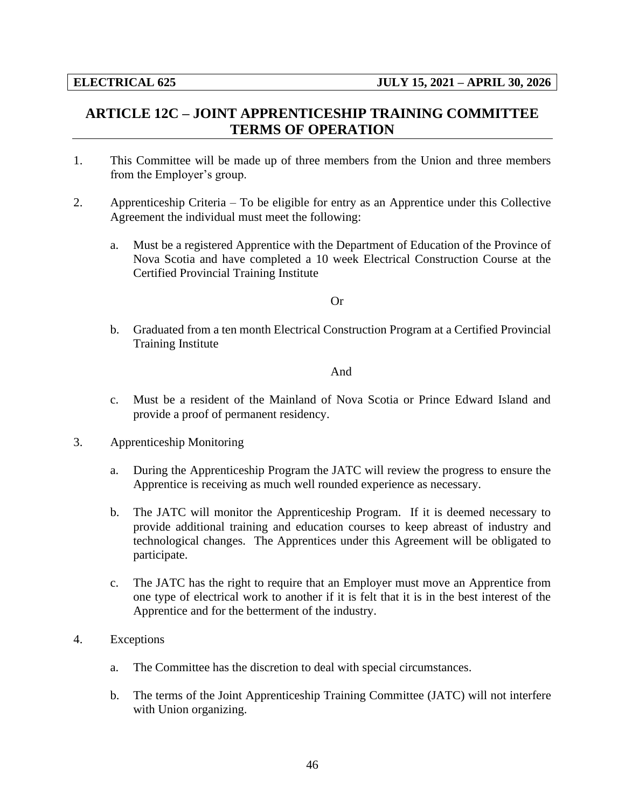# <span id="page-48-0"></span>**ARTICLE 12C – JOINT APPRENTICESHIP TRAINING COMMITTEE TERMS OF OPERATION**

- 1. This Committee will be made up of three members from the Union and three members from the Employer's group.
- 2. Apprenticeship Criteria To be eligible for entry as an Apprentice under this Collective Agreement the individual must meet the following:
	- a. Must be a registered Apprentice with the Department of Education of the Province of Nova Scotia and have completed a 10 week Electrical Construction Course at the Certified Provincial Training Institute

Or

b. Graduated from a ten month Electrical Construction Program at a Certified Provincial Training Institute

### And

- c. Must be a resident of the Mainland of Nova Scotia or Prince Edward Island and provide a proof of permanent residency.
- 3. Apprenticeship Monitoring
	- a. During the Apprenticeship Program the JATC will review the progress to ensure the Apprentice is receiving as much well rounded experience as necessary.
	- b. The JATC will monitor the Apprenticeship Program. If it is deemed necessary to provide additional training and education courses to keep abreast of industry and technological changes. The Apprentices under this Agreement will be obligated to participate.
	- c. The JATC has the right to require that an Employer must move an Apprentice from one type of electrical work to another if it is felt that it is in the best interest of the Apprentice and for the betterment of the industry.
- 4. Exceptions
	- a. The Committee has the discretion to deal with special circumstances.
	- b. The terms of the Joint Apprenticeship Training Committee (JATC) will not interfere with Union organizing.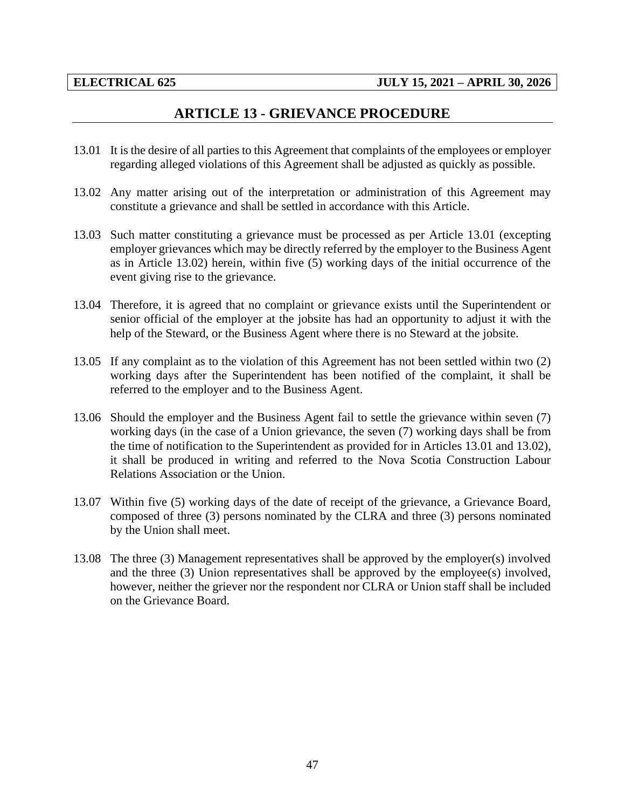## **ARTICLE 13 - GRIEVANCE PROCEDURE**

- <span id="page-49-0"></span>13.01 It is the desire of all parties to this Agreement that complaints of the employees or employer regarding alleged violations of this Agreement shall be adjusted as quickly as possible.
- 13.02 Any matter arising out of the interpretation or administration of this Agreement may constitute a grievance and shall be settled in accordance with this Article.
- 13.03 Such matter constituting a grievance must be processed as per Article 13.01 (excepting employer grievances which may be directly referred by the employer to the Business Agent as in Article 13.02) herein, within five (5) working days of the initial occurrence of the event giving rise to the grievance.
- 13.04 Therefore, it is agreed that no complaint or grievance exists until the Superintendent or senior official of the employer at the jobsite has had an opportunity to adjust it with the help of the Steward, or the Business Agent where there is no Steward at the jobsite.
- 13.05 If any complaint as to the violation of this Agreement has not been settled within two (2) working days after the Superintendent has been notified of the complaint, it shall be referred to the employer and to the Business Agent.
- 13.06 Should the employer and the Business Agent fail to settle the grievance within seven (7) working days (in the case of a Union grievance, the seven (7) working days shall be from the time of notification to the Superintendent as provided for in Articles 13.01 and 13.02), it shall be produced in writing and referred to the Nova Scotia Construction Labour Relations Association or the Union.
- 13.07 Within five (5) working days of the date of receipt of the grievance, a Grievance Board, composed of three (3) persons nominated by the CLRA and three (3) persons nominated by the Union shall meet.
- 13.08 The three (3) Management representatives shall be approved by the employer(s) involved and the three (3) Union representatives shall be approved by the employee(s) involved, however, neither the griever nor the respondent nor CLRA or Union staff shall be included on the Grievance Board.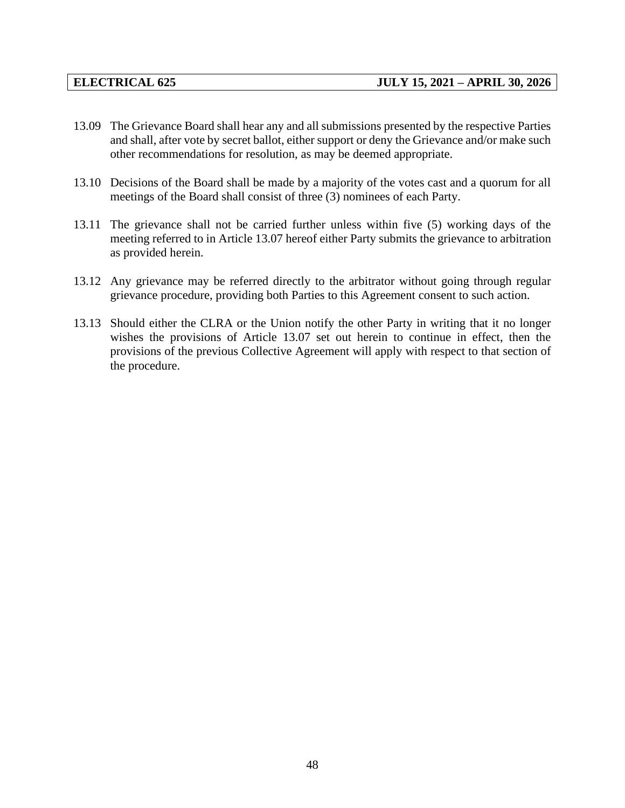- 13.09 The Grievance Board shall hear any and all submissions presented by the respective Parties and shall, after vote by secret ballot, either support or deny the Grievance and/or make such other recommendations for resolution, as may be deemed appropriate.
- 13.10 Decisions of the Board shall be made by a majority of the votes cast and a quorum for all meetings of the Board shall consist of three (3) nominees of each Party.
- 13.11 The grievance shall not be carried further unless within five (5) working days of the meeting referred to in Article 13.07 hereof either Party submits the grievance to arbitration as provided herein.
- 13.12 Any grievance may be referred directly to the arbitrator without going through regular grievance procedure, providing both Parties to this Agreement consent to such action.
- 13.13 Should either the CLRA or the Union notify the other Party in writing that it no longer wishes the provisions of Article 13.07 set out herein to continue in effect, then the provisions of the previous Collective Agreement will apply with respect to that section of the procedure.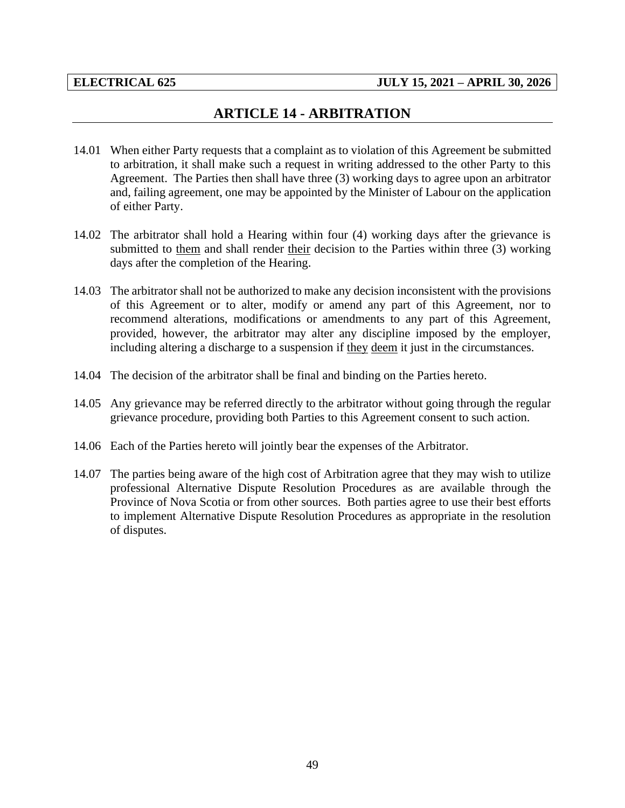# **ARTICLE 14 - ARBITRATION**

- <span id="page-51-0"></span>14.01 When either Party requests that a complaint as to violation of this Agreement be submitted to arbitration, it shall make such a request in writing addressed to the other Party to this Agreement. The Parties then shall have three (3) working days to agree upon an arbitrator and, failing agreement, one may be appointed by the Minister of Labour on the application of either Party.
- 14.02 The arbitrator shall hold a Hearing within four (4) working days after the grievance is submitted to them and shall render their decision to the Parties within three (3) working days after the completion of the Hearing.
- 14.03 The arbitrator shall not be authorized to make any decision inconsistent with the provisions of this Agreement or to alter, modify or amend any part of this Agreement, nor to recommend alterations, modifications or amendments to any part of this Agreement, provided, however, the arbitrator may alter any discipline imposed by the employer, including altering a discharge to a suspension if they deem it just in the circumstances.
- 14.04 The decision of the arbitrator shall be final and binding on the Parties hereto.
- 14.05 Any grievance may be referred directly to the arbitrator without going through the regular grievance procedure, providing both Parties to this Agreement consent to such action.
- 14.06 Each of the Parties hereto will jointly bear the expenses of the Arbitrator.
- 14.07 The parties being aware of the high cost of Arbitration agree that they may wish to utilize professional Alternative Dispute Resolution Procedures as are available through the Province of Nova Scotia or from other sources. Both parties agree to use their best efforts to implement Alternative Dispute Resolution Procedures as appropriate in the resolution of disputes.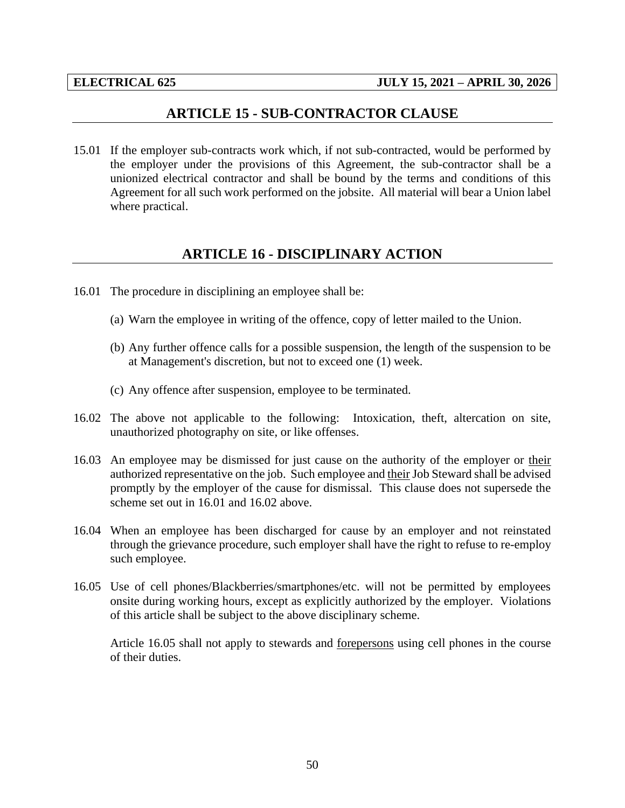## **ARTICLE 15 - SUB-CONTRACTOR CLAUSE**

<span id="page-52-0"></span>15.01 If the employer sub-contracts work which, if not sub-contracted, would be performed by the employer under the provisions of this Agreement, the sub-contractor shall be a unionized electrical contractor and shall be bound by the terms and conditions of this Agreement for all such work performed on the jobsite. All material will bear a Union label where practical.

# **ARTICLE 16 - DISCIPLINARY ACTION**

- <span id="page-52-1"></span>16.01 The procedure in disciplining an employee shall be:
	- (a) Warn the employee in writing of the offence, copy of letter mailed to the Union.
	- (b) Any further offence calls for a possible suspension, the length of the suspension to be at Management's discretion, but not to exceed one (1) week.
	- (c) Any offence after suspension, employee to be terminated.
- 16.02 The above not applicable to the following: Intoxication, theft, altercation on site, unauthorized photography on site, or like offenses.
- 16.03 An employee may be dismissed for just cause on the authority of the employer or their authorized representative on the job. Such employee and their Job Steward shall be advised promptly by the employer of the cause for dismissal. This clause does not supersede the scheme set out in 16.01 and 16.02 above.
- 16.04 When an employee has been discharged for cause by an employer and not reinstated through the grievance procedure, such employer shall have the right to refuse to re-employ such employee.
- 16.05 Use of cell phones/Blackberries/smartphones/etc. will not be permitted by employees onsite during working hours, except as explicitly authorized by the employer. Violations of this article shall be subject to the above disciplinary scheme.

Article 16.05 shall not apply to stewards and forepersons using cell phones in the course of their duties.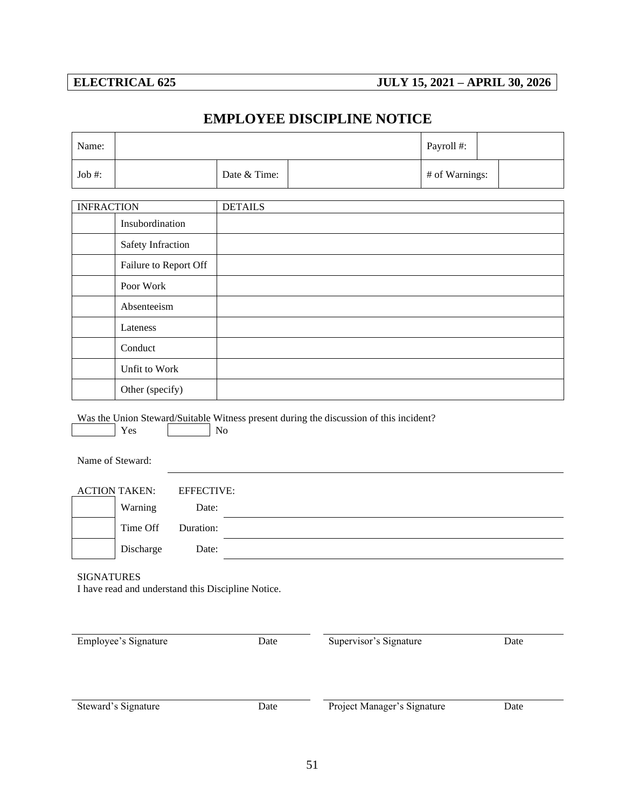# **EMPLOYEE DISCIPLINE NOTICE**

| Name:                                                                                                                   |                                                        |                |                             | Payroll #:     |      |
|-------------------------------------------------------------------------------------------------------------------------|--------------------------------------------------------|----------------|-----------------------------|----------------|------|
| Job #:                                                                                                                  |                                                        | Date & Time:   |                             | # of Warnings: |      |
|                                                                                                                         |                                                        |                |                             |                |      |
| <b>INFRACTION</b>                                                                                                       |                                                        | <b>DETAILS</b> |                             |                |      |
|                                                                                                                         | Insubordination                                        |                |                             |                |      |
|                                                                                                                         | Safety Infraction                                      |                |                             |                |      |
|                                                                                                                         | Failure to Report Off                                  |                |                             |                |      |
|                                                                                                                         | Poor Work                                              |                |                             |                |      |
|                                                                                                                         | Absenteeism                                            |                |                             |                |      |
|                                                                                                                         | Lateness                                               |                |                             |                |      |
|                                                                                                                         | Conduct                                                |                |                             |                |      |
|                                                                                                                         | Unfit to Work                                          |                |                             |                |      |
|                                                                                                                         | Other (specify)                                        |                |                             |                |      |
| Was the Union Steward/Suitable Witness present during the discussion of this incident?<br>Yes<br>No<br>Name of Steward: |                                                        |                |                             |                |      |
|                                                                                                                         |                                                        |                |                             |                |      |
|                                                                                                                         | <b>ACTION TAKEN:</b><br>EFFECTIVE:<br>Warning<br>Date: |                |                             |                |      |
| Time Off<br>Duration:                                                                                                   |                                                        |                |                             |                |      |
|                                                                                                                         | Discharge<br>Date:                                     |                |                             |                |      |
|                                                                                                                         |                                                        |                |                             |                |      |
| <b>SIGNATURES</b><br>I have read and understand this Discipline Notice.                                                 |                                                        |                |                             |                |      |
|                                                                                                                         | Employee's Signature                                   | Date           | Supervisor's Signature      |                | Date |
|                                                                                                                         |                                                        |                |                             |                |      |
|                                                                                                                         | Steward's Signature                                    | Date           | Project Manager's Signature |                | Date |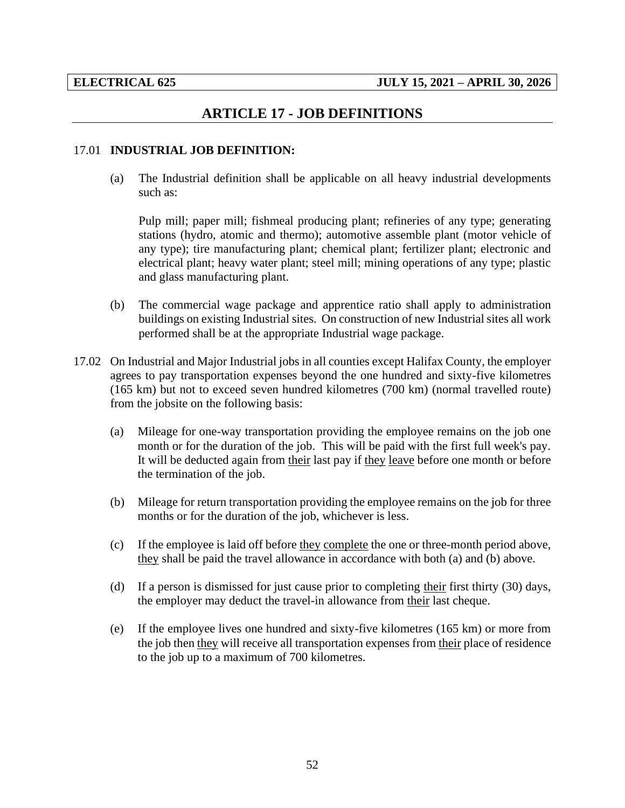# **ARTICLE 17 - JOB DEFINITIONS**

### <span id="page-54-0"></span>17.01 **INDUSTRIAL JOB DEFINITION:**

(a) The Industrial definition shall be applicable on all heavy industrial developments such as:

Pulp mill; paper mill; fishmeal producing plant; refineries of any type; generating stations (hydro, atomic and thermo); automotive assemble plant (motor vehicle of any type); tire manufacturing plant; chemical plant; fertilizer plant; electronic and electrical plant; heavy water plant; steel mill; mining operations of any type; plastic and glass manufacturing plant.

- (b) The commercial wage package and apprentice ratio shall apply to administration buildings on existing Industrial sites. On construction of new Industrial sites all work performed shall be at the appropriate Industrial wage package.
- 17.02 On Industrial and Major Industrial jobs in all counties except Halifax County, the employer agrees to pay transportation expenses beyond the one hundred and sixty-five kilometres (165 km) but not to exceed seven hundred kilometres (700 km) (normal travelled route) from the jobsite on the following basis:
	- (a) Mileage for one-way transportation providing the employee remains on the job one month or for the duration of the job. This will be paid with the first full week's pay. It will be deducted again from their last pay if they leave before one month or before the termination of the job.
	- (b) Mileage for return transportation providing the employee remains on the job for three months or for the duration of the job, whichever is less.
	- (c) If the employee is laid off before they complete the one or three-month period above, they shall be paid the travel allowance in accordance with both (a) and (b) above.
	- (d) If a person is dismissed for just cause prior to completing their first thirty (30) days, the employer may deduct the travel-in allowance from their last cheque.
	- (e) If the employee lives one hundred and sixty-five kilometres (165 km) or more from the job then they will receive all transportation expenses from their place of residence to the job up to a maximum of 700 kilometres.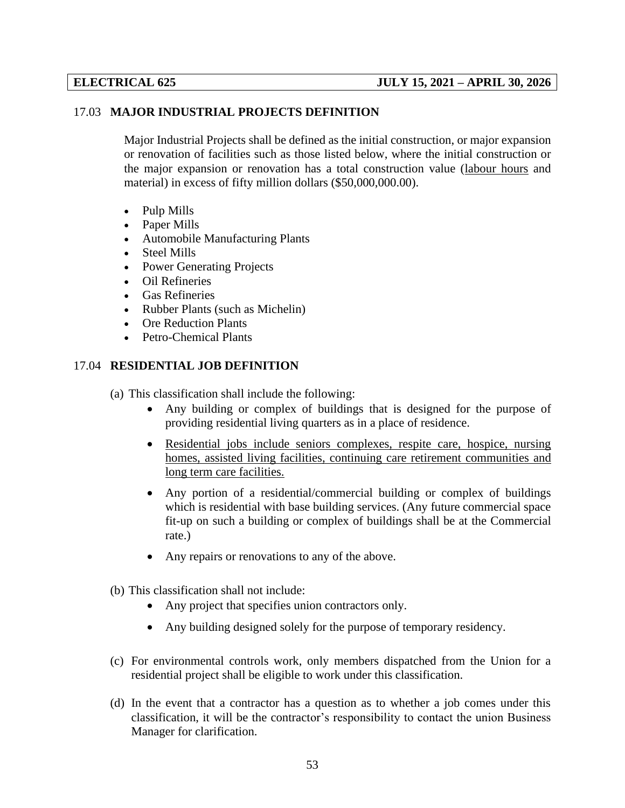## 17.03 **MAJOR INDUSTRIAL PROJECTS DEFINITION**

Major Industrial Projects shall be defined as the initial construction, or major expansion or renovation of facilities such as those listed below, where the initial construction or the major expansion or renovation has a total construction value (labour hours and material) in excess of fifty million dollars (\$50,000,000.00).

- Pulp Mills
- Paper Mills
- Automobile Manufacturing Plants
- Steel Mills
- Power Generating Projects
- Oil Refineries
- Gas Refineries
- Rubber Plants (such as Michelin)
- Ore Reduction Plants
- Petro-Chemical Plants

### 17.04 **RESIDENTIAL JOB DEFINITION**

(a) This classification shall include the following:

- Any building or complex of buildings that is designed for the purpose of providing residential living quarters as in a place of residence.
- Residential jobs include seniors complexes, respite care, hospice, nursing homes, assisted living facilities, continuing care retirement communities and long term care facilities.
- Any portion of a residential/commercial building or complex of buildings which is residential with base building services. (Any future commercial space fit-up on such a building or complex of buildings shall be at the Commercial rate.)
- Any repairs or renovations to any of the above.
- (b) This classification shall not include:
	- Any project that specifies union contractors only.
	- Any building designed solely for the purpose of temporary residency.
- (c) For environmental controls work, only members dispatched from the Union for a residential project shall be eligible to work under this classification.
- (d) In the event that a contractor has a question as to whether a job comes under this classification, it will be the contractor's responsibility to contact the union Business Manager for clarification.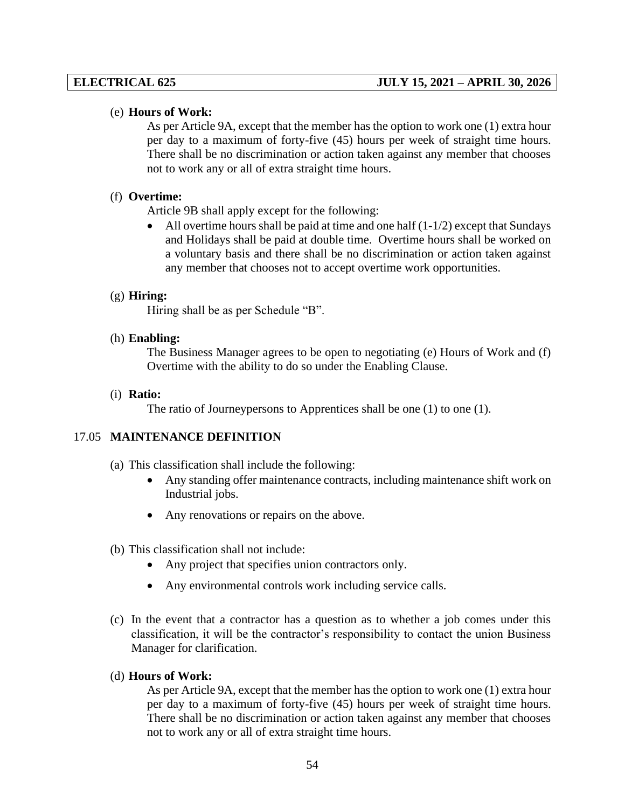### (e) **Hours of Work:**

As per Article 9A, except that the member has the option to work one (1) extra hour per day to a maximum of forty-five (45) hours per week of straight time hours. There shall be no discrimination or action taken against any member that chooses not to work any or all of extra straight time hours.

### (f) **Overtime:**

Article 9B shall apply except for the following:

All overtime hours shall be paid at time and one half  $(1-1/2)$  except that Sundays and Holidays shall be paid at double time. Overtime hours shall be worked on a voluntary basis and there shall be no discrimination or action taken against any member that chooses not to accept overtime work opportunities.

### (g) **Hiring:**

Hiring shall be as per Schedule "B".

#### (h) **Enabling:**

The Business Manager agrees to be open to negotiating (e) Hours of Work and (f) Overtime with the ability to do so under the Enabling Clause.

#### (i) **Ratio:**

The ratio of Journeypersons to Apprentices shall be one (1) to one (1).

### 17.05 **MAINTENANCE DEFINITION**

- (a) This classification shall include the following:
	- Any standing offer maintenance contracts, including maintenance shift work on Industrial jobs.
	- Any renovations or repairs on the above.
- (b) This classification shall not include:
	- Any project that specifies union contractors only.
	- Any environmental controls work including service calls.
- (c) In the event that a contractor has a question as to whether a job comes under this classification, it will be the contractor's responsibility to contact the union Business Manager for clarification.
- (d) **Hours of Work:**

As per Article 9A, except that the member has the option to work one (1) extra hour per day to a maximum of forty-five (45) hours per week of straight time hours. There shall be no discrimination or action taken against any member that chooses not to work any or all of extra straight time hours.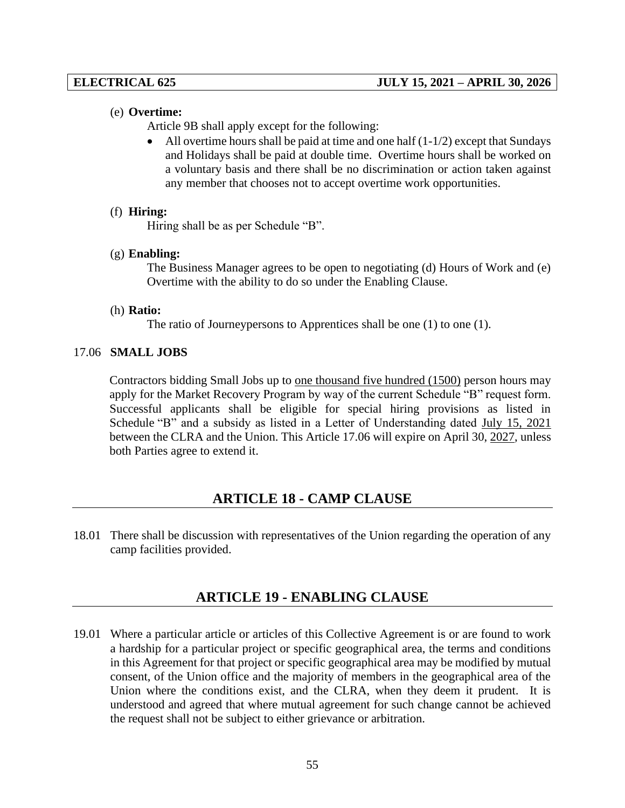### (e) **Overtime:**

Article 9B shall apply except for the following:

• All overtime hours shall be paid at time and one half  $(1-1/2)$  except that Sundays and Holidays shall be paid at double time. Overtime hours shall be worked on a voluntary basis and there shall be no discrimination or action taken against any member that chooses not to accept overtime work opportunities.

### (f) **Hiring:**

Hiring shall be as per Schedule "B".

### (g) **Enabling:**

The Business Manager agrees to be open to negotiating (d) Hours of Work and (e) Overtime with the ability to do so under the Enabling Clause.

### (h) **Ratio:**

The ratio of Journeypersons to Apprentices shall be one (1) to one (1).

### 17.06 **SMALL JOBS**

Contractors bidding Small Jobs up to one thousand five hundred (1500) person hours may apply for the Market Recovery Program by way of the current Schedule "B" request form. Successful applicants shall be eligible for special hiring provisions as listed in Schedule "B" and a subsidy as listed in a Letter of Understanding dated July 15, 2021 between the CLRA and the Union. This Article 17.06 will expire on April 30, 2027, unless both Parties agree to extend it.

# **ARTICLE 18 - CAMP CLAUSE**

<span id="page-57-1"></span><span id="page-57-0"></span>18.01 There shall be discussion with representatives of the Union regarding the operation of any camp facilities provided.

# **ARTICLE 19 - ENABLING CLAUSE**

19.01 Where a particular article or articles of this Collective Agreement is or are found to work a hardship for a particular project or specific geographical area, the terms and conditions in this Agreement for that project or specific geographical area may be modified by mutual consent, of the Union office and the majority of members in the geographical area of the Union where the conditions exist, and the CLRA, when they deem it prudent. It is understood and agreed that where mutual agreement for such change cannot be achieved the request shall not be subject to either grievance or arbitration.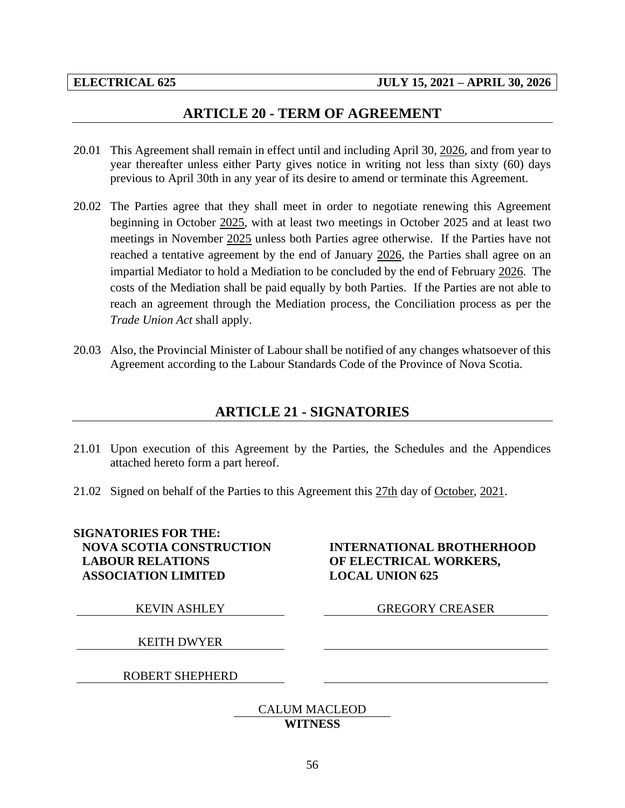## **ARTICLE 20 - TERM OF AGREEMENT**

- <span id="page-58-0"></span>20.01 This Agreement shall remain in effect until and including April 30, 2026, and from year to year thereafter unless either Party gives notice in writing not less than sixty (60) days previous to April 30th in any year of its desire to amend or terminate this Agreement.
- 20.02 The Parties agree that they shall meet in order to negotiate renewing this Agreement beginning in October 2025, with at least two meetings in October 2025 and at least two meetings in November 2025 unless both Parties agree otherwise. If the Parties have not reached a tentative agreement by the end of January 2026, the Parties shall agree on an impartial Mediator to hold a Mediation to be concluded by the end of February 2026. The costs of the Mediation shall be paid equally by both Parties. If the Parties are not able to reach an agreement through the Mediation process, the Conciliation process as per the *Trade Union Act* shall apply.
- <span id="page-58-1"></span>20.03 Also, the Provincial Minister of Labour shall be notified of any changes whatsoever of this Agreement according to the Labour Standards Code of the Province of Nova Scotia.

# **ARTICLE 21 - SIGNATORIES**

- 21.01 Upon execution of this Agreement by the Parties, the Schedules and the Appendices attached hereto form a part hereof.
- 21.02 Signed on behalf of the Parties to this Agreement this 27th day of October, 2021.

| SIGNATORIES FOR THE:            |
|---------------------------------|
| <b>NOVA SCOTIA CONSTRUCTION</b> |
| <b>LABOUR RELATIONS</b>         |
| ASSOCIATION LIMITED             |

### **INTERNATIONAL BROTHERHOOD OF ELECTRICAL WORKERS, LOCAL UNION 625**

KEVIN ASHLEY GREGORY CREASER

KEITH DWYER

ROBERT SHEPHERD

CALUM MACLEOD **WITNESS**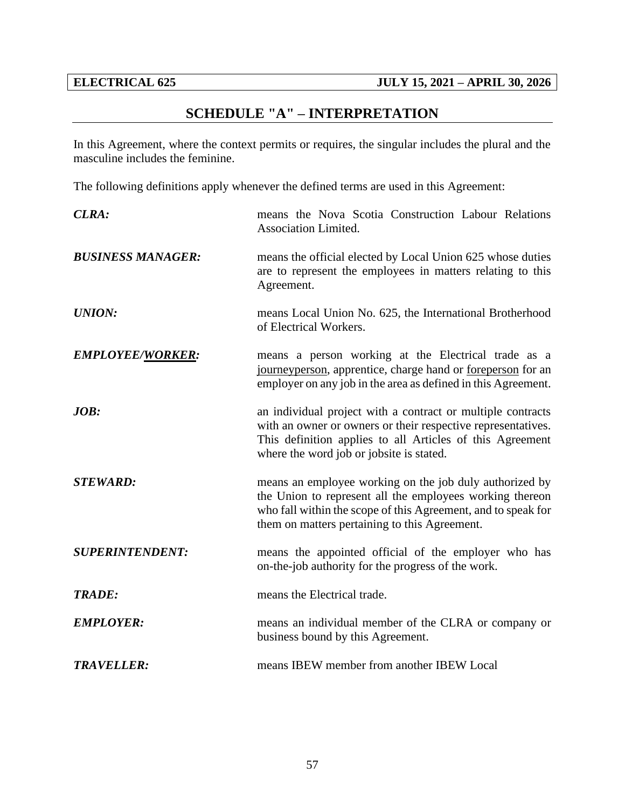# **SCHEDULE "A" – INTERPRETATION**

<span id="page-59-0"></span>In this Agreement, where the context permits or requires, the singular includes the plural and the masculine includes the feminine.

The following definitions apply whenever the defined terms are used in this Agreement:

| CLRA:                    | means the Nova Scotia Construction Labour Relations<br><b>Association Limited.</b>                                                                                                                                                    |
|--------------------------|---------------------------------------------------------------------------------------------------------------------------------------------------------------------------------------------------------------------------------------|
| <b>BUSINESS MANAGER:</b> | means the official elected by Local Union 625 whose duties<br>are to represent the employees in matters relating to this<br>Agreement.                                                                                                |
| <b>UNION:</b>            | means Local Union No. 625, the International Brotherhood<br>of Electrical Workers.                                                                                                                                                    |
| <b>EMPLOYEE/WORKER:</b>  | means a person working at the Electrical trade as a<br>journeyperson, apprentice, charge hand or foreperson for an<br>employer on any job in the area as defined in this Agreement.                                                   |
| JOB:                     | an individual project with a contract or multiple contracts<br>with an owner or owners or their respective representatives.<br>This definition applies to all Articles of this Agreement<br>where the word job or jobsite is stated.  |
| <b>STEWARD:</b>          | means an employee working on the job duly authorized by<br>the Union to represent all the employees working thereon<br>who fall within the scope of this Agreement, and to speak for<br>them on matters pertaining to this Agreement. |
| <b>SUPERINTENDENT:</b>   | means the appointed official of the employer who has<br>on-the-job authority for the progress of the work.                                                                                                                            |
| <b>TRADE:</b>            | means the Electrical trade.                                                                                                                                                                                                           |
| <b>EMPLOYER:</b>         | means an individual member of the CLRA or company or<br>business bound by this Agreement.                                                                                                                                             |
| <b>TRAVELLER:</b>        | means IBEW member from another IBEW Local                                                                                                                                                                                             |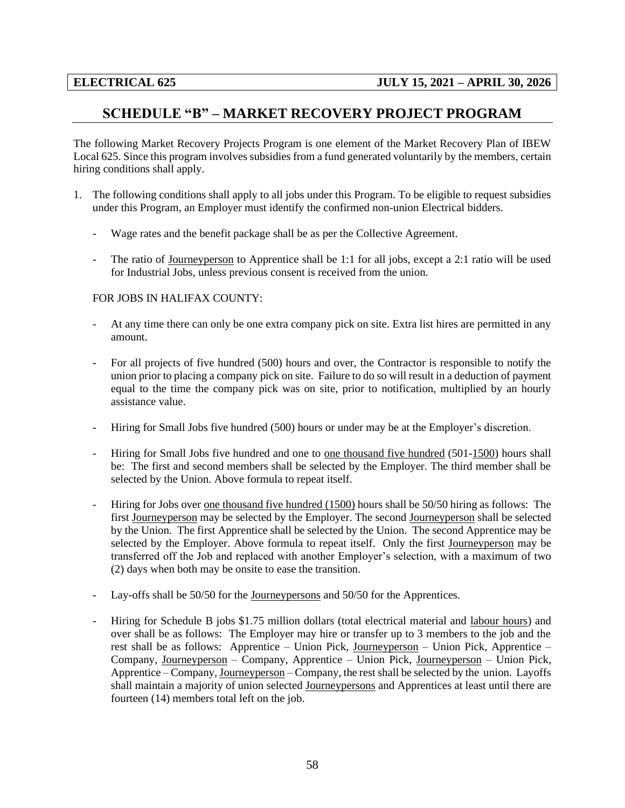# <span id="page-60-0"></span>**SCHEDULE "B" – MARKET RECOVERY PROJECT PROGRAM**

The following Market Recovery Projects Program is one element of the Market Recovery Plan of IBEW Local 625. Since this program involves subsidies from a fund generated voluntarily by the members, certain hiring conditions shall apply.

- 1. The following conditions shall apply to all jobs under this Program. To be eligible to request subsidies under this Program, an Employer must identify the confirmed non-union Electrical bidders.
	- Wage rates and the benefit package shall be as per the Collective Agreement.
	- The ratio of Journeyperson to Apprentice shall be 1:1 for all jobs, except a 2:1 ratio will be used for Industrial Jobs, unless previous consent is received from the union.

### FOR JOBS IN HALIFAX COUNTY:

- At any time there can only be one extra company pick on site. Extra list hires are permitted in any amount.
- For all projects of five hundred (500) hours and over, the Contractor is responsible to notify the union prior to placing a company pick on site. Failure to do so will result in a deduction of payment equal to the time the company pick was on site, prior to notification, multiplied by an hourly assistance value.
- Hiring for Small Jobs five hundred (500) hours or under may be at the Employer's discretion.
- Hiring for Small Jobs five hundred and one to <u>one thousand five hundred</u> (501-1500) hours shall be: The first and second members shall be selected by the Employer. The third member shall be selected by the Union. Above formula to repeat itself.
- Hiring for Jobs over one thousand five hundred (1500) hours shall be 50/50 hiring as follows: The first Journeyperson may be selected by the Employer. The second Journeyperson shall be selected by the Union. The first Apprentice shall be selected by the Union. The second Apprentice may be selected by the Employer. Above formula to repeat itself. Only the first Journeyperson may be transferred off the Job and replaced with another Employer's selection, with a maximum of two (2) days when both may be onsite to ease the transition.
- Lay-offs shall be 50/50 for the Journey persons and 50/50 for the Apprentices.
- Hiring for Schedule B jobs \$1.75 million dollars (total electrical material and labour hours) and over shall be as follows: The Employer may hire or transfer up to 3 members to the job and the rest shall be as follows: Apprentice – Union Pick, Journeyperson – Union Pick, Apprentice – Company, Journeyperson – Company, Apprentice – Union Pick, Journeyperson – Union Pick, Apprentice – Company, Journeyperson – Company, the rest shall be selected by the union. Layoffs shall maintain a majority of union selected Journeypersons and Apprentices at least until there are fourteen (14) members total left on the job.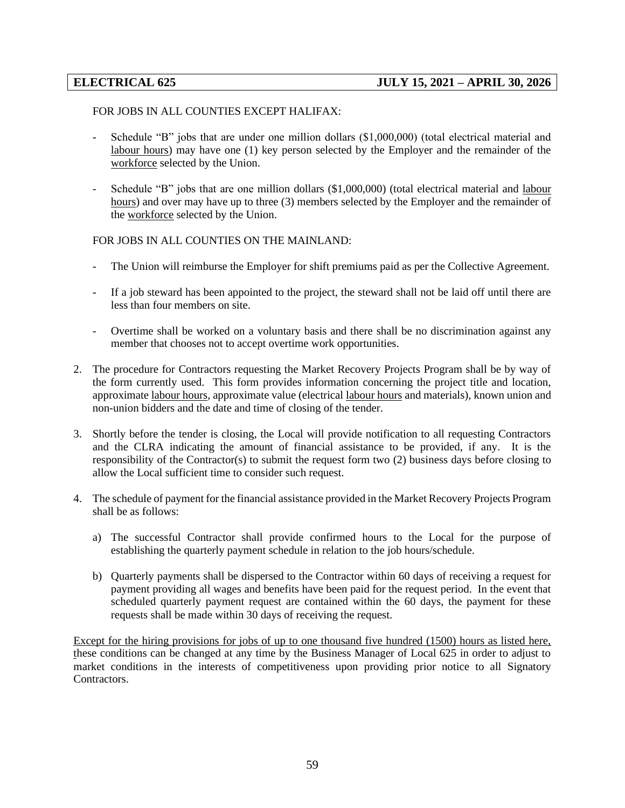#### FOR JOBS IN ALL COUNTIES EXCEPT HALIFAX:

- Schedule "B" jobs that are under one million dollars (\$1,000,000) (total electrical material and labour hours) may have one (1) key person selected by the Employer and the remainder of the workforce selected by the Union.
- Schedule "B" jobs that are one million dollars (\$1,000,000) (total electrical material and labour hours) and over may have up to three (3) members selected by the Employer and the remainder of the workforce selected by the Union.

#### FOR JOBS IN ALL COUNTIES ON THE MAINLAND:

- The Union will reimburse the Employer for shift premiums paid as per the Collective Agreement.
- If a job steward has been appointed to the project, the steward shall not be laid off until there are less than four members on site.
- Overtime shall be worked on a voluntary basis and there shall be no discrimination against any member that chooses not to accept overtime work opportunities.
- 2. The procedure for Contractors requesting the Market Recovery Projects Program shall be by way of the form currently used. This form provides information concerning the project title and location, approximate labour hours, approximate value (electrical labour hours and materials), known union and non-union bidders and the date and time of closing of the tender.
- 3. Shortly before the tender is closing, the Local will provide notification to all requesting Contractors and the CLRA indicating the amount of financial assistance to be provided, if any. It is the responsibility of the Contractor(s) to submit the request form two (2) business days before closing to allow the Local sufficient time to consider such request.
- 4. The schedule of payment for the financial assistance provided in the Market Recovery Projects Program shall be as follows:
	- a) The successful Contractor shall provide confirmed hours to the Local for the purpose of establishing the quarterly payment schedule in relation to the job hours/schedule.
	- b) Quarterly payments shall be dispersed to the Contractor within 60 days of receiving a request for payment providing all wages and benefits have been paid for the request period. In the event that scheduled quarterly payment request are contained within the 60 days, the payment for these requests shall be made within 30 days of receiving the request.

Except for the hiring provisions for jobs of up to one thousand five hundred (1500) hours as listed here, these conditions can be changed at any time by the Business Manager of Local 625 in order to adjust to market conditions in the interests of competitiveness upon providing prior notice to all Signatory Contractors.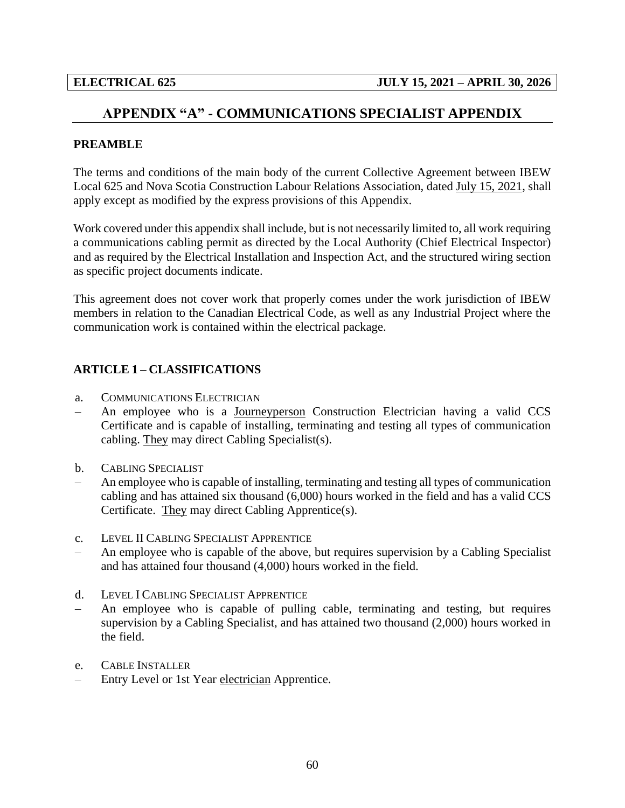# <span id="page-62-0"></span>**APPENDIX "A" - COMMUNICATIONS SPECIALIST APPENDIX**

### **PREAMBLE**

The terms and conditions of the main body of the current Collective Agreement between IBEW Local 625 and Nova Scotia Construction Labour Relations Association, dated July 15, 2021, shall apply except as modified by the express provisions of this Appendix.

Work covered under this appendix shall include, but is not necessarily limited to, all work requiring a communications cabling permit as directed by the Local Authority (Chief Electrical Inspector) and as required by the Electrical Installation and Inspection Act, and the structured wiring section as specific project documents indicate.

This agreement does not cover work that properly comes under the work jurisdiction of IBEW members in relation to the Canadian Electrical Code, as well as any Industrial Project where the communication work is contained within the electrical package.

## **ARTICLE 1 – CLASSIFICATIONS**

- a. COMMUNICATIONS ELECTRICIAN
- An employee who is a Journeyperson Construction Electrician having a valid CCS Certificate and is capable of installing, terminating and testing all types of communication cabling. They may direct Cabling Specialist(s).
- b. CABLING SPECIALIST
- An employee who is capable of installing, terminating and testing all types of communication cabling and has attained six thousand (6,000) hours worked in the field and has a valid CCS Certificate. They may direct Cabling Apprentice(s).
- c. LEVEL II CABLING SPECIALIST APPRENTICE
- An employee who is capable of the above, but requires supervision by a Cabling Specialist and has attained four thousand (4,000) hours worked in the field.
- d. LEVEL I CABLING SPECIALIST APPRENTICE
- An employee who is capable of pulling cable, terminating and testing, but requires supervision by a Cabling Specialist, and has attained two thousand (2,000) hours worked in the field.
- e. CABLE INSTALLER
- Entry Level or 1st Year electrician Apprentice.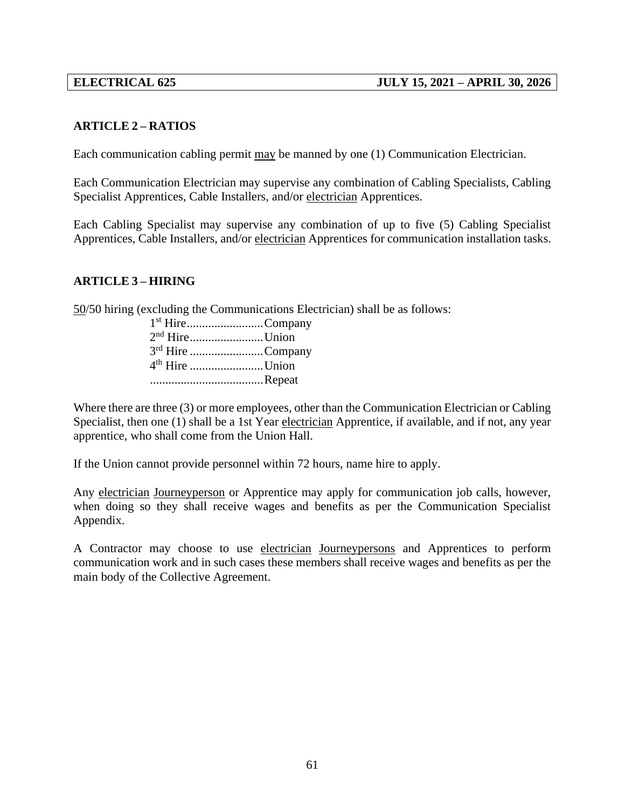## **ARTICLE 2 – RATIOS**

Each communication cabling permit may be manned by one (1) Communication Electrician.

Each Communication Electrician may supervise any combination of Cabling Specialists, Cabling Specialist Apprentices, Cable Installers, and/or electrician Apprentices.

Each Cabling Specialist may supervise any combination of up to five (5) Cabling Specialist Apprentices, Cable Installers, and/or electrician Apprentices for communication installation tasks.

## **ARTICLE 3 – HIRING**

50/50 hiring (excluding the Communications Electrician) shall be as follows:

| 1 <sup>st</sup> HireCompany  |  |
|------------------------------|--|
| 2 <sup>nd</sup> HireUnion    |  |
| 3 <sup>rd</sup> Hire Company |  |
| 4 <sup>th</sup> Hire Union   |  |
|                              |  |

Where there are three (3) or more employees, other than the Communication Electrician or Cabling Specialist, then one (1) shall be a 1st Year electrician Apprentice, if available, and if not, any year apprentice, who shall come from the Union Hall.

If the Union cannot provide personnel within 72 hours, name hire to apply.

Any electrician Journeyperson or Apprentice may apply for communication job calls, however, when doing so they shall receive wages and benefits as per the Communication Specialist Appendix.

A Contractor may choose to use electrician Journeypersons and Apprentices to perform communication work and in such cases these members shall receive wages and benefits as per the main body of the Collective Agreement.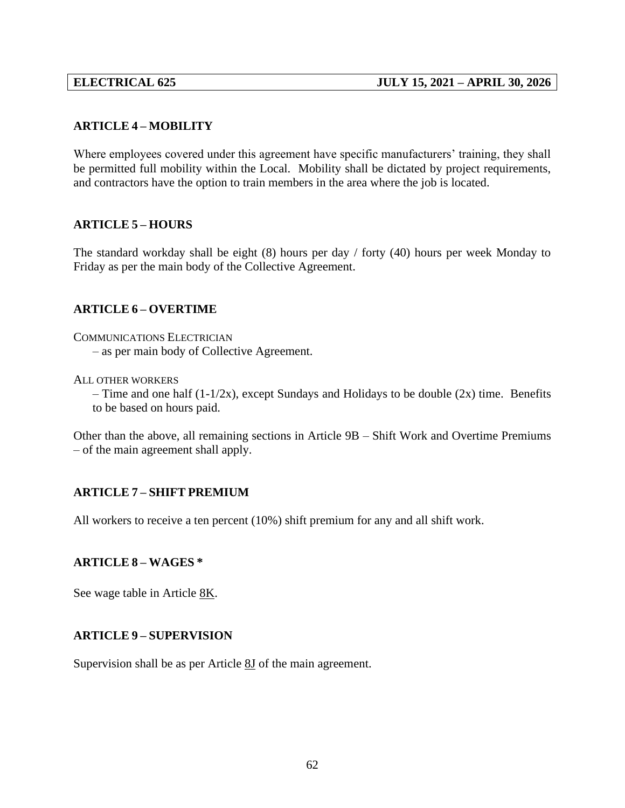### **ARTICLE 4 – MOBILITY**

Where employees covered under this agreement have specific manufacturers' training, they shall be permitted full mobility within the Local. Mobility shall be dictated by project requirements, and contractors have the option to train members in the area where the job is located.

### **ARTICLE 5 – HOURS**

The standard workday shall be eight (8) hours per day / forty (40) hours per week Monday to Friday as per the main body of the Collective Agreement.

### **ARTICLE 6 – OVERTIME**

COMMUNICATIONS ELECTRICIAN

– as per main body of Collective Agreement.

ALL OTHER WORKERS

– Time and one half  $(1-1/2x)$ , except Sundays and Holidays to be double  $(2x)$  time. Benefits to be based on hours paid.

Other than the above, all remaining sections in Article 9B – Shift Work and Overtime Premiums – of the main agreement shall apply.

### **ARTICLE 7 – SHIFT PREMIUM**

All workers to receive a ten percent (10%) shift premium for any and all shift work.

### **ARTICLE 8 – WAGES \***

See wage table in Article 8K.

### **ARTICLE 9 – SUPERVISION**

Supervision shall be as per Article 8J of the main agreement.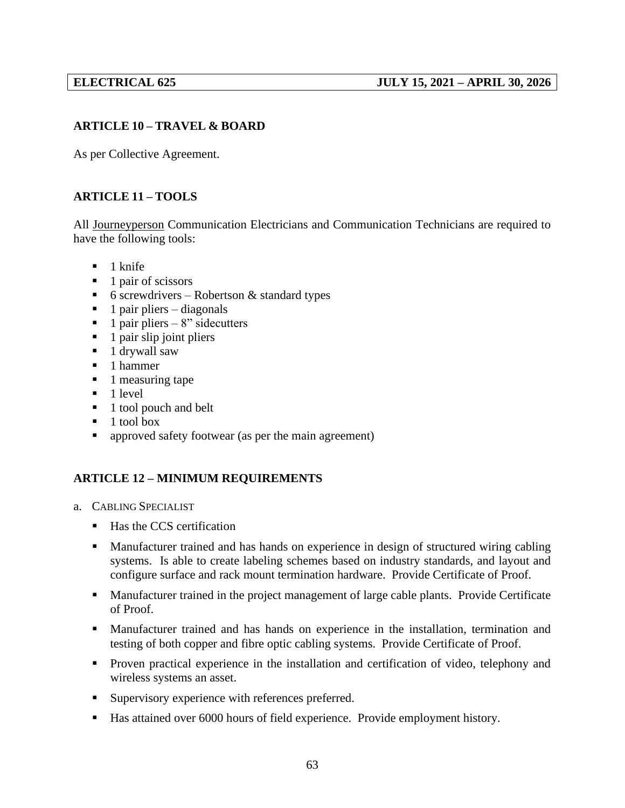## **ARTICLE 10 – TRAVEL & BOARD**

As per Collective Agreement.

## **ARTICLE 11 – TOOLS**

All Journeyperson Communication Electricians and Communication Technicians are required to have the following tools:

- $\blacksquare$  1 knife
- 1 pair of scissors
- 6 screwdrivers Robertson  $&$  standard types
- $\blacksquare$  1 pair pliers diagonals
- $\blacksquare$  1 pair pliers 8" sidecutters
- $\blacksquare$  1 pair slip joint pliers
- 1 drywall saw
- 1 hammer
- $\blacksquare$  1 measuring tape
- $\blacksquare$  1 level
- 1 tool pouch and belt
- $\blacksquare$  1 tool box
- **•** approved safety footwear (as per the main agreement)

## **ARTICLE 12 – MINIMUM REQUIREMENTS**

- a. CABLING SPECIALIST
	- Has the CCS certification
	- **Manufacturer trained and has hands on experience in design of structured wiring cabling** systems. Is able to create labeling schemes based on industry standards, and layout and configure surface and rack mount termination hardware. Provide Certificate of Proof.
	- Manufacturer trained in the project management of large cable plants. Provide Certificate of Proof.
	- Manufacturer trained and has hands on experience in the installation, termination and testing of both copper and fibre optic cabling systems. Provide Certificate of Proof.
	- Proven practical experience in the installation and certification of video, telephony and wireless systems an asset.
	- Supervisory experience with references preferred.
	- Has attained over 6000 hours of field experience. Provide employment history.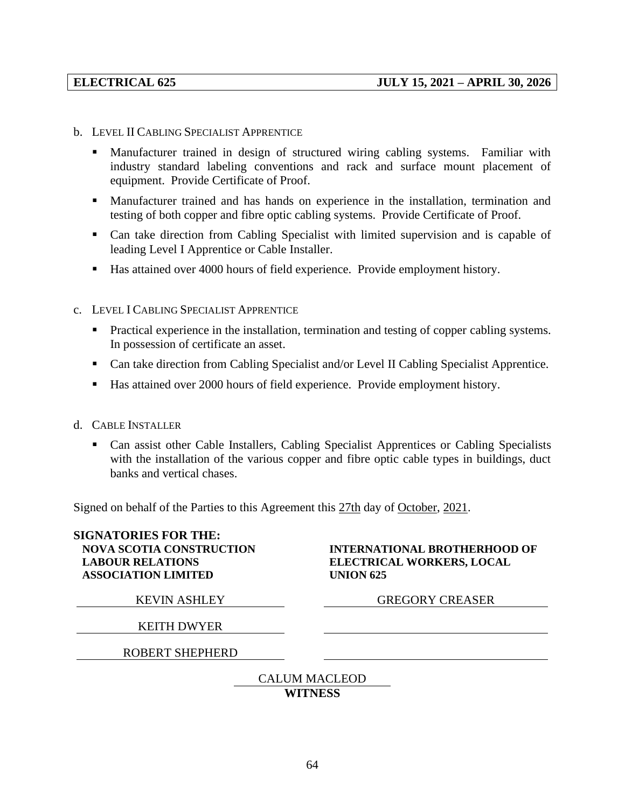- b. LEVEL II CABLING SPECIALIST APPRENTICE
	- **■** Manufacturer trained in design of structured wiring cabling systems. Familiar with industry standard labeling conventions and rack and surface mount placement of equipment. Provide Certificate of Proof.
	- **In Manufacturer trained and has hands on experience in the installation, termination and** testing of both copper and fibre optic cabling systems. Provide Certificate of Proof.
	- Can take direction from Cabling Specialist with limited supervision and is capable of leading Level I Apprentice or Cable Installer.
	- Has attained over 4000 hours of field experience. Provide employment history.
- c. LEVEL I CABLING SPECIALIST APPRENTICE
	- Practical experience in the installation, termination and testing of copper cabling systems. In possession of certificate an asset.
	- Can take direction from Cabling Specialist and/or Level II Cabling Specialist Apprentice.
	- Has attained over 2000 hours of field experience. Provide employment history.
- d. CABLE INSTALLER
	- Can assist other Cable Installers, Cabling Specialist Apprentices or Cabling Specialists with the installation of the various copper and fibre optic cable types in buildings, duct banks and vertical chases.

Signed on behalf of the Parties to this Agreement this 27th day of October, 2021.

| <b>SIGNATORIES FOR THE:</b><br><b>NOVA SCOTIA CONSTRUCTION</b><br><b>LABOUR RELATIONS</b><br><b>ASSOCIATION LIMITED</b> | <b>INTERNATIONAL BROTHERHOOD OF</b><br>ELECTRICAL WORKERS, LOCAL<br><b>UNION 625</b> |
|-------------------------------------------------------------------------------------------------------------------------|--------------------------------------------------------------------------------------|
| <b>KEVIN ASHLEY</b>                                                                                                     | <b>GREGORY CREASER</b>                                                               |
| <b>KEITH DWYER</b>                                                                                                      |                                                                                      |
| <b>ROBERT SHEPHERD</b>                                                                                                  |                                                                                      |
|                                                                                                                         | <b>CALUM MACLEOD</b><br><b>WITNESS</b>                                               |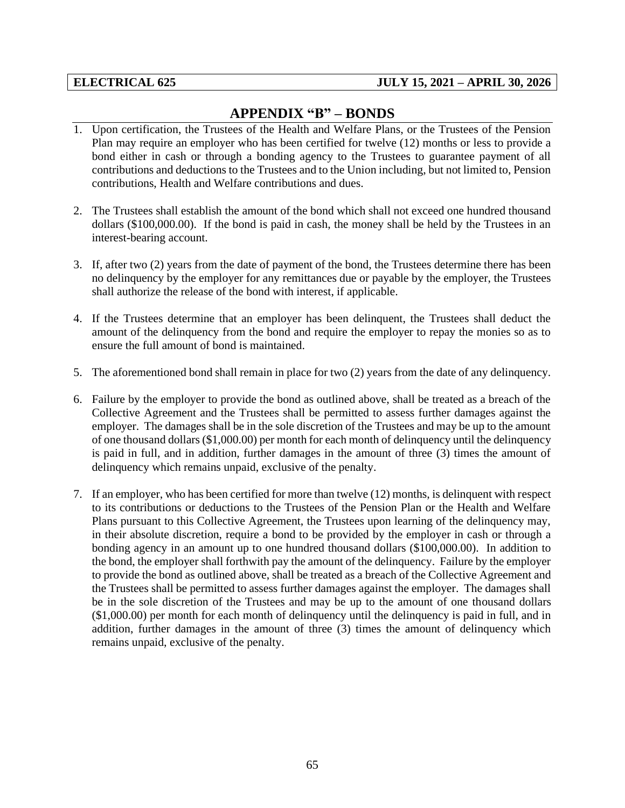# **APPENDIX "B" – BONDS**

- <span id="page-67-0"></span>1. Upon certification, the Trustees of the Health and Welfare Plans, or the Trustees of the Pension Plan may require an employer who has been certified for twelve (12) months or less to provide a bond either in cash or through a bonding agency to the Trustees to guarantee payment of all contributions and deductions to the Trustees and to the Union including, but not limited to, Pension contributions, Health and Welfare contributions and dues.
- 2. The Trustees shall establish the amount of the bond which shall not exceed one hundred thousand dollars (\$100,000.00). If the bond is paid in cash, the money shall be held by the Trustees in an interest-bearing account.
- 3. If, after two (2) years from the date of payment of the bond, the Trustees determine there has been no delinquency by the employer for any remittances due or payable by the employer, the Trustees shall authorize the release of the bond with interest, if applicable.
- 4. If the Trustees determine that an employer has been delinquent, the Trustees shall deduct the amount of the delinquency from the bond and require the employer to repay the monies so as to ensure the full amount of bond is maintained.
- 5. The aforementioned bond shall remain in place for two (2) years from the date of any delinquency.
- 6. Failure by the employer to provide the bond as outlined above, shall be treated as a breach of the Collective Agreement and the Trustees shall be permitted to assess further damages against the employer. The damages shall be in the sole discretion of the Trustees and may be up to the amount of one thousand dollars (\$1,000.00) per month for each month of delinquency until the delinquency is paid in full, and in addition, further damages in the amount of three (3) times the amount of delinquency which remains unpaid, exclusive of the penalty.
- 7. If an employer, who has been certified for more than twelve (12) months, is delinquent with respect to its contributions or deductions to the Trustees of the Pension Plan or the Health and Welfare Plans pursuant to this Collective Agreement, the Trustees upon learning of the delinquency may, in their absolute discretion, require a bond to be provided by the employer in cash or through a bonding agency in an amount up to one hundred thousand dollars (\$100,000.00). In addition to the bond, the employer shall forthwith pay the amount of the delinquency. Failure by the employer to provide the bond as outlined above, shall be treated as a breach of the Collective Agreement and the Trustees shall be permitted to assess further damages against the employer. The damages shall be in the sole discretion of the Trustees and may be up to the amount of one thousand dollars (\$1,000.00) per month for each month of delinquency until the delinquency is paid in full, and in addition, further damages in the amount of three (3) times the amount of delinquency which remains unpaid, exclusive of the penalty.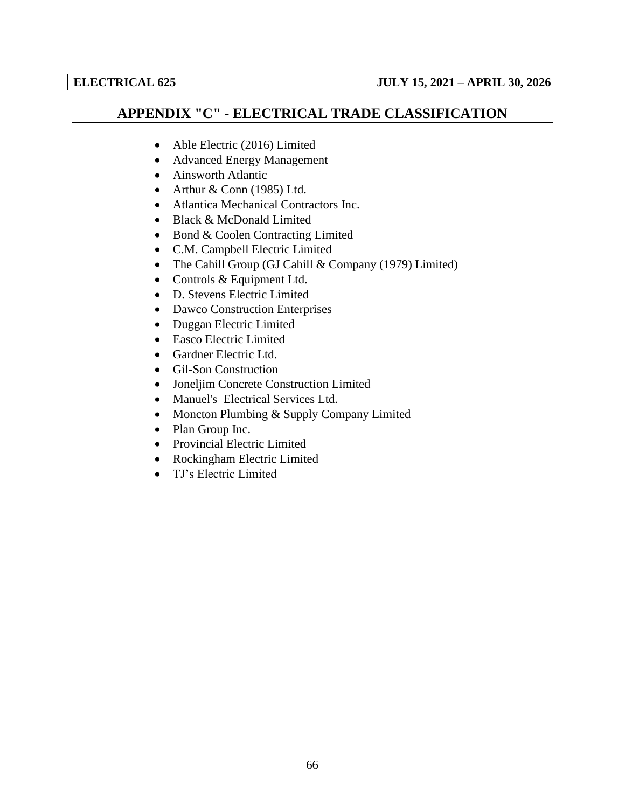# <span id="page-68-0"></span>**APPENDIX "C" - ELECTRICAL TRADE CLASSIFICATION**

- Able Electric (2016) Limited
- Advanced Energy Management
- Ainsworth Atlantic
- Arthur & Conn (1985) Ltd.
- Atlantica Mechanical Contractors Inc.
- Black & McDonald Limited
- Bond & Coolen Contracting Limited
- C.M. Campbell Electric Limited
- The Cahill Group (GJ Cahill & Company (1979) Limited)
- Controls & Equipment Ltd.
- D. Stevens Electric Limited
- Dawco Construction Enterprises
- Duggan Electric Limited
- Easco Electric Limited
- Gardner Electric Ltd.
- Gil-Son Construction
- Joneljim Concrete Construction Limited
- Manuel's Electrical Services Ltd.
- Moncton Plumbing & Supply Company Limited
- Plan Group Inc.
- Provincial Electric Limited
- Rockingham Electric Limited
- TJ's Electric Limited